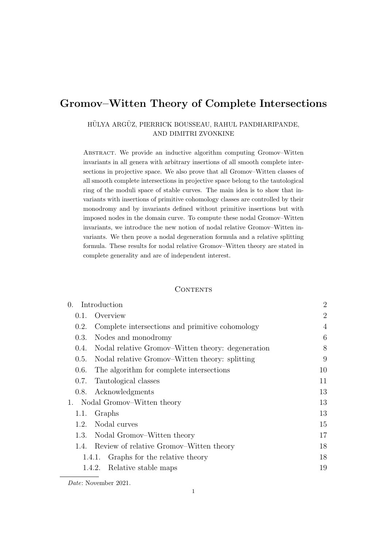# Gromov–Witten Theory of Complete Intersections

### HÜLYA ARGÜZ, PIERRICK BOUSSEAU, RAHUL PANDHARIPANDE, AND DIMITRI ZVONKINE

ABSTRACT. We provide an inductive algorithm computing Gromov–Witten invariants in all genera with arbitrary insertions of all smooth complete intersections in projective space. We also prove that all Gromov–Witten classes of all smooth complete intersections in projective space belong to the tautological ring of the moduli space of stable curves. The main idea is to show that invariants with insertions of primitive cohomology classes are controlled by their monodromy and by invariants defined without primitive insertions but with imposed nodes in the domain curve. To compute these nodal Gromov–Witten invariants, we introduce the new notion of nodal relative Gromov–Witten invariants. We then prove a nodal degeneration formula and a relative splitting formula. These results for nodal relative Gromov–Witten theory are stated in complete generality and are of independent interest.

### **CONTENTS**

| Introduction<br>$\Omega$ .    |                                                   | 2              |
|-------------------------------|---------------------------------------------------|----------------|
| 0.1.                          | Overview                                          | $\overline{2}$ |
| 0.2.                          | Complete intersections and primitive cohomology   | $\overline{4}$ |
| 0.3.                          | Nodes and monodromy                               | 6              |
| 0.4.                          | Nodal relative Gromov–Witten theory: degeneration | 8              |
| 0.5.                          | Nodal relative Gromov–Witten theory: splitting    | 9              |
| 0.6.                          | The algorithm for complete intersections          | 10             |
| 0.7.                          | Tautological classes                              | 11             |
| 0.8.                          | Acknowledgments                                   | 13             |
| 1. Nodal Gromov–Witten theory |                                                   | 13             |
| 1.1.                          | Graphs                                            | 13             |
| 1.2.                          | Nodal curves                                      | 15             |
| 1.3.                          | Nodal Gromov–Witten theory                        | 17             |
|                               | 1.4. Review of relative Gromov–Witten theory      | 18             |
|                               | Graphs for the relative theory<br>1.4.1.          | 18             |
|                               | 1.4.2. Relative stable maps                       | 19             |

Date: November 2021.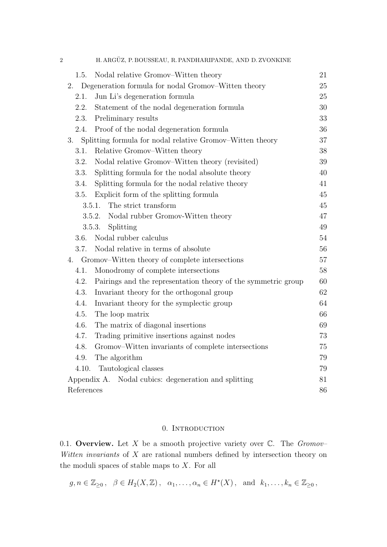| $\overline{2}$ |            | H. ARGÜZ, P. BOUSSEAU, R. PANDHARIPANDE, AND D. ZVONKINE      |    |
|----------------|------------|---------------------------------------------------------------|----|
|                | 1.5.       | Nodal relative Gromov–Witten theory                           | 21 |
|                | 2.         | Degeneration formula for nodal Gromov-Witten theory           | 25 |
|                | 2.1.       | Jun Li's degeneration formula                                 | 25 |
|                | 2.2.       | Statement of the nodal degeneration formula                   | 30 |
|                | 2.3.       | Preliminary results                                           | 33 |
|                | 2.4.       | Proof of the nodal degeneration formula                       | 36 |
|                | 3.         | Splitting formula for nodal relative Gromov–Witten theory     | 37 |
|                | 3.1.       | Relative Gromov–Witten theory                                 | 38 |
|                | 3.2.       | Nodal relative Gromov–Witten theory (revisited)               | 39 |
|                | 3.3.       | Splitting formula for the nodal absolute theory               | 40 |
|                | 3.4.       | Splitting formula for the nodal relative theory               | 41 |
|                | 3.5.       | Explicit form of the splitting formula                        | 45 |
|                |            | The strict transform<br>3.5.1.                                | 45 |
|                |            | Nodal rubber Gromov-Witten theory<br>3.5.2.                   | 47 |
|                |            | Splitting<br>3.5.3.                                           | 49 |
|                | 3.6.       | Nodal rubber calculus                                         | 54 |
|                | 3.7.       | Nodal relative in terms of absolute                           | 56 |
|                | 4.         | Gromov–Witten theory of complete intersections                | 57 |
|                | 4.1.       | Monodromy of complete intersections                           | 58 |
|                | 4.2.       | Pairings and the representation theory of the symmetric group | 60 |
|                | 4.3.       | Invariant theory for the orthogonal group                     | 62 |
|                | 4.4.       | Invariant theory for the symplectic group                     | 64 |
|                | 4.5.       | The loop matrix                                               | 66 |
|                | 4.6.       | The matrix of diagonal insertions                             | 69 |
|                | 4.7.       | Trading primitive insertions against nodes                    | 73 |
|                | 4.8.       | Gromov–Witten invariants of complete intersections            | 75 |
|                | 4.9.       | The algorithm                                                 | 79 |
|                | 4.10.      | Tautological classes                                          | 79 |
|                |            | Appendix A. Nodal cubics: degeneration and splitting          | 81 |
|                | References |                                                               |    |

## 0. INTRODUCTION

<span id="page-1-1"></span><span id="page-1-0"></span>0.1. Overview. Let X be a smooth projective variety over  $\mathbb{C}$ . The *Gromov*-Witten invariants of  $X$  are rational numbers defined by intersection theory on the moduli spaces of stable maps to  $X$ . For all

$$
g, n \in \mathbb{Z}_{\geq 0}
$$
,  $\beta \in H_2(X, \mathbb{Z})$ ,  $\alpha_1, \ldots, \alpha_n \in H^*(X)$ , and  $k_1, \ldots, k_n \in \mathbb{Z}_{\geq 0}$ ,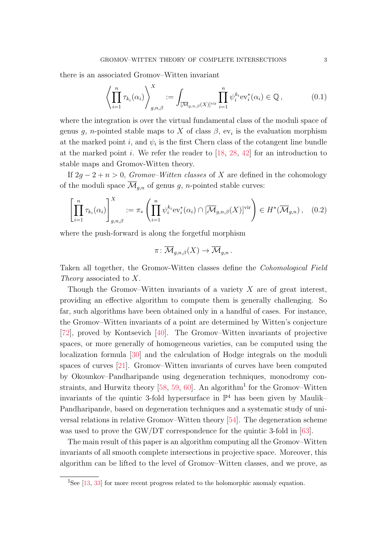there is an associated Gromov–Witten invariant

<span id="page-2-1"></span>
$$
\left\langle \prod_{i=1}^n \tau_{k_i}(\alpha_i) \right\rangle_{g,n,\beta}^X := \int_{\left[\overline{\mathcal{M}}_{g,n,\beta}(X)\right]^{\text{vir}}} \prod_{i=1}^n \psi_i^{k_i} \text{ev}_i^*(\alpha_i) \in \mathbb{Q},\tag{0.1}
$$

where the integration is over the virtual fundamental class of the moduli space of genus g, n-pointed stable maps to X of class  $\beta$ , ev<sub>i</sub> is the evaluation morphism at the marked point *i*, and  $\psi_i$  is the first Chern class of the cotangent line bundle at the marked point i. We refer the reader to  $[18, 28, 42]$  $[18, 28, 42]$  $[18, 28, 42]$  $[18, 28, 42]$  for an introduction to stable maps and Gromov-Witten theory.

If  $2q - 2 + n > 0$ , Gromov–Witten classes of X are defined in the cohomology of the moduli space  $\overline{\mathcal{M}}_{g,n}$  of genus g, n-pointed stable curves:

<span id="page-2-2"></span>
$$
\left[\prod_{i=1}^n \tau_{k_i}(\alpha_i)\right]_{g,n,\beta}^X := \pi_*\left(\prod_{i=1}^n \psi_i^{k_i} \text{ev}_i^*(\alpha_i) \cap [\overline{\mathcal{M}}_{g,n,\beta}(X)]^{\text{vir}}\right) \in H^*(\overline{\mathcal{M}}_{g,n}), \quad (0.2)
$$

where the push-forward is along the forgetful morphism

$$
\pi\colon \overline{\mathcal{M}}_{g,n,\beta}(X) \to \overline{\mathcal{M}}_{g,n} \, .
$$

Taken all together, the Gromov-Witten classes define the Cohomological Field Theory associated to X.

Though the Gromov–Witten invariants of a variety  $X$  are of great interest, providing an effective algorithm to compute them is generally challenging. So far, such algorithms have been obtained only in a handful of cases. For instance, the Gromov–Witten invariants of a point are determined by Witten's conjecture [\[72\]](#page-89-0), proved by Kontsevich [\[40\]](#page-87-2). The Gromov–Witten invariants of projective spaces, or more generally of homogeneous varieties, can be computed using the localization formula [\[30\]](#page-87-3) and the calculation of Hodge integrals on the moduli spaces of curves [\[21\]](#page-86-1). Gromov–Witten invariants of curves have been computed by Okounkov–Pandharipande using degeneration techniques, monodromy con-straints, and Hurwitz theory [\[58,](#page-88-0) [59,](#page-88-1) [60\]](#page-88-2). An algorithm<sup>[1](#page-2-0)</sup> for the Gromov–Witten invariants of the quintic 3-fold hypersurface in  $\mathbb{P}^4$  has been given by Maulik– Pandharipande, based on degeneration techniques and a systematic study of universal relations in relative Gromov–Witten theory [\[54\]](#page-88-3). The degeneration scheme was used to prove the GW/DT correspondence for the quintic 3-fold in [\[63\]](#page-88-4).

The main result of this paper is an algorithm computing all the Gromov–Witten invariants of all smooth complete intersections in projective space. Moreover, this algorithm can be lifted to the level of Gromov–Witten classes, and we prove, as

<span id="page-2-0"></span><sup>&</sup>lt;sup>1</sup>See [\[13,](#page-86-2) [33\]](#page-87-4) for more recent progress related to the holomorphic anomaly equation.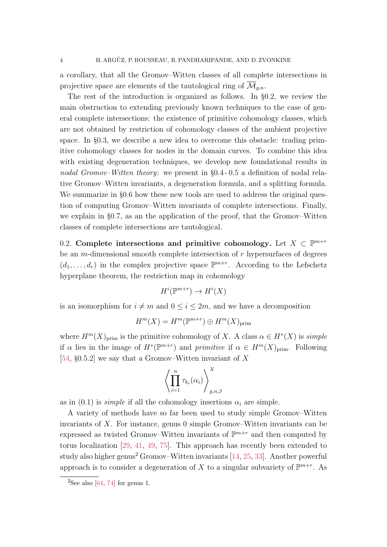a corollary, that all the Gromov–Witten classes of all complete intersections in projective space are elements of the tautological ring of  $\mathcal{M}_{q,n}$ .

The rest of the introduction is organized as follows. In §[0.2,](#page-3-0) we review the main obstruction to extending previously known techniques to the case of general complete intersections: the existence of primitive cohomology classes, which are not obtained by restriction of cohomology classes of the ambient projective space. In §[0.3,](#page-5-0) we describe a new idea to overcome this obstacle: trading primitive cohomology classes for nodes in the domain curves. To combine this idea with existing degeneration techniques, we develop new foundational results in nodal Gromov–Witten theory: we present in §[0.4](#page-7-0) - [0.5](#page-8-0) a definition of nodal relative Gromov–Witten invariants, a degeneration formula, and a splitting formula. We summarize in §[0.6](#page-9-0) how these new tools are used to address the original question of computing Gromov–Witten invariants of complete intersections. Finally, we explain in §[0.7,](#page-10-0) as an the application of the proof, that the Gromov–Witten classes of complete intersections are tautological.

<span id="page-3-0"></span>0.2. Complete intersections and primitive cohomology. Let  $X \subset \mathbb{P}^{m+r}$ be an *m*-dimensional smooth complete intersection of  $r$  hypersurfaces of degrees  $(d_1, \ldots, d_r)$  in the complex projective space  $\mathbb{P}^{m+r}$ . According to the Lefschetz hyperplane theorem, the restriction map in cohomology

$$
H^i(\mathbb{P}^{m+r}) \to H^i(X)
$$

is an isomorphism for  $i \neq m$  and  $0 \leq i \leq 2m$ , and we have a decomposition

$$
H^m(X) = H^m(\mathbb{P}^{m+r}) \oplus H^m(X)_{\text{prim}}
$$

where  $H^m(X)_{\text{prim}}$  is the primitive cohomology of X. A class  $\alpha \in H^*(X)$  is simple if  $\alpha$  lies in the image of  $H^*(\mathbb{P}^{m+r})$  and primitive if  $\alpha \in H^m(X)_{\text{prim}}$ . Following [\[54,](#page-88-3)  $\S 0.5.2$ ] we say that a Gromov–Witten invariant of X

$$
\left\langle \prod_{i=1}^n \tau_{k_i}(\alpha_i) \right\rangle_{g,n,\beta}^X
$$

as in [\(0.1\)](#page-2-1) is *simple* if all the cohomology insertions  $\alpha_i$  are simple.

A variety of methods have so far been used to study simple Gromov–Witten invariants of X. For instance, genus 0 simple Gromov–Witten invariants can be expressed as twisted Gromov–Witten invariants of  $\mathbb{P}^{m+r}$  and then computed by torus localization [\[29,](#page-87-5) [41,](#page-87-6) [49,](#page-88-5) [75\]](#page-89-1). This approach has recently been extended to study also higher genus<sup>[2](#page-3-1)</sup> Gromov–Witten invariants  $[14, 25, 33]$  $[14, 25, 33]$  $[14, 25, 33]$  $[14, 25, 33]$ . Another powerful approach is to consider a degeneration of X to a singular subvariety of  $\mathbb{P}^{m+r}$ . As

<span id="page-3-1"></span><sup>&</sup>lt;sup>2</sup>See also [\[64,](#page-88-6) [74\]](#page-89-2) for genus 1.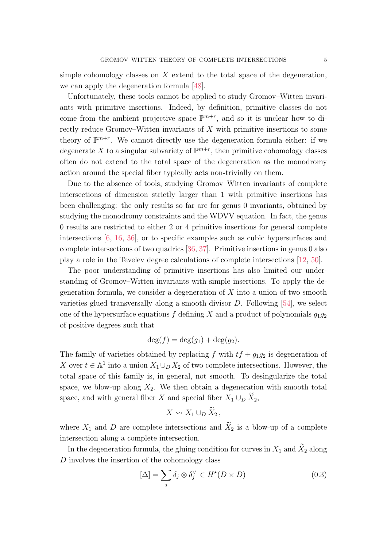simple cohomology classes on  $X$  extend to the total space of the degeneration, we can apply the degeneration formula [\[48\]](#page-88-7).

Unfortunately, these tools cannot be applied to study Gromov–Witten invariants with primitive insertions. Indeed, by definition, primitive classes do not come from the ambient projective space  $\mathbb{P}^{m+r}$ , and so it is unclear how to directly reduce Gromov–Witten invariants of X with primitive insertions to some theory of  $\mathbb{P}^{m+r}$ . We cannot directly use the degeneration formula either: if we degenerate X to a singular subvariety of  $\mathbb{P}^{m+r}$ , then primitive cohomology classes often do not extend to the total space of the degeneration as the monodromy action around the special fiber typically acts non-trivially on them.

Due to the absence of tools, studying Gromov–Witten invariants of complete intersections of dimension strictly larger than 1 with primitive insertions has been challenging: the only results so far are for genus 0 invariants, obtained by studying the monodromy constraints and the WDVV equation. In fact, the genus 0 results are restricted to either 2 or 4 primitive insertions for general complete intersections [\[6,](#page-86-4) [16,](#page-86-5) [36\]](#page-87-8), or to specific examples such as cubic hypersurfaces and complete intersections of two quadrics [\[36,](#page-87-8) [37\]](#page-87-9). Primitive insertions in genus 0 also play a role in the Tevelev degree calculations of complete intersections [\[12,](#page-86-6) [50\]](#page-88-8).

The poor understanding of primitive insertions has also limited our understanding of Gromov–Witten invariants with simple insertions. To apply the degeneration formula, we consider a degeneration of  $X$  into a union of two smooth varieties glued transversally along a smooth divisor  $D$ . Following [\[54\]](#page-88-3), we select one of the hypersurface equations f defining X and a product of polynomials  $q_1q_2$ of positive degrees such that

$$
\deg(f) = \deg(g_1) + \deg(g_2).
$$

The family of varieties obtained by replacing f with  $tf + g_1g_2$  is degeneration of X over  $t \in \mathbb{A}^1$  into a union  $X_1 \cup_D X_2$  of two complete intersections. However, the total space of this family is, in general, not smooth. To desingularize the total space, we blow-up along  $X_2$ . We then obtain a degeneration with smooth total space, and with general fiber X and special fiber  $X_1 \cup_D \tilde{X}_2$ ,

$$
X \rightsquigarrow X_1 \cup_D \widetilde{X}_2,
$$

where  $X_1$  and D are complete intersections and  $\widetilde{X}_2$  is a blow-up of a complete intersection along a complete intersection.

In the degeneration formula, the gluing condition for curves in  $X_1$  and  $X_2$  along D involves the insertion of the cohomology class

<span id="page-4-0"></span>
$$
[\Delta] = \sum_{j} \delta_j \otimes \delta_j^{\vee} \in H^*(D \times D) \tag{0.3}
$$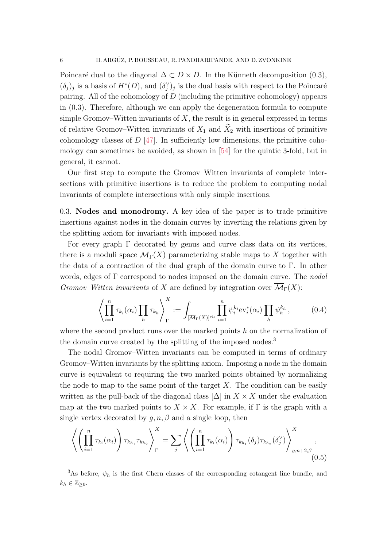Poincaré dual to the diagonal  $\Delta \subset D \times D$ . In the Künneth decomposition [\(0.3\)](#page-4-0),  $(\delta_j)_j$  is a basis of  $H^*(D)$ , and  $(\delta_j)'_j$  is the dual basis with respect to the Poincaré pairing. All of the cohomology of D (including the primitive cohomology) appears in [\(0.3\)](#page-4-0). Therefore, although we can apply the degeneration formula to compute simple Gromov–Witten invariants of  $X$ , the result is in general expressed in terms of relative Gromov–Witten invariants of  $X_1$  and  $\widetilde{X}_2$  with insertions of primitive cohomology classes of  $D \, 47$ . In sufficiently low dimensions, the primitive cohomology can sometimes be avoided, as shown in [\[54\]](#page-88-3) for the quintic 3-fold, but in general, it cannot.

Our first step to compute the Gromov–Witten invariants of complete intersections with primitive insertions is to reduce the problem to computing nodal invariants of complete intersections with only simple insertions.

<span id="page-5-0"></span>0.3. Nodes and monodromy. A key idea of the paper is to trade primitive insertions against nodes in the domain curves by inverting the relations given by the splitting axiom for invariants with imposed nodes.

For every graph  $\Gamma$  decorated by genus and curve class data on its vertices, there is a moduli space  $\overline{\mathcal{M}}_{\Gamma}(X)$  parameterizing stable maps to X together with the data of a contraction of the dual graph of the domain curve to Γ. In other words, edges of  $\Gamma$  correspond to nodes imposed on the domain curve. The *nodal* Gromov–Witten invariants of X are defined by integration over  $\overline{\mathcal{M}}_{\Gamma}(X)$ :

$$
\left\langle \prod_{i=1}^n \tau_{k_i}(\alpha_i) \prod_h \tau_{k_h} \right\rangle_{\Gamma}^X := \int_{\left[\overline{\mathcal{M}}_{\Gamma}(X)\right]^{\text{vir}}} \prod_{i=1}^n \psi_i^{k_i} \text{ev}_i^*(\alpha_i) \prod_h \psi_h^{k_h}, \tag{0.4}
$$

where the second product runs over the marked points  $h$  on the normalization of the domain curve created by the splitting of the imposed nodes.<sup>[3](#page-5-1)</sup>

The nodal Gromov–Witten invariants can be computed in terms of ordinary Gromov–Witten invariants by the splitting axiom. Imposing a node in the domain curve is equivalent to requiring the two marked points obtained by normalizing the node to map to the same point of the target  $X$ . The condition can be easily written as the pull-back of the diagonal class  $[\Delta]$  in  $X \times X$  under the evaluation map at the two marked points to  $X \times X$ . For example, if  $\Gamma$  is the graph with a single vertex decorated by  $q, n, \beta$  and a single loop, then

<span id="page-5-2"></span>
$$
\left\langle \left( \prod_{i=1}^n \tau_{k_i}(\alpha_i) \right) \tau_{k_{h_1}} \tau_{k_{h_2}} \right\rangle_{\Gamma}^X = \sum_j \left\langle \left( \prod_{i=1}^n \tau_{k_i}(\alpha_i) \right) \tau_{k_{h_1}}(\delta_j) \tau_{k_{h_2}}(\delta_j) \right\rangle_{g,n+2,\beta}^X,
$$
\n(0.5)

<span id="page-5-1"></span><sup>&</sup>lt;sup>3</sup>As before,  $\psi_h$  is the first Chern classes of the corresponding cotangent line bundle, and  $k_h \in \mathbb{Z}_{\geq 0}$ .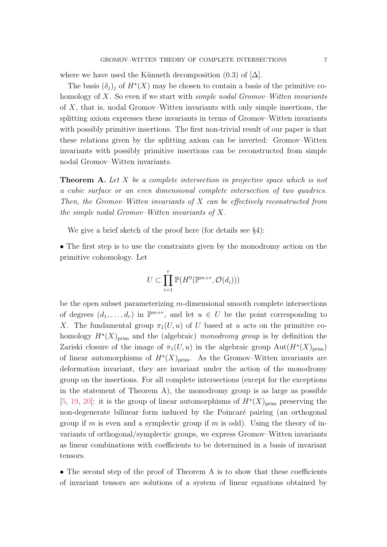where we have used the Künneth decomposition [\(0.3\)](#page-4-0) of  $[\Delta]$ .

The basis  $(\delta_j)_j$  of  $H^*(X)$  may be chosen to contain a basis of the primitive cohomology of X. So even if we start with *simple nodal Gromov–Witten invariants* of X, that is, nodal Gromov–Witten invariants with only simple insertions, the splitting axiom expresses these invariants in terms of Gromov–Witten invariants with possibly primitive insertions. The first non-trivial result of our paper is that these relations given by the splitting axiom can be inverted: Gromov–Witten invariants with possibly primitive insertions can be reconstructed from simple nodal Gromov–Witten invariants.

<span id="page-6-0"></span>**Theorem A.** Let X be a complete intersection in projective space which is not a cubic surface or an even dimensional complete intersection of two quadrics. Then, the Gromov–Witten invariants of  $X$  can be effectively reconstructed from the simple nodal Gromov–Witten invariants of X.

We give a brief sketch of the proof here (for details see  $\S 4$ ):

• The first step is to use the constraints given by the monodromy action on the primitive cohomology. Let

$$
U \subset \prod_{i=1}^r \mathbb{P}(H^0(\mathbb{P}^{m+r}, \mathcal{O}(d_i)))
$$

be the open subset parameterizing m-dimensional smooth complete intersections of degrees  $(d_1, \ldots, d_r)$  in  $\mathbb{P}^{m+r}$ , and let  $u \in U$  be the point corresponding to X. The fundamental group  $\pi_1(U, u)$  of U based at u acts on the primitive cohomology  $H^*(X)_{\text{prim}}$  and the (algebraic) monodromy group is by definition the Zariski closure of the image of  $\pi_1(U, u)$  in the algebraic group  $\text{Aut}(H^*(X_{\text{prim}}))$ of linear automorphisms of  $H^*(X)_{\text{prim}}$ . As the Gromov–Witten invariants are deformation invariant, they are invariant under the action of the monodromy group on the insertions. For all complete intersections (except for the exceptions in the statement of Theorem [A\)](#page-6-0), the monodromy group is as large as possible [\[5,](#page-86-7) [19,](#page-86-8) [20\]](#page-86-9): it is the group of linear automorphisms of  $H^*(X)_{\text{prim}}$  preserving the non-degenerate bilinear form induced by the Poincaré pairing (an orthogonal group if m is even and a symplectic group if m is odd). Using the theory of invariants of orthogonal/symplectic groups, we express Gromov–Witten invariants as linear combinations with coefficients to be determined in a basis of invariant tensors.

• The second step of the proof of Theorem [A](#page-6-0) is to show that these coefficients of invariant tensors are solutions of a system of linear equations obtained by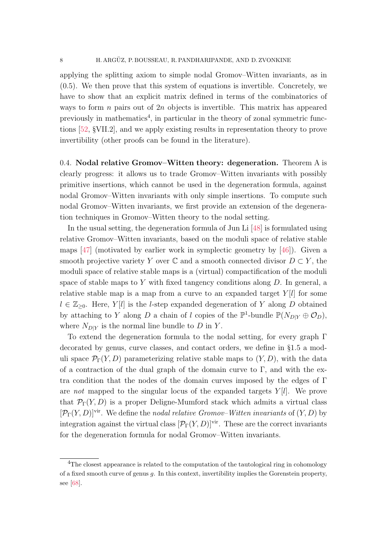applying the splitting axiom to simple nodal Gromov–Witten invariants, as in [\(0.5\)](#page-5-2). We then prove that this system of equations is invertible. Concretely, we have to show that an explicit matrix defined in terms of the combinatorics of ways to form  $n$  pairs out of  $2n$  objects is invertible. This matrix has appeared previously in mathematics<sup>[4](#page-7-1)</sup>, in particular in the theory of zonal symmetric functions [\[52,](#page-88-10) §VII.2], and we apply existing results in representation theory to prove invertibility (other proofs can be found in the literature).

<span id="page-7-0"></span>0.4. Nodal relative Gromov–Witten theory: degeneration. Theorem [A](#page-6-0) is clearly progress: it allows us to trade Gromov–Witten invariants with possibly primitive insertions, which cannot be used in the degeneration formula, against nodal Gromov–Witten invariants with only simple insertions. To compute such nodal Gromov–Witten invariants, we first provide an extension of the degeneration techniques in Gromov–Witten theory to the nodal setting.

In the usual setting, the degeneration formula of Jun Li [\[48\]](#page-88-7) is formulated using relative Gromov–Witten invariants, based on the moduli space of relative stable maps [\[47\]](#page-88-9) (motivated by earlier work in symplectic geometry by [\[46\]](#page-88-11)). Given a smooth projective variety Y over  $\mathbb C$  and a smooth connected divisor  $D \subset Y$ , the moduli space of relative stable maps is a (virtual) compactification of the moduli space of stable maps to Y with fixed tangency conditions along  $D$ . In general, a relative stable map is a map from a curve to an expanded target  $Y[l]$  for some  $l \in \mathbb{Z}_{\geq 0}$ . Here, Y[l] is the l-step expanded degeneration of Y along D obtained by attaching to Y along D a chain of l copies of the  $\mathbb{P}^1$ -bundle  $\mathbb{P}(N_{D|Y} \oplus \mathcal{O}_D)$ , where  $N_{D|Y}$  is the normal line bundle to D in Y.

To extend the degeneration formula to the nodal setting, for every graph Γ decorated by genus, curve classes, and contact orders, we define in §[1.5](#page-20-0) a moduli space  $\mathcal{P}_{\Gamma}(Y, D)$  parameterizing relative stable maps to  $(Y, D)$ , with the data of a contraction of the dual graph of the domain curve to  $\Gamma$ , and with the extra condition that the nodes of the domain curves imposed by the edges of Γ are not mapped to the singular locus of the expanded targets  $Y[l]$ . We prove that  $\mathcal{P}_{\Gamma}(Y, D)$  is a proper Deligne-Mumford stack which admits a virtual class  $[\mathcal{P}_{\Gamma}(Y, D)]^{\text{vir}}$ . We define the nodal relative Gromov–Witten invariants of  $(Y, D)$  by integration against the virtual class  $[\mathcal{P}_{\Gamma}(Y, D)]^{\text{vir}}$ . These are the correct invariants for the degeneration formula for nodal Gromov–Witten invariants.

<span id="page-7-1"></span><sup>&</sup>lt;sup>4</sup>The closest appearance is related to the computation of the tautological ring in cohomology of a fixed smooth curve of genus g. In this context, invertibility implies the Gorenstein property, see [\[68\]](#page-89-3).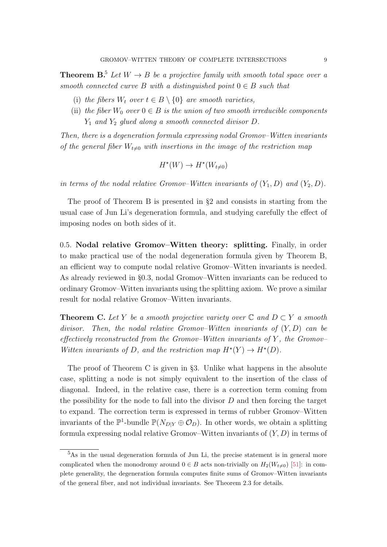<span id="page-8-2"></span>**Theorem B.**<sup>[5](#page-8-1)</sup> Let  $W \rightarrow B$  be a projective family with smooth total space over a smooth connected curve B with a distinguished point  $0 \in B$  such that

- (i) the fibers  $W_t$  over  $t \in B \setminus \{0\}$  are smooth varieties,
- (ii) the fiber  $W_0$  over  $0 \in B$  is the union of two smooth irreducible components  $Y_1$  and  $Y_2$  glued along a smooth connected divisor D.

Then, there is a degeneration formula expressing nodal Gromov–Witten invariants of the general fiber  $W_{t\neq0}$  with insertions in the image of the restriction map

$$
H^*(W) \to H^*(W_{t \neq 0})
$$

in terms of the nodal relative Gromov–Witten invariants of  $(Y_1, D)$  and  $(Y_2, D)$ .

The proof of Theorem [B](#page-8-2) is presented in  $\S2$  $\S2$  and consists in starting from the usual case of Jun Li's degeneration formula, and studying carefully the effect of imposing nodes on both sides of it.

<span id="page-8-0"></span>0.5. Nodal relative Gromov–Witten theory: splitting. Finally, in order to make practical use of the nodal degeneration formula given by Theorem [B,](#page-8-2) an efficient way to compute nodal relative Gromov–Witten invariants is needed. As already reviewed in §[0.3,](#page-5-0) nodal Gromov–Witten invariants can be reduced to ordinary Gromov–Witten invariants using the splitting axiom. We prove a similar result for nodal relative Gromov–Witten invariants.

<span id="page-8-3"></span>**Theorem C.** Let Y be a smooth projective variety over  $\mathbb{C}$  and  $D \subset Y$  a smooth divisor. Then, the nodal relative Gromov–Witten invariants of  $(Y, D)$  can be effectively reconstructed from the Gromov–Witten invariants of  $Y$ , the Gromov– Witten invariants of D, and the restriction map  $H^*(Y) \to H^*(D)$ .

The proof of Theorem [C](#page-8-3) is given in §[3.](#page-36-0) Unlike what happens in the absolute case, splitting a node is not simply equivalent to the insertion of the class of diagonal. Indeed, in the relative case, there is a correction term coming from the possibility for the node to fall into the divisor  $D$  and then forcing the target to expand. The correction term is expressed in terms of rubber Gromov–Witten invariants of the  $\mathbb{P}^1$ -bundle  $\mathbb{P}(N_{D|Y} \oplus \mathcal{O}_D)$ . In other words, we obtain a splitting formula expressing nodal relative Gromov–Witten invariants of  $(Y, D)$  in terms of

<span id="page-8-1"></span><sup>5</sup>As in the usual degeneration formula of Jun Li, the precise statement is in general more complicated when the monodromy around  $0 \in B$  acts non-trivially on  $H_2(W_{t\neq0})$  [\[51\]](#page-88-12): in complete generality, the degeneration formula computes finite sums of Gromov–Witten invariants of the general fiber, and not individual invariants. See Theorem [2.3](#page-31-0) for details.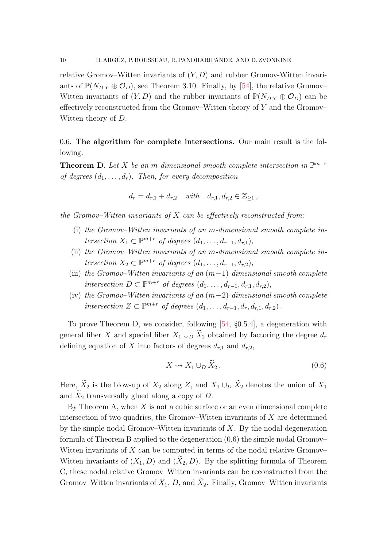relative Gromov–Witten invariants of  $(Y, D)$  and rubber Gromov–Witten invariants of  $\mathbb{P}(N_{D|Y} \oplus \mathcal{O}_D)$ , see Theorem [3.10.](#page-51-0) Finally, by [\[54\]](#page-88-3), the relative Gromov– Witten invariants of  $(Y, D)$  and the rubber invariants of  $\mathbb{P}(N_{D|Y} \oplus \mathcal{O}_D)$  can be effectively reconstructed from the Gromov–Witten theory of  $Y$  and the Gromov– Witten theory of D.

<span id="page-9-0"></span>0.6. The algorithm for complete intersections. Our main result is the following.

<span id="page-9-1"></span>**Theorem D.** Let X be an m-dimensional smooth complete intersection in  $\mathbb{P}^{m+r}$ of degrees  $(d_1, \ldots, d_r)$ . Then, for every decomposition

$$
d_r = d_{r,1} + d_{r,2} \quad \text{with} \quad d_{r,1}, d_{r,2} \in \mathbb{Z}_{\geq 1} \,,
$$

the Gromov–Witten invariants of  $X$  can be effectively reconstructed from:

- (i) the Gromov–Witten invariants of an m-dimensional smooth complete intersection  $X_1 \subset \mathbb{P}^{m+r}$  of degrees  $(d_1, \ldots, d_{r-1}, d_{r,1}),$
- (ii) the Gromov–Witten invariants of an m-dimensional smooth complete intersection  $X_2 \subset \mathbb{P}^{m+r}$  of degrees  $(d_1, \ldots, d_{r-1}, d_{r,2}),$
- (iii) the Gromov–Witten invariants of an  $(m-1)$ -dimensional smooth complete intersection  $D \subset \mathbb{P}^{m+r}$  of degrees  $(d_1, \ldots, d_{r-1}, d_{r,1}, d_{r,2}),$
- (iv) the Gromov–Witten invariants of an  $(m-2)$ -dimensional smooth complete intersection  $Z \subset \mathbb{P}^{m+r}$  of degrees  $(d_1, \ldots, d_{r-1}, d_r, d_{r,1}, d_{r,2})$ .

To prove Theorem [D,](#page-9-1) we consider, following [\[54,](#page-88-3) §0.5.4], a degeneration with general fiber X and special fiber  $X_1 \cup_D \widetilde{X}_2$  obtained by factoring the degree  $d_r$ defining equation of X into factors of degrees  $d_{r,1}$  and  $d_{r,2}$ ,

<span id="page-9-2"></span>
$$
X \rightsquigarrow X_1 \cup_D \widetilde{X}_2. \tag{0.6}
$$

Here,  $\widetilde{X}_2$  is the blow-up of  $X_2$  along Z, and  $X_1 \cup_D \widetilde{X}_2$  denotes the union of  $X_1$ and  $\tilde{X}_2$  transversally glued along a copy of D.

By Theorem [A,](#page-6-0) when  $X$  is not a cubic surface or an even dimensional complete intersection of two quadrics, the Gromov–Witten invariants of  $X$  are determined by the simple nodal Gromov–Witten invariants of  $X$ . By the nodal degeneration formula of Theorem [B](#page-8-2) applied to the degeneration [\(0.6\)](#page-9-2) the simple nodal Gromov– Witten invariants of  $X$  can be computed in terms of the nodal relative Gromov– Witten invariants of  $(X_1, D)$  and  $(\tilde{X}_2, D)$ . By the splitting formula of Theorem [C,](#page-8-3) these nodal relative Gromov–Witten invariants can be reconstructed from the Gromov–Witten invariants of  $X_1, D$ , and  $\widetilde{X}_2$ . Finally, Gromov–Witten invariants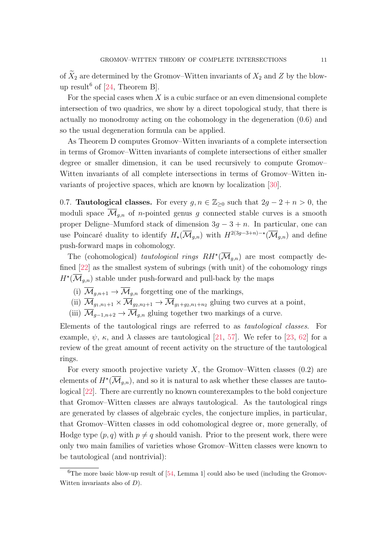of  $\widetilde{X}_2$  are determined by the Gromov–Witten invariants of  $X_2$  and Z by the blow-up result<sup>[6](#page-10-1)</sup> of  $[24,$  Theorem B.

For the special cases when  $X$  is a cubic surface or an even dimensional complete intersection of two quadrics, we show by a direct topological study, that there is actually no monodromy acting on the cohomology in the degeneration [\(0.6\)](#page-9-2) and so the usual degeneration formula can be applied.

As Theorem [D](#page-9-1) computes Gromov–Witten invariants of a complete intersection in terms of Gromov–Witten invariants of complete intersections of either smaller degree or smaller dimension, it can be used recursively to compute Gromov– Witten invariants of all complete intersections in terms of Gromov–Witten invariants of projective spaces, which are known by localization [\[30\]](#page-87-3).

<span id="page-10-0"></span>0.7. **Tautological classes.** For every  $g, n \in \mathbb{Z}_{\geq 0}$  such that  $2g - 2 + n > 0$ , the moduli space  $\mathcal{M}_{q,n}$  of *n*-pointed genus g connected stable curves is a smooth proper Deligne–Mumford stack of dimension  $3g - 3 + n$ . In particular, one can use Poincaré duality to identify  $H_*(\overline{\mathcal{M}}_{g,n})$  with  $H^{2(3g-3+n)-\star}(\overline{\mathcal{M}}_{g,n})$  and define push-forward maps in cohomology.

The (cohomological) tautological rings  $RH^*(\overline{\mathcal{M}}_{g,n})$  are most compactly defined [\[22\]](#page-86-10) as the smallest system of subrings (with unit) of the cohomology rings  $H^{\star}(\overline{\mathcal{M}}_{g,n})$  stable under push-forward and pull-back by the maps

- (i)  $\overline{\mathcal{M}}_{q,n+1} \to \overline{\mathcal{M}}_{q,n}$  forgetting one of the markings,
- (ii)  $\overline{\mathcal{M}}_{g_1,n_1+1} \times \overline{\mathcal{M}}_{g_2,n_2+1} \rightarrow \overline{\mathcal{M}}_{g_1+g_2,n_1+n_2}$  gluing two curves at a point,
- (iii)  $\overline{\mathcal{M}}_{q-1,n+2} \to \overline{\mathcal{M}}_{q,n}$  gluing together two markings of a curve.

Elements of the tautological rings are referred to as tautological classes. For example,  $\psi$ ,  $\kappa$ , and  $\lambda$  classes are tautological [\[21,](#page-86-1) [57\]](#page-88-13). We refer to [\[23,](#page-87-11) [62\]](#page-88-14) for a review of the great amount of recent activity on the structure of the tautological rings.

For every smooth projective variety  $X$ , the Gromov–Witten classes  $(0.2)$  are elements of  $H^{\star}(\overline{\mathcal{M}}_{g,n})$ , and so it is natural to ask whether these classes are tautological [\[22\]](#page-86-10). There are currently no known counterexamples to the bold conjecture that Gromov–Witten classes are always tautological. As the tautological rings are generated by classes of algebraic cycles, the conjecture implies, in particular, that Gromov–Witten classes in odd cohomological degree or, more generally, of Hodge type  $(p, q)$  with  $p \neq q$  should vanish. Prior to the present work, there were only two main families of varieties whose Gromov–Witten classes were known to be tautological (and nontrivial):

<span id="page-10-1"></span><sup>&</sup>lt;sup>6</sup>The more basic blow-up result of  $[54, \text{Lemma 1}]$  could also be used (including the Gromov-Witten invariants also of D).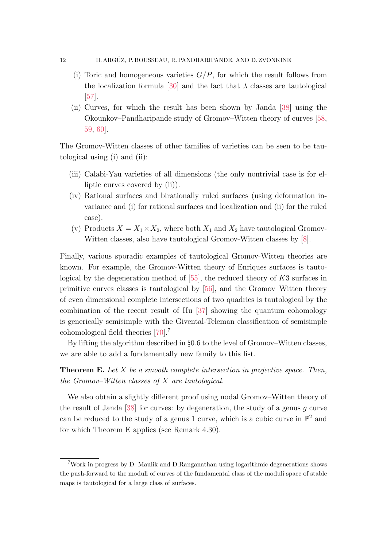### 12 H. ARGÜZ, P. BOUSSEAU, R. PANDHARIPANDE, AND D. ZVONKINE

- (i) Toric and homogeneous varieties  $G/P$ , for which the result follows from the localization formula [\[30\]](#page-87-3) and the fact that  $\lambda$  classes are tautological [\[57\]](#page-88-13).
- (ii) Curves, for which the result has been shown by Janda [\[38\]](#page-87-12) using the Okounkov–Pandharipande study of Gromov–Witten theory of curves [\[58,](#page-88-0) [59,](#page-88-1) [60\]](#page-88-2).

The Gromov-Witten classes of other families of varieties can be seen to be tautological using (i) and (ii):

- (iii) Calabi-Yau varieties of all dimensions (the only nontrivial case is for elliptic curves covered by (ii)).
- (iv) Rational surfaces and birationally ruled surfaces (using deformation invariance and (i) for rational surfaces and localization and (ii) for the ruled case).
- (v) Products  $X = X_1 \times X_2$ , where both  $X_1$  and  $X_2$  have tautological Gromov-Witten classes, also have tautological Gromov-Witten classes by [\[8\]](#page-86-11).

Finally, various sporadic examples of tautological Gromov-Witten theories are known. For example, the Gromov-Witten theory of Enriques surfaces is tautological by the degeneration method of  $[55]$ , the reduced theory of K3 surfaces in primitive curves classes is tautological by [\[56\]](#page-88-16), and the Gromov–Witten theory of even dimensional complete intersections of two quadrics is tautological by the combination of the recent result of Hu [\[37\]](#page-87-9) showing the quantum cohomology is generically semisimple with the Givental-Teleman classification of semisimple cohomological field theories [\[70\]](#page-89-4).[7](#page-11-0)

By lifting the algorithm described in §[0.6](#page-9-0) to the level of Gromov–Witten classes, we are able to add a fundamentally new family to this list.

<span id="page-11-1"></span>**Theorem E.** Let  $X$  be a smooth complete intersection in projective space. Then, the Gromov–Witten classes of X are tautological.

We also obtain a slightly different proof using nodal Gromov–Witten theory of the result of Janda  $[38]$  for curves: by degeneration, the study of a genus g curve can be reduced to the study of a genus 1 curve, which is a cubic curve in  $\mathbb{P}^2$  and for which Theorem [E](#page-11-1) applies (see Remark [4.30\)](#page-79-0).

<span id="page-11-0"></span><sup>7</sup>Work in progress by D. Maulik and D.Ranganathan using logarithmic degenerations shows the push-forward to the moduli of curves of the fundamental class of the moduli space of stable maps is tautological for a large class of surfaces.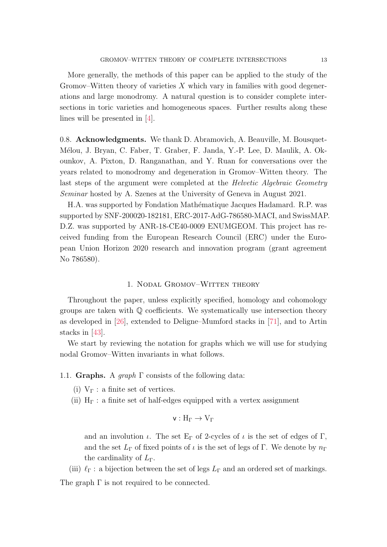More generally, the methods of this paper can be applied to the study of the Gromov–Witten theory of varieties  $X$  which vary in families with good degenerations and large monodromy. A natural question is to consider complete intersections in toric varieties and homogeneous spaces. Further results along these lines will be presented in [\[4\]](#page-86-12).

<span id="page-12-0"></span>0.8. Acknowledgments. We thank D. Abramovich, A. Beauville, M. Bousquet-M´elou, J. Bryan, C. Faber, T. Graber, F. Janda, Y.-P. Lee, D. Maulik, A. Okounkov, A. Pixton, D. Ranganathan, and Y. Ruan for conversations over the years related to monodromy and degeneration in Gromov–Witten theory. The last steps of the argument were completed at the *Helvetic Algebraic Geometry* Seminar hosted by A. Szenes at the University of Geneva in August 2021.

H.A. was supported by Fondation Math´ematique Jacques Hadamard. R.P. was supported by SNF-200020-182181, ERC-2017-AdG-786580-MACI, and SwissMAP. D.Z. was supported by ANR-18-CE40-0009 ENUMGEOM. This project has received funding from the European Research Council (ERC) under the European Union Horizon 2020 research and innovation program (grant agreement No 786580).

#### 1. Nodal Gromov–Witten theory

<span id="page-12-1"></span>Throughout the paper, unless explicitly specified, homology and cohomology groups are taken with Q coefficients. We systematically use intersection theory as developed in [\[26\]](#page-87-13), extended to Deligne–Mumford stacks in [\[71\]](#page-89-5), and to Artin stacks in [\[43\]](#page-87-14).

We start by reviewing the notation for graphs which we will use for studying nodal Gromov–Witten invariants in what follows.

<span id="page-12-2"></span>1.1. Graphs. A graph  $\Gamma$  consists of the following data:

- (i)  $V_{\Gamma}$ : a finite set of vertices.
- (ii)  $H_{\Gamma}$ : a finite set of half-edges equipped with a vertex assignment

$$
v: H_\Gamma \to V_\Gamma
$$

and an involution  $\iota$ . The set E<sub>Γ</sub> of 2-cycles of  $\iota$  is the set of edges of Γ, and the set  $L_{\Gamma}$  of fixed points of  $\iota$  is the set of legs of Γ. We denote by  $n_{\Gamma}$ the cardinality of  $L_{\Gamma}$ .

(iii)  $\ell_{\Gamma}$ : a bijection between the set of legs  $L_{\Gamma}$  and an ordered set of markings.

The graph  $\Gamma$  is not required to be connected.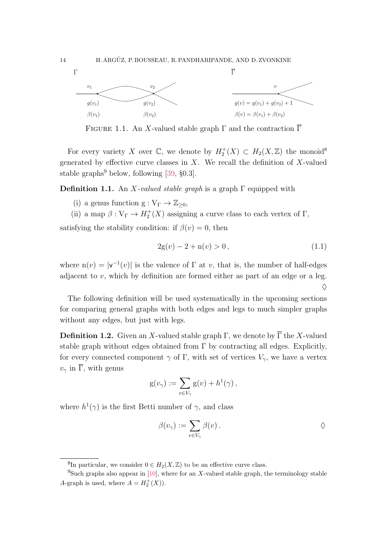

FIGURE 1.1. An X-valued stable graph  $\Gamma$  and the contraction  $\overline{\Gamma}$ 

For every variety X over  $\mathbb{C}$ , we denote by  $H_2^+(X) \subset H_2(X,\mathbb{Z})$  the monoid<sup>[8](#page-13-0)</sup> generated by effective curve classes in  $X$ . We recall the definition of  $X$ -valued stable graphs<sup>[9](#page-13-1)</sup> below, following  $[39, §0.3]$ .

<span id="page-13-3"></span>**Definition 1.1.** An X-valued stable graph is a graph  $\Gamma$  equipped with

- (i) a genus function  $g: V_{\Gamma} \to \mathbb{Z}_{\geq 0}$ ,
- (ii) a map  $\beta: V_{\Gamma} \to H_2^+(X)$  assigning a curve class to each vertex of  $\Gamma$ ,

satisfying the stability condition: if  $\beta(v) = 0$ , then

$$
2g(v) - 2 + n(v) > 0,
$$
\n(1.1)

where  $n(v) = |v^{-1}(v)|$  is the valence of  $\Gamma$  at v, that is, the number of half-edges adjacent to  $v$ , which by definition are formed either as part of an edge or a leg.  $\Diamond$ 

The following definition will be used systematically in the upcoming sections for comparing general graphs with both edges and legs to much simpler graphs without any edges, but just with legs.

<span id="page-13-2"></span>**Definition 1.2.** Given an X-valued stable graph  $\Gamma$ , we denote by  $\overline{\Gamma}$  the X-valued stable graph without edges obtained from  $\Gamma$  by contracting all edges. Explicitly, for every connected component  $\gamma$  of  $\Gamma$ , with set of vertices  $V_{\gamma}$ , we have a vertex  $v_{\gamma}$  in  $\overline{\Gamma}$ , with genus

$$
g(v_{\gamma}) := \sum_{v \in V_{\gamma}} g(v) + h^1(\gamma) ,
$$

where  $h^1(\gamma)$  is the first Betti number of  $\gamma$ , and class

$$
\beta(v_{\gamma}) := \sum_{v \in V_{\gamma}} \beta(v) .
$$

<span id="page-13-1"></span><span id="page-13-0"></span><sup>&</sup>lt;sup>8</sup>In particular, we consider  $0 \in H_2(X, \mathbb{Z})$  to be an effective curve class.

<sup>&</sup>lt;sup>9</sup>Such graphs also appear in [\[10\]](#page-86-13), where for an X-valued stable graph, the terminology stable A-graph is used, where  $A = H_2^+(X)$ .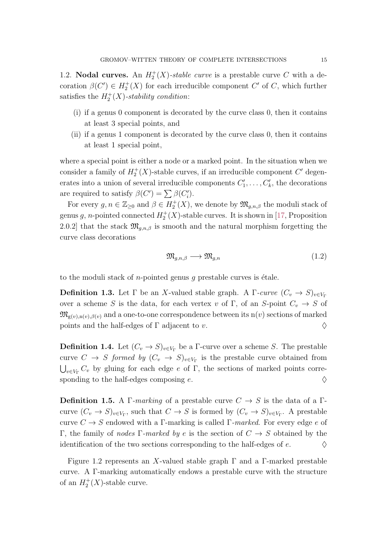<span id="page-14-0"></span>1.2. **Nodal curves.** An  $H_2^+(X)$ -stable curve is a prestable curve C with a decoration  $\beta(C') \in H_2^+(X)$  for each irreducible component C' of C, which further satisfies the  $H_2^+(X)$ -stability condition:

- (i) if a genus 0 component is decorated by the curve class 0, then it contains at least 3 special points, and
- (ii) if a genus 1 component is decorated by the curve class 0, then it contains at least 1 special point,

where a special point is either a node or a marked point. In the situation when we consider a family of  $H_2^+(X)$ -stable curves, if an irreducible component C' degenerates into a union of several irreducible components  $C'_1, \ldots, C'_k$ , the decorations are required to satisfy  $\beta(C') = \sum \beta(C'_i)$ .

For every  $g, n \in \mathbb{Z}_{\geq 0}$  and  $\beta \in H_2^+(X)$ , we denote by  $\mathfrak{M}_{g,n,\beta}$  the moduli stack of genus g, n-pointed connected  $H_2^+(X)$ -stable curves. It is shown in [\[17,](#page-86-14) Proposition 2.0.2] that the stack  $\mathfrak{M}_{q,n,\beta}$  is smooth and the natural morphism forgetting the curve class decorations

<span id="page-14-2"></span>
$$
\mathfrak{M}_{g,n,\beta} \longrightarrow \mathfrak{M}_{g,n} \tag{1.2}
$$

to the moduli stack of *n*-pointed genus q prestable curves is étale.

**Definition 1.3.** Let  $\Gamma$  be an X-valued stable graph. A  $\Gamma$ -curve  $(C_v \rightarrow S)_{v \in V_\Gamma}$ over a scheme S is the data, for each vertex v of Γ, of an S-point  $C_v \to S$  of  $\mathfrak{M}_{g(v),n(v),\beta(v)}$  and a one-to-one correspondence between its  $n(v)$  sections of marked points and the half-edges of  $\Gamma$  adjacent to v.

**Definition 1.4.** Let  $(C_v \to S)_{v \in V_\Gamma}$  be a Γ-curve over a scheme S. The prestable curve  $C \rightarrow S$  formed by  $(C_v \rightarrow S)_{v \in V_\Gamma}$  is the prestable curve obtained from  $\bigcup_{v\in V_{\Gamma}} C_v$  by gluing for each edge e of Γ, the sections of marked points corresponding to the half-edges composing  $e$ .

<span id="page-14-1"></span>**Definition 1.5.** A Γ-marking of a prestable curve  $C \rightarrow S$  is the data of a Γcurve  $(C_v \to S)_{v \in V_\Gamma}$ , such that  $C \to S$  is formed by  $(C_v \to S)_{v \in V_\Gamma}$ . A prestable curve  $C \to S$  endowed with a Γ-marking is called Γ-marked. For every edge e of Γ, the family of nodes Γ-marked by e is the section of  $C \rightarrow S$  obtained by the identification of the two sections corresponding to the half-edges of  $e$ .

Figure [1.2](#page-15-0) represents an X-valued stable graph  $\Gamma$  and a  $\Gamma$ -marked prestable curve. A Γ-marking automatically endows a prestable curve with the structure of an  $H_2^+(X)$ -stable curve.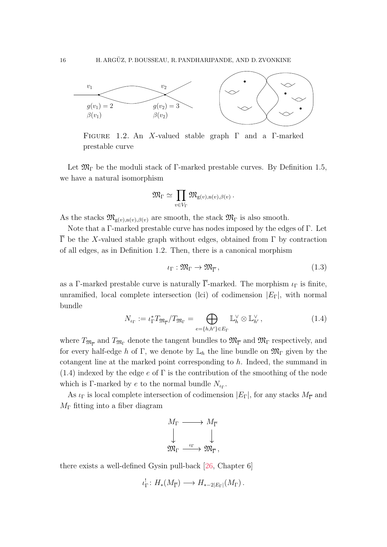

<span id="page-15-0"></span>FIGURE 1.2. An X-valued stable graph  $\Gamma$  and a  $\Gamma$ -marked prestable curve

Let  $\mathfrak{M}_{\Gamma}$  be the moduli stack of Γ-marked prestable curves. By Definition [1.5,](#page-14-1) we have a natural isomorphism

$$
\mathfrak{M}_{\Gamma}\simeq \prod_{v\in V_{\Gamma}}\mathfrak{M}_{\mathrm{g}(v),\mathrm{n}(v),\beta(v)}\,.
$$

As the stacks  $\mathfrak{M}_{g(v),n(v),\beta(v)}$  are smooth, the stack  $\mathfrak{M}_{\Gamma}$  is also smooth.

Note that a Γ-marked prestable curve has nodes imposed by the edges of Γ. Let  $\overline{\Gamma}$  be the X-valued stable graph without edges, obtained from  $\Gamma$  by contraction of all edges, as in Definition [1.2.](#page-13-2) Then, there is a canonical morphism

<span id="page-15-2"></span>
$$
\iota_{\Gamma} : \mathfrak{M}_{\Gamma} \to \mathfrak{M}_{\overline{\Gamma}}, \tag{1.3}
$$

as a Γ-marked prestable curve is naturally  $\overline{\Gamma}$ -marked. The morphism  $\iota_{\Gamma}$  is finite, unramified, local complete intersection (lci) of codimension  $|E_{\Gamma}|$ , with normal bundle

<span id="page-15-1"></span>
$$
N_{\iota_{\Gamma}} := \iota_{\Gamma}^* T_{\mathfrak{M}_{\overline{\Gamma}}}/T_{\mathfrak{M}_{\Gamma}} = \bigoplus_{e=\{h,h'\}\in E_{\Gamma}} \mathbb{L}_h^{\vee} \otimes \mathbb{L}_{h'}^{\vee},\tag{1.4}
$$

where  $T_{\mathfrak{M}_{\overline{\Gamma}}}$  and  $T_{\mathfrak{M}_{\Gamma}}$  denote the tangent bundles to  $\mathfrak{M}_{\overline{\Gamma}}$  and  $\mathfrak{M}_{\Gamma}$  respectively, and for every half-edge h of Γ, we denote by  $\mathbb{L}_h$  the line bundle on  $\mathfrak{M}_{\Gamma}$  given by the cotangent line at the marked point corresponding to h. Indeed, the summand in  $(1.4)$  indexed by the edge e of  $\Gamma$  is the contribution of the smoothing of the node which is Γ-marked by  $e$  to the normal bundle  $N_{t_{\Gamma}}$ .

As  $\iota_{\Gamma}$  is local complete intersection of codimension  $|E_{\Gamma}|$ , for any stacks  $M_{\overline{\Gamma}}$  and  $M_{\Gamma}$  fitting into a fiber diagram

$$
\begin{array}{ccc}\nM_{\Gamma} & \longrightarrow & M_{\overline{\Gamma}} \\
\downarrow & & \downarrow \\
\mathfrak{M}_{\Gamma} & \xrightarrow{\iota_{\Gamma}} & \mathfrak{M}_{\overline{\Gamma}}\n\end{array}
$$

there exists a well-defined Gysin pull-back [\[26,](#page-87-13) Chapter 6]

$$
\iota_{\Gamma}^!: H_*(M_{\overline{\Gamma}}) \longrightarrow H_{*-2|E_{\Gamma}|}(M_{\Gamma}).
$$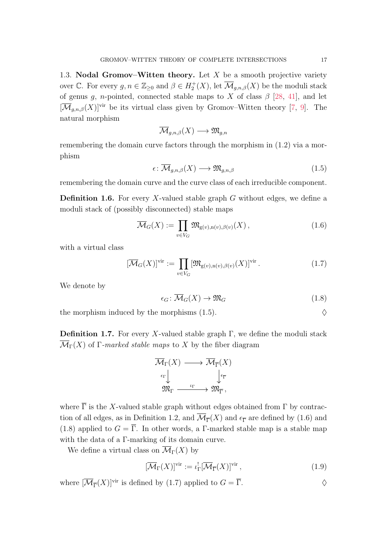<span id="page-16-0"></span>1.3. Nodal Gromov–Witten theory. Let  $X$  be a smooth projective variety over  $\mathbb C$ . For every  $g, n \in \mathbb Z_{\geq 0}$  and  $\beta \in H_2^+(X)$ , let  $\overline{\mathcal M}_{g,n,\beta}(X)$  be the moduli stack of genus g, n-pointed, connected stable maps to X of class  $\beta$  [\[28,](#page-87-0) [41\]](#page-87-6), and let  $[\overline{\mathcal{M}}_{q,n,\beta}(X)]^{\text{vir}}$  be its virtual class given by Gromov–Witten theory [\[7,](#page-86-15) [9\]](#page-86-16). The natural morphism

$$
\overline{\mathcal{M}}_{g,n,\beta}(X) \longrightarrow \mathfrak{M}_{g,n}
$$

remembering the domain curve factors through the morphism in [\(1.2\)](#page-14-2) via a morphism

<span id="page-16-1"></span>
$$
\epsilon \colon \overline{\mathcal{M}}_{g,n,\beta}(X) \longrightarrow \mathfrak{M}_{g,n,\beta} \tag{1.5}
$$

remembering the domain curve and the curve class of each irreducible component.

**Definition 1.6.** For every X-valued stable graph  $G$  without edges, we define a moduli stack of (possibly disconnected) stable maps

<span id="page-16-2"></span>
$$
\overline{\mathcal{M}}_G(X) := \prod_{v \in V_G} \mathfrak{M}_{g(v),n(v),\beta(v)}(X),\tag{1.6}
$$

with a virtual class

<span id="page-16-4"></span>
$$
[\overline{\mathcal{M}}_G(X)]^{\text{vir}} := \prod_{v \in V_G} [\mathfrak{M}_{g(v),n(v),\beta(v)}(X)]^{\text{vir}}.
$$
\n(1.7)

We denote by

<span id="page-16-3"></span>
$$
\epsilon_G \colon \overline{\mathcal{M}}_G(X) \to \mathfrak{M}_G \tag{1.8}
$$

the morphism induced by the morphisms  $(1.5)$ .

**Definition 1.7.** For every X-valued stable graph  $\Gamma$ , we define the moduli stack  $\overline{\mathcal{M}}_{\Gamma}(X)$  of  $\Gamma$ -marked stable maps to X by the fiber diagram



where  $\overline{\Gamma}$  is the X-valued stable graph without edges obtained from  $\Gamma$  by contrac-tion of all edges, as in Definition [1.2,](#page-13-2) and  $\mathcal{M}_{\overline{\Gamma}}(X)$  and  $\epsilon_{\overline{\Gamma}}$  are defined by [\(1.6\)](#page-16-2) and [\(1.8\)](#page-16-3) applied to  $G = \overline{\Gamma}$ . In other words, a Γ-marked stable map is a stable map with the data of a Γ-marking of its domain curve.

We define a virtual class on  $\overline{\mathcal{M}}_{\Gamma}(X)$  by

$$
[\overline{\mathcal{M}}_{\Gamma}(X)]^{\text{vir}} := \iota_{\Gamma}^{!}[\overline{\mathcal{M}}_{\overline{\Gamma}}(X)]^{\text{vir}},\tag{1.9}
$$

where  $[\overline{\mathcal{M}}_{\overline{\Gamma}}(X)]^{\text{vir}}$  is defined by [\(1.7\)](#page-16-4) applied to  $G = \overline{\Gamma}$ .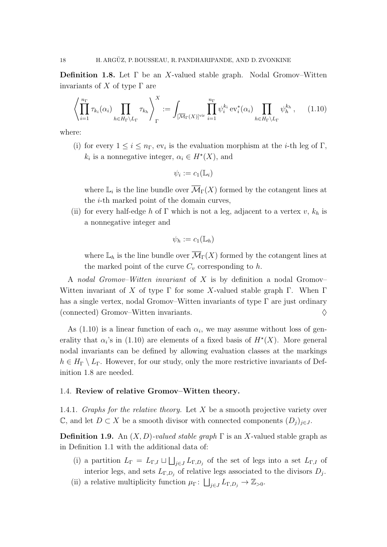<span id="page-17-3"></span>**Definition 1.8.** Let  $\Gamma$  be an X-valued stable graph. Nodal Gromov–Witten invariants of X of type  $\Gamma$  are

<span id="page-17-2"></span>
$$
\left\langle \prod_{i=1}^{n_{\Gamma}} \tau_{k_i}(\alpha_i) \prod_{h \in H_{\Gamma} \setminus L_{\Gamma}} \tau_{k_h} \right\rangle_{\Gamma}^{X} := \int_{\left[ \overline{\mathcal{M}}_{\Gamma}(X) \right]^{\text{vir}}} \prod_{i=1}^{n_{\Gamma}} \psi_i^{k_i} \operatorname{ev}_i^*(\alpha_i) \prod_{h \in H_{\Gamma} \setminus L_{\Gamma}} \psi_h^{k_h}, \quad (1.10)
$$

where:

(i) for every  $1 \leq i \leq n_{\Gamma}$ , ev<sub>i</sub> is the evaluation morphism at the *i*-th leg of  $\Gamma$ ,  $k_i$  is a nonnegative integer,  $\alpha_i \in H^*(X)$ , and

$$
\psi_i := c_1(\mathbb{L}_i)
$$

where  $\mathbb{L}_i$  is the line bundle over  $\overline{\mathcal{M}}_{\Gamma}(X)$  formed by the cotangent lines at the i-th marked point of the domain curves,

(ii) for every half-edge h of Γ which is not a leg, adjacent to a vertex v,  $k_h$  is a nonnegative integer and

$$
\psi_h := c_1(\mathbb{L}_h)
$$

where  $\mathbb{L}_h$  is the line bundle over  $\overline{\mathcal{M}}_{\Gamma}(X)$  formed by the cotangent lines at the marked point of the curve  $C_v$  corresponding to h.

A nodal Gromov–Witten invariant of X is by definition a nodal Gromov– Witten invariant of X of type  $\Gamma$  for some X-valued stable graph  $\Gamma$ . When  $\Gamma$ has a single vertex, nodal Gromov–Witten invariants of type Γ are just ordinary (connected) Gromov–Witten invariants.  $\Diamond$ 

As  $(1.10)$  is a linear function of each  $\alpha_i$ , we may assume without loss of generality that  $\alpha_i$ 's in [\(1.10\)](#page-17-2) are elements of a fixed basis of  $H^*(X)$ . More general nodal invariants can be defined by allowing evaluation classes at the markings  $h \in H_{\Gamma} \setminus L_{\Gamma}$ . However, for our study, only the more restrictive invariants of Definition [1.8](#page-17-3) are needed.

### <span id="page-17-0"></span>1.4. Review of relative Gromov–Witten theory.

<span id="page-17-1"></span>1.4.1. Graphs for the relative theory. Let  $X$  be a smooth projective variety over  $\mathbb{C}$ , and let  $D \subset X$  be a smooth divisor with connected components  $(D_i)_{i \in J}$ .

<span id="page-17-4"></span>**Definition 1.9.** An  $(X, D)$ -valued stable graph  $\Gamma$  is an X-valued stable graph as in Definition [1.1](#page-13-3) with the additional data of:

- (i) a partition  $L_{\Gamma} = L_{\Gamma,I} \sqcup \bigsqcup_{j\in J} L_{\Gamma,D_j}$  of the set of legs into a set  $L_{\Gamma,I}$  of interior legs, and sets  $L_{\Gamma,D_j}$  of relative legs associated to the divisors  $D_j$ .
- (ii) a relative multiplicity function  $\mu_{\Gamma} \colon \bigsqcup_{j \in J} L_{\Gamma,D_j} \to \mathbb{Z}_{>0}$ .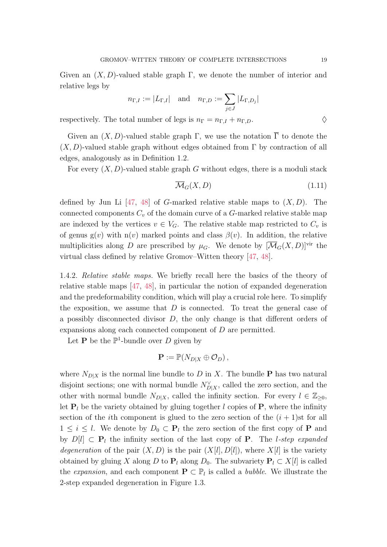Given an  $(X, D)$ -valued stable graph Γ, we denote the number of interior and relative legs by

$$
n_{\Gamma,I}:=|L_{\Gamma,I}| \quad \text{and} \quad n_{\Gamma,D}:=\sum_{j\in J}|L_{\Gamma,D_j}|
$$

respectively. The total number of legs is  $n_{\Gamma} = n_{\Gamma,I} + n_{\Gamma,D}$ .

Given an  $(X, D)$ -valued stable graph Γ, we use the notation  $\overline{\Gamma}$  to denote the  $(X, D)$ -valued stable graph without edges obtained from Γ by contraction of all edges, analogously as in Definition [1.2.](#page-13-2)

For every  $(X, D)$ -valued stable graph G without edges, there is a moduli stack

<span id="page-18-1"></span>
$$
\overline{\mathcal{M}}_G(X, D) \tag{1.11}
$$

defined by Jun Li  $[47, 48]$  $[47, 48]$  of G-marked relative stable maps to  $(X, D)$ . The connected components  $C_v$  of the domain curve of a  $G$ -marked relative stable map are indexed by the vertices  $v \in V_G$ . The relative stable map restricted to  $C_v$  is of genus  $g(v)$  with  $n(v)$  marked points and class  $\beta(v)$ . In addition, the relative multiplicities along D are prescribed by  $\mu_G$ . We denote by  $[\overline{\mathcal{M}}_G(X, D)]^{\text{vir}}$  the virtual class defined by relative Gromov–Witten theory [\[47,](#page-88-9) [48\]](#page-88-7).

<span id="page-18-0"></span>1.4.2. Relative stable maps. We briefly recall here the basics of the theory of relative stable maps [\[47,](#page-88-9) [48\]](#page-88-7), in particular the notion of expanded degeneration and the predeformability condition, which will play a crucial role here. To simplify the exposition, we assume that  $D$  is connected. To treat the general case of a possibly disconnected divisor  $D$ , the only change is that different orders of expansions along each connected component of D are permitted.

Let **P** be the  $\mathbb{P}^1$ -bundle over D given by

$$
\mathbf{P} := \mathbb{P}(N_{D|X} \oplus \mathcal{O}_D),
$$

where  $N_{D|X}$  is the normal line bundle to D in X. The bundle **P** has two natural disjoint sections; one with normal bundle  $N_{D|X}^{\vee}$ , called the zero section, and the other with normal bundle  $N_{D|X}$ , called the infinity section. For every  $l \in \mathbb{Z}_{\geq 0}$ , let  $P_l$  be the variety obtained by gluing together l copies of P, where the infinity section of the *i*th component is glued to the zero section of the  $(i + 1)$ st for all  $1 \leq i \leq l$ . We denote by  $D_0 \subset \mathbf{P}_l$  the zero section of the first copy of **P** and by  $D[l] \subset \mathbf{P}_l$  the infinity section of the last copy of **P**. The *l*-step expanded degeneration of the pair  $(X, D)$  is the pair  $(X[l], D[l])$ , where  $X[l]$  is the variety obtained by gluing X along D to  $P_l$  along  $D_0$ . The subvariety  $P_l \subset X[l]$  is called the expansion, and each component  $\mathbf{P} \subset \mathbb{P}_l$  is called a *bubble*. We illustrate the 2-step expanded degeneration in Figure [1.3.](#page-19-0)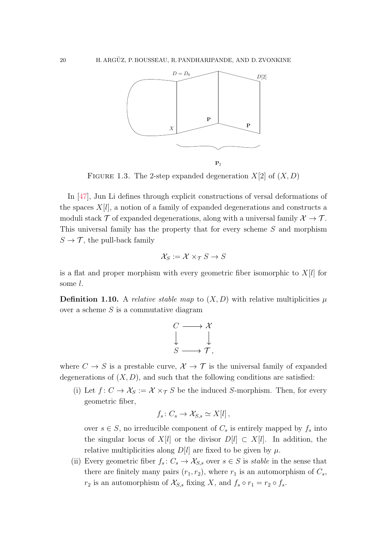

<span id="page-19-0"></span>FIGURE 1.3. The 2-step expanded degeneration  $X[2]$  of  $(X, D)$ 

In [\[47\]](#page-88-9), Jun Li defines through explicit constructions of versal deformations of the spaces  $X[l]$ , a notion of a family of expanded degenerations and constructs a moduli stack T of expanded degenerations, along with a universal family  $\mathcal{X} \to \mathcal{T}$ . This universal family has the property that for every scheme S and morphism  $S \to \mathcal{T}$ , the pull-back family

$$
\mathcal{X}_S := \mathcal{X} \times_{\mathcal{T}} S \to S
$$

is a flat and proper morphism with every geometric fiber isomorphic to  $X[l]$  for some l.

<span id="page-19-1"></span>**Definition 1.10.** A *relative stable map* to  $(X, D)$  with relative multiplicities  $\mu$ over a scheme  $S$  is a commutative diagram



where  $C \to S$  is a prestable curve,  $\mathcal{X} \to \mathcal{T}$  is the universal family of expanded degenerations of  $(X, D)$ , and such that the following conditions are satisfied:

(i) Let  $f: C \to \mathcal{X}_S := \mathcal{X} \times_{\mathcal{T}} S$  be the induced S-morphism. Then, for every geometric fiber,

$$
f_s\colon C_s\to \mathcal{X}_{S,s}\simeq X[l],
$$

over  $s \in S$ , no irreducible component of  $C_s$  is entirely mapped by  $f_s$  into the singular locus of  $X[l]$  or the divisor  $D[l] \subset X[l]$ . In addition, the relative multiplicities along  $D[l]$  are fixed to be given by  $\mu$ .

(ii) Every geometric fiber  $f_s: C_s \to \mathcal{X}_{S,s}$  over  $s \in S$  is stable in the sense that there are finitely many pairs  $(r_1, r_2)$ , where  $r_1$  is an automorphism of  $C_s$ ,  $r_2$  is an automorphism of  $\mathcal{X}_{S,s}$  fixing X, and  $f_s \circ r_1 = r_2 \circ f_s$ .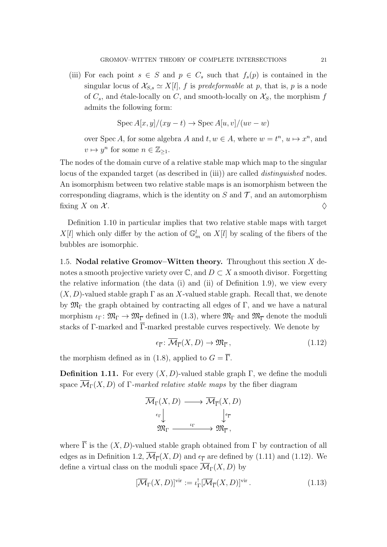(iii) For each point  $s \in S$  and  $p \in C_s$  such that  $f_s(p)$  is contained in the singular locus of  $\mathcal{X}_{S,s} \simeq X[l]$ , f is predeformable at p, that is, p is a node of  $C_s$ , and étale-locally on C, and smooth-locally on  $\mathcal{X}_s$ , the morphism f admits the following form:

$$
Spec A[x, y]/(xy - t) \rightarrow Spec A[u, v]/(uv - w)
$$

over Spec A, for some algebra A and  $t, w \in A$ , where  $w = t^n$ ,  $u \mapsto x^n$ , and  $v \mapsto y^n$  for some  $n \in \mathbb{Z}_{\geq 1}$ .

The nodes of the domain curve of a relative stable map which map to the singular locus of the expanded target (as described in (iii)) are called *distinguished* nodes. An isomorphism between two relative stable maps is an isomorphism between the corresponding diagrams, which is the identity on  $S$  and  $\mathcal T$ , and an automorphism fixing X on X.

Definition [1.10](#page-19-1) in particular implies that two relative stable maps with target  $X[l]$  which only differ by the action of  $\mathbb{G}_m^l$  on  $X[l]$  by scaling of the fibers of the bubbles are isomorphic.

<span id="page-20-0"></span>1.5. Nodal relative Gromov–Witten theory. Throughout this section  $X$  denotes a smooth projective variety over  $\mathbb{C}$ , and  $D \subset X$  a smooth divisor. Forgetting the relative information (the data (i) and (ii) of Definition [1.9\)](#page-17-4), we view every  $(X, D)$ -valued stable graph  $\Gamma$  as an X-valued stable graph. Recall that, we denote by  $\mathfrak{M}_{\Gamma}$  the graph obtained by contracting all edges of  $\Gamma$ , and we have a natural morphism  $\iota_{\Gamma} : \mathfrak{M}_{\Gamma} \to \mathfrak{M}_{\Gamma}$  defined in [\(1.3\)](#page-15-2), where  $\mathfrak{M}_{\Gamma}$  and  $\mathfrak{M}_{\Gamma}$  denote the moduli stacks of Γ-marked and  $\overline{\Gamma}$ -marked prestable curves respectively. We denote by

<span id="page-20-1"></span>
$$
\epsilon_{\overline{\Gamma}} \colon \overline{\mathcal{M}}_{\overline{\Gamma}}(X, D) \to \mathfrak{M}_{\overline{\Gamma}},\tag{1.12}
$$

the morphism defined as in [\(1.8\)](#page-16-3), applied to  $G = \overline{\Gamma}$ .

**Definition 1.11.** For every  $(X, D)$ -valued stable graph Γ, we define the moduli space  $\overline{\mathcal{M}}_{\Gamma}(X, D)$  of Γ-marked relative stable maps by the fiber diagram

$$
\overline{\mathcal{M}}_{\Gamma}(X, D) \longrightarrow \overline{\mathcal{M}}_{\overline{\Gamma}}(X, D) \\
\xrightarrow{\epsilon_{\Gamma}} \downarrow \qquad \qquad \downarrow^{\epsilon_{\overline{\Gamma}}}
$$
\n
$$
\mathfrak{M}_{\Gamma} \longrightarrow \mathfrak{M}_{\overline{\Gamma}},
$$

where  $\overline{\Gamma}$  is the  $(X, D)$ -valued stable graph obtained from  $\Gamma$  by contraction of all edges as in Definition [1.2,](#page-13-2)  $\overline{\mathcal{M}}_{\overline{\Gamma}}(X, D)$  and  $\epsilon_{\overline{\Gamma}}$  are defined by [\(1.11\)](#page-18-1) and [\(1.12\)](#page-20-1). We define a virtual class on the moduli space  $\overline{\mathcal{M}}_{\Gamma}(X, D)$  by

<span id="page-20-2"></span>
$$
[\overline{\mathcal{M}}_{\Gamma}(X,D)]^{\text{vir}} := \iota_{\Gamma}^![\overline{\mathcal{M}}_{\overline{\Gamma}}(X,D)]^{\text{vir}}.
$$
\n(1.13)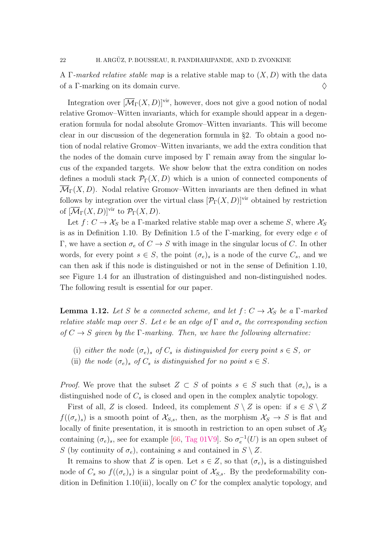A Γ-marked relative stable map is a relative stable map to  $(X, D)$  with the data of a Γ-marking on its domain curve.  $\Diamond$ 

Integration over  $[\overline{\mathcal{M}}_{\Gamma}(X, D)]^{\text{vir}}$ , however, does not give a good notion of nodal relative Gromov–Witten invariants, which for example should appear in a degeneration formula for nodal absolute Gromov–Witten invariants. This will become clear in our discussion of the degeneration formula in §[2.](#page-24-0) To obtain a good notion of nodal relative Gromov–Witten invariants, we add the extra condition that the nodes of the domain curve imposed by  $\Gamma$  remain away from the singular locus of the expanded targets. We show below that the extra condition on nodes defines a moduli stack  $\mathcal{P}_{\Gamma}(X, D)$  which is a union of connected components of  $\overline{\mathcal{M}}_{\Gamma}(X, D)$ . Nodal relative Gromov–Witten invariants are then defined in what follows by integration over the virtual class  $[\mathcal{P}_{\Gamma}(X, D)]^{\text{vir}}$  obtained by restriction of  $[\overline{\mathcal{M}}_{\Gamma}(X,D)]^{\text{vir}}$  to  $\mathcal{P}_{\Gamma}(X,D)$ .

Let  $f: C \to \mathcal{X}_S$  be a Γ-marked relative stable map over a scheme S, where  $\mathcal{X}_S$ is as in Definition [1.10.](#page-19-1) By Definition [1.5](#page-14-1) of the Γ-marking, for every edge e of Γ, we have a section  $\sigma_e$  of  $C \to S$  with image in the singular locus of C. In other words, for every point  $s \in S$ , the point  $(\sigma_e)_s$  is a node of the curve  $C_s$ , and we can then ask if this node is distinguished or not in the sense of Definition [1.10,](#page-19-1) see Figure [1.4](#page-22-0) for an illustration of distinguished and non-distinguished nodes. The following result is essential for our paper.

<span id="page-21-0"></span>**Lemma 1.12.** Let S be a connected scheme, and let  $f: C \rightarrow X_S$  be a  $\Gamma$ -marked relative stable map over S. Let e be an edge of  $\Gamma$  and  $\sigma_e$  the corresponding section of  $C \rightarrow S$  given by the  $\Gamma$ -marking. Then, we have the following alternative:

- (i) either the node  $(\sigma_e)_s$  of  $C_s$  is distinguished for every point  $s \in S$ , or
- (ii) the node  $(\sigma_e)_s$  of  $C_s$  is distinguished for no point  $s \in S$ .

*Proof.* We prove that the subset  $Z \subset S$  of points  $s \in S$  such that  $(\sigma_e)_s$  is a distinguished node of  $C_s$  is closed and open in the complex analytic topology.

First of all, Z is closed. Indeed, its complement  $S \setminus Z$  is open: if  $s \in S \setminus Z$  $f((\sigma_e)_s)$  is a smooth point of  $\mathcal{X}_{S,s}$ , then, as the morphism  $\mathcal{X}_S \to S$  is flat and locally of finite presentation, it is smooth in restriction to an open subset of  $\mathcal{X}_S$ containing  $(\sigma_e)_s$ , see for example [\[66,](#page-89-6) [Tag 01V9\]](https://stacks.math.columbia.edu/tag/01V9). So  $\sigma_e^{-1}(U)$  is an open subset of S (by continuity of  $\sigma_e$ ), containing s and contained in  $S \setminus Z$ .

It remains to show that Z is open. Let  $s \in Z$ , so that  $(\sigma_e)_s$  is a distinguished node of  $C_s$  so  $f((\sigma_e)_s)$  is a singular point of  $\mathcal{X}_{S,s}$ . By the predeformability con-dition in Definition [1.10\(](#page-19-1)iii), locally on C for the complex analytic topology, and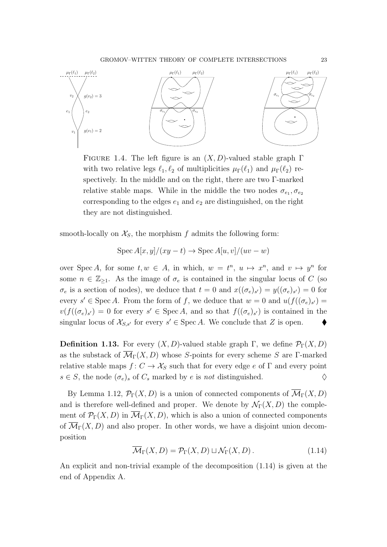

<span id="page-22-0"></span>FIGURE 1.4. The left figure is an  $(X, D)$ -valued stable graph  $\Gamma$ with two relative legs  $\ell_1, \ell_2$  of multiplicities  $\mu_{\Gamma}(\ell_1)$  and  $\mu_{\Gamma}(\ell_2)$  respectively. In the middle and on the right, there are two Γ-marked relative stable maps. While in the middle the two nodes  $\sigma_{e_1}, \sigma_{e_2}$ corresponding to the edges  $e_1$  and  $e_2$  are distinguished, on the right they are not distinguished.

smooth-locally on  $\mathcal{X}_S$ , the morphism f admits the following form:

$$
Spec A[x, y]/(xy - t) \rightarrow Spec A[u, v]/(uv - w)
$$

over Spec A, for some  $t, w \in A$ , in which,  $w = t^n$ ,  $u \mapsto x^n$ , and  $v \mapsto y^n$  for some  $n \in \mathbb{Z}_{\geq 1}$ . As the image of  $\sigma_e$  is contained in the singular locus of C (so  $\sigma_e$  is a section of nodes), we deduce that  $t=0$  and  $x((\sigma_e)_{s'})=y((\sigma_e)_{s'})=0$  for every  $s' \in \text{Spec } A$ . From the form of f, we deduce that  $w = 0$  and  $u(f((\sigma_e)_{s'}) =$  $v(f((\sigma_e)_{s'})=0$  for every  $s' \in \text{Spec } A$ , and so that  $f((\sigma_e)_{s'})$  is contained in the singular locus of  $\mathcal{X}_{S,s'}$  for every  $s' \in \text{Spec } A$ . We conclude that Z is open.

<span id="page-22-2"></span>**Definition 1.13.** For every  $(X, D)$ -valued stable graph Γ, we define  $\mathcal{P}_{\Gamma}(X, D)$ as the substack of  $\overline{\mathcal{M}}_{\Gamma}(X, D)$  whose S-points for every scheme S are Γ-marked relative stable maps  $f: C \to \mathcal{X}_S$  such that for every edge e of  $\Gamma$  and every point  $s \in S$ , the node  $(\sigma_e)_s$  of  $C_s$  marked by e is not distinguished.  $\diamondsuit$ 

By Lemma [1.12,](#page-21-0)  $\mathcal{P}_{\Gamma}(X, D)$  is a union of connected components of  $\mathcal{M}_{\Gamma}(X, D)$ and is therefore well-defined and proper. We denote by  $\mathcal{N}_{\Gamma}(X, D)$  the complement of  $\mathcal{P}_{\Gamma}(X, D)$  in  $\overline{\mathcal{M}}_{\Gamma}(X, D)$ , which is also a union of connected components of  $\overline{\mathcal{M}}_{\Gamma}(X, D)$  and also proper. In other words, we have a disjoint union decomposition

<span id="page-22-1"></span>
$$
\overline{\mathcal{M}}_{\Gamma}(X,D) = \mathcal{P}_{\Gamma}(X,D) \sqcup \mathcal{N}_{\Gamma}(X,D). \qquad (1.14)
$$

An explicit and non-trivial example of the decomposition [\(1.14\)](#page-22-1) is given at the end of Appendix [A.](#page-80-0)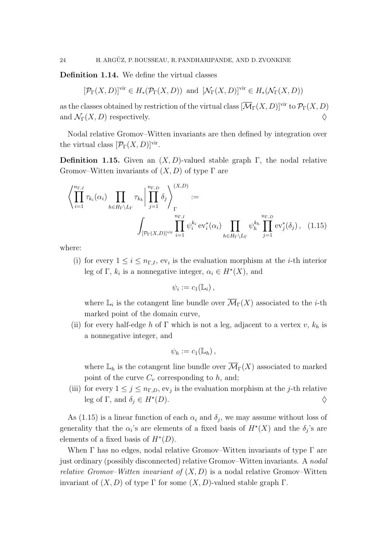<span id="page-23-2"></span>Definition 1.14. We define the virtual classes

<span id="page-23-0"></span>
$$
[\mathcal{P}_{\Gamma}(X,D)]^{\text{vir}} \in H_*(\mathcal{P}_{\Gamma}(X,D))
$$
 and  $[\mathcal{N}_{\Gamma}(X,D)]^{\text{vir}} \in H_*(\mathcal{N}_{\Gamma}(X,D))$ 

as the classes obtained by restriction of the virtual class  $[\overline{\mathcal{M}}_{\Gamma}(X, D)]^{\text{vir}}$  to  $\mathcal{P}_{\Gamma}(X, D)$ and  $\mathcal{N}_{\Gamma}(X, D)$  respectively.

Nodal relative Gromov–Witten invariants are then defined by integration over the virtual class  $[\mathcal{P}_{\Gamma}(X,D)]^{\text{vir}}$ .

<span id="page-23-1"></span>Definition 1.15. Given an  $(X, D)$ -valued stable graph Γ, the nodal relative Gromov–Witten invariants of  $(X, D)$  of type  $\Gamma$  are

$$
\left\langle \prod_{i=1}^{n_{\Gamma,I}} \tau_{k_i}(\alpha_i) \prod_{h \in H_{\Gamma} \setminus L_{\Gamma}} \tau_{k_h} \middle| \prod_{j=1}^{n_{\Gamma,D}} \delta_j \right\rangle_{\Gamma}^{(X,D)} :=
$$
\n
$$
\int_{[\mathcal{P}_{\Gamma}(X,D)]^{\text{vir}}} \prod_{i=1}^{n_{\Gamma,I}} \psi_i^{k_i} \operatorname{ev}_i^*(\alpha_i) \prod_{h \in H_{\Gamma} \setminus L_{\Gamma}} \psi_h^{k_h} \prod_{j=1}^{n_{\Gamma,D}} \operatorname{ev}_j^*(\delta_j), \quad (1.15)
$$

where:

(i) for every  $1 \leq i \leq n_{\Gamma,I}$ , ev<sub>i</sub> is the evaluation morphism at the *i*-th interior leg of Γ,  $k_i$  is a nonnegative integer,  $\alpha_i \in H^*(X)$ , and

$$
\psi_i := c_1(\mathbb{L}_i) \,,
$$

where  $\mathbb{L}_i$  is the cotangent line bundle over  $\overline{\mathcal{M}}_{\Gamma}(X)$  associated to the *i*-th marked point of the domain curve,

(ii) for every half-edge h of Γ which is not a leg, adjacent to a vertex v,  $k_h$  is a nonnegative integer, and

$$
\psi_h := c_1(\mathbb{L}_h) \,,
$$

where  $\mathbb{L}_h$  is the cotangent line bundle over  $\overline{\mathcal{M}}_{\Gamma}(X)$  associated to marked point of the curve  $C_v$  corresponding to  $h$ , and;

(iii) for every  $1 \leq j \leq n_{\Gamma,D}$ , ev<sub>j</sub> is the evaluation morphism at the j-th relative leg of Γ, and  $\delta_j \in H^*(D)$ .  $(D).$ 

As [\(1.15\)](#page-23-0) is a linear function of each  $\alpha_i$  and  $\delta_j$ , we may assume without loss of generality that the  $\alpha_i$ 's are elements of a fixed basis of  $H^*(X)$  and the  $\delta_j$ 's are elements of a fixed basis of  $H^*(D)$ .

When  $\Gamma$  has no edges, nodal relative Gromov–Witten invariants of type  $\Gamma$  are just ordinary (possibly disconnected) relative Gromov–Witten invariants. A nodal relative Gromov–Witten invariant of  $(X, D)$  is a nodal relative Gromov–Witten invariant of  $(X, D)$  of type  $\Gamma$  for some  $(X, D)$ -valued stable graph  $\Gamma$ .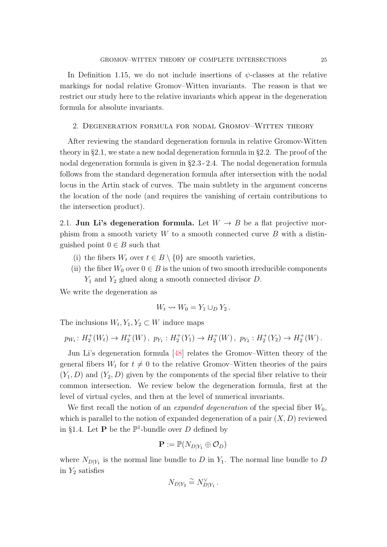In Definition [1.15,](#page-23-1) we do not include insertions of  $\psi$ -classes at the relative markings for nodal relative Gromov–Witten invariants. The reason is that we restrict our study here to the relative invariants which appear in the degeneration formula for absolute invariants.

<span id="page-24-0"></span>2. Degeneration formula for nodal Gromov–Witten theory

After reviewing the standard degeneration formula in relative Gromov-Witten theory in  $\S2.1$ , we state a new nodal degeneration formula in  $\S2.2$ . The proof of the nodal degeneration formula is given in §[2.3](#page-32-0) - [2.4.](#page-35-0) The nodal degeneration formula follows from the standard degeneration formula after intersection with the nodal locus in the Artin stack of curves. The main subtlety in the argument concerns the location of the node (and requires the vanishing of certain contributions to the intersection product).

<span id="page-24-1"></span>2.1. Jun Li's degeneration formula. Let  $W \to B$  be a flat projective morphism from a smooth variety  $W$  to a smooth connected curve  $B$  with a distinguished point  $0 \in B$  such that

- (i) the fibers  $W_t$  over  $t \in B \setminus \{0\}$  are smooth varieties,
- (ii) the fiber  $W_0$  over  $0 \in B$  is the union of two smooth irreducible components  $Y_1$  and  $Y_2$  glued along a smooth connected divisor D.

We write the degeneration as

$$
W_t \leadsto W_0 = Y_1 \cup_D Y_2.
$$

The inclusions  $W_t, Y_1, Y_2 \subset W$  induce maps

 $p_{W_t}: H_2^+(W_t) \to H_2^+(W)$ ,  $p_{Y_1}: H_2^+(Y_1) \to H_2^+(W)$ ,  $p_{Y_2}: H_2^+(Y_2) \to H_2^+(W)$ .

Jun Li's degeneration formula [\[48\]](#page-88-7) relates the Gromov–Witten theory of the general fibers  $W_t$  for  $t \neq 0$  to the relative Gromov–Witten theories of the pairs  $(Y_1, D)$  and  $(Y_2, D)$  given by the components of the special fiber relative to their common intersection. We review below the degeneration formula, first at the level of virtual cycles, and then at the level of numerical invariants.

We first recall the notion of an *expanded degeneration* of the special fiber  $W_0$ , which is parallel to the notion of expanded degeneration of a pair  $(X, D)$  reviewed in §[1.4.](#page-17-0) Let **P** be the  $\mathbb{P}^1$ -bundle over D defined by

$$
\mathbf{P} := \mathbb{P}(N_{D|Y_1} \oplus \mathcal{O}_D)
$$

where  $N_{D|Y_1}$  is the normal line bundle to D in  $Y_1$ . The normal line bundle to D in  $Y_2$  satisfies

$$
N_{D|Y_2} \stackrel{\sim}{=} N_{D|Y_1}^{\vee}.
$$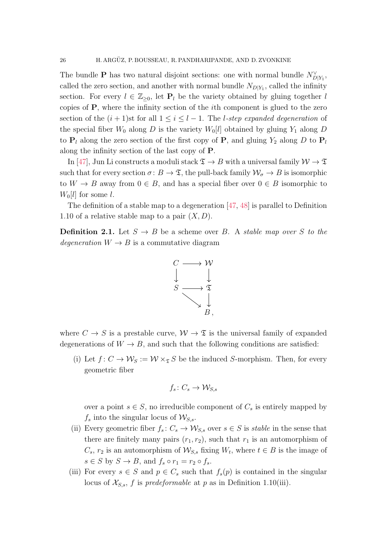The bundle **P** has two natural disjoint sections: one with normal bundle  $N_{D|Y_1}^{\vee}$ , called the zero section, and another with normal bundle  $N_{D|Y_1}$ , called the infinity section. For every  $l \in \mathbb{Z}_{\geq 0}$ , let  $P_l$  be the variety obtained by gluing together l copies of P, where the infinity section of the ith component is glued to the zero section of the  $(i + 1)$ st for all  $1 \leq i \leq l - 1$ . The *l*-step expanded degeneration of the special fiber  $W_0$  along D is the variety  $W_0[l]$  obtained by gluing  $Y_1$  along D to  $P_l$  along the zero section of the first copy of P, and gluing  $Y_2$  along D to  $P_l$ along the infinity section of the last copy of P.

In [\[47\]](#page-88-9), Jun Li constructs a moduli stack  $\mathfrak{T} \to B$  with a universal family  $\mathcal{W} \to \mathfrak{T}$ such that for every section  $\sigma: B \to \mathfrak{T}$ , the pull-back family  $\mathcal{W}_{\sigma} \to B$  is isomorphic to  $W \to B$  away from  $0 \in B$ , and has a special fiber over  $0 \in B$  isomorphic to  $W_0[l]$  for some l.

The definition of a stable map to a degeneration [\[47,](#page-88-9) [48\]](#page-88-7) is parallel to Definition [1.10](#page-19-1) of a relative stable map to a pair  $(X, D)$ .

<span id="page-25-0"></span>**Definition 2.1.** Let  $S \rightarrow B$  be a scheme over B. A *stable map over* S to the degeneration  $W \to B$  is a commutative diagram



where  $C \to S$  is a prestable curve,  $W \to \mathfrak{T}$  is the universal family of expanded degenerations of  $W \to B$ , and such that the following conditions are satisfied:

(i) Let  $f: C \to \mathcal{W}_S := \mathcal{W} \times_{\mathfrak{T}} S$  be the induced S-morphism. Then, for every geometric fiber

$$
f_s\colon C_s\to \mathcal W_{S,s}
$$

over a point  $s \in S$ , no irreducible component of  $C_s$  is entirely mapped by  $f_s$  into the singular locus of  $\mathcal{W}_{S,s}$ .

- (ii) Every geometric fiber  $f_s: C_s \to \mathcal{W}_{S,s}$  over  $s \in S$  is stable in the sense that there are finitely many pairs  $(r_1, r_2)$ , such that  $r_1$  is an automorphism of  $C_s$ ,  $r_2$  is an automorphism of  $\mathcal{W}_{S,s}$  fixing  $W_t$ , where  $t \in B$  is the image of  $s \in S$  by  $S \to B$ , and  $f_s \circ r_1 = r_2 \circ f_s$ .
- (iii) For every  $s \in S$  and  $p \in C_s$  such that  $f_s(p)$  is contained in the singular locus of  $\mathcal{X}_{S,s}$ , f is predeformable at p as in Definition [1.10\(](#page-19-1)iii).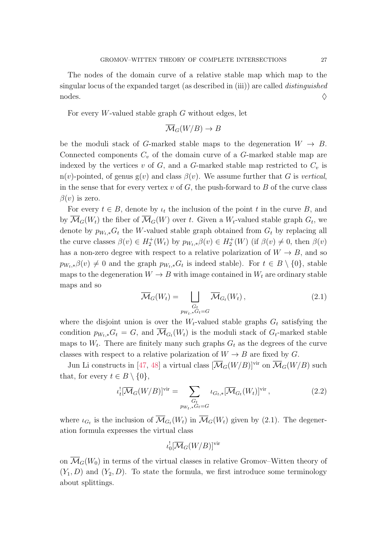For every W-valued stable graph  $G$  without edges, let

$$
\overline{\mathcal{M}}_G(W/B) \to B
$$

be the moduli stack of G-marked stable maps to the degeneration  $W \to B$ . Connected components  $C_v$  of the domain curve of a G-marked stable map are indexed by the vertices v of  $G$ , and a  $G$ -marked stable map restricted to  $C_v$  is n(v)-pointed, of genus g(v) and class  $\beta(v)$ . We assume further that G is vertical, in the sense that for every vertex  $v$  of  $G$ , the push-forward to  $B$  of the curve class  $\beta(v)$  is zero.

For every  $t \in B$ , denote by  $\iota_t$  the inclusion of the point t in the curve B, and by  $\mathcal{M}_G(W_t)$  the fiber of  $\mathcal{M}_G(W)$  over t. Given a  $W_t$ -valued stable graph  $G_t$ , we denote by  $p_{W_t,*}G_t$  the W-valued stable graph obtained from  $G_t$  by replacing all the curve classes  $\beta(v) \in H_2^+(W_t)$  by  $p_{W_t,*}\beta(v) \in H_2^+(W)$  (if  $\beta(v) \neq 0$ , then  $\beta(v)$ has a non-zero degree with respect to a relative polarization of  $W \to B$ , and so  $p_{W_t,*} \beta(v) \neq 0$  and the graph  $p_{W_t,*} G_t$  is indeed stable). For  $t \in B \setminus \{0\}$ , stable maps to the degeneration  $W \to B$  with image contained in  $W_t$  are ordinary stable maps and so

<span id="page-26-0"></span>
$$
\overline{\mathcal{M}}_G(W_t) = \bigsqcup_{\substack{G_t \\ p_{W_t,*}G_t = G}} \overline{\mathcal{M}}_{G_t}(W_t), \qquad (2.1)
$$

where the disjoint union is over the  $W_t$ -valued stable graphs  $G_t$  satisfying the condition  $p_{W_t,*}G_t = G$ , and  $\overline{\mathcal{M}}_{G_t}(W_t)$  is the moduli stack of  $G_t$ -marked stable maps to  $W_t$ . There are finitely many such graphs  $G_t$  as the degrees of the curve classes with respect to a relative polarization of  $W \to B$  are fixed by G.

Jun Li constructs in [\[47,](#page-88-9) [48\]](#page-88-7) a virtual class  $[\overline{\mathcal{M}}_G(W/B)]^{\text{vir}}$  on  $\overline{\mathcal{M}}_G(W/B)$  such that, for every  $t \in B \setminus \{0\},\$ 

<span id="page-26-1"></span>
$$
\iota_t^![\overline{\mathcal{M}}_G(W/B)]^{\text{vir}} = \sum_{\substack{G_t \\ p_{W_t,*}G_t = G}} \iota_{G_t,*}[\overline{\mathcal{M}}_{G_t}(W_t)]^{\text{vir}} ,
$$
\n(2.2)

where  $\iota_{G_t}$  is the inclusion of  $\overline{M}_{G_t}(W_t)$  in  $\overline{M}_G(W_t)$  given by [\(2.1\)](#page-26-0). The degeneration formula expresses the virtual class

$$
\iota _0^![\overline{\mathcal{M}}_G(W/B)]^{\mathrm{vir}}
$$

on  $\overline{\mathcal{M}}_{G}(W_0)$  in terms of the virtual classes in relative Gromov–Witten theory of  $(Y_1, D)$  and  $(Y_2, D)$ . To state the formula, we first introduce some terminology about splittings.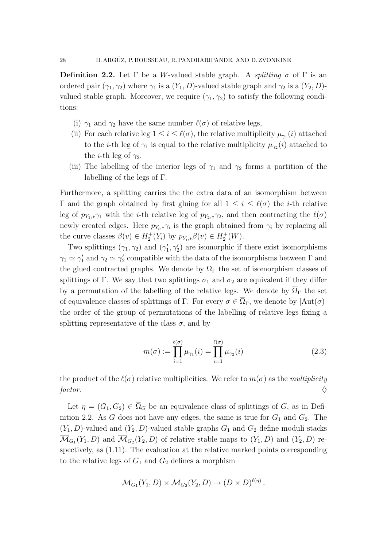<span id="page-27-0"></span>**Definition 2.2.** Let  $\Gamma$  be a W-valued stable graph. A *splitting*  $\sigma$  of  $\Gamma$  is an ordered pair  $(\gamma_1, \gamma_2)$  where  $\gamma_1$  is a  $(Y_1, D)$ -valued stable graph and  $\gamma_2$  is a  $(Y_2, D)$ valued stable graph. Moreover, we require  $(\gamma_1, \gamma_2)$  to satisfy the following conditions:

- (i)  $\gamma_1$  and  $\gamma_2$  have the same number  $\ell(\sigma)$  of relative legs,
- (ii) For each relative leg  $1 \leq i \leq \ell(\sigma)$ , the relative multiplicity  $\mu_{\gamma_1}(i)$  attached to the *i*-th leg of  $\gamma_1$  is equal to the relative multiplicity  $\mu_{\gamma_2}(i)$  attached to the *i*-th leg of  $\gamma_2$ .
- (iii) The labelling of the interior legs of  $\gamma_1$  and  $\gamma_2$  forms a partition of the labelling of the legs of Γ.

Furthermore, a splitting carries the the extra data of an isomorphism between Γ and the graph obtained by first gluing for all  $1 \leq i \leq \ell(\sigma)$  the *i*-th relative leg of  $p_{Y_1,*}\gamma_1$  with the *i*-th relative leg of  $p_{Y_2,*}\gamma_2$ , and then contracting the  $\ell(\sigma)$ newly created edges. Here  $p_{Y_i,*}\gamma_i$  is the graph obtained from  $\gamma_i$  by replacing all the curve classes  $\beta(v) \in H_2^+(Y_i)$  by  $p_{Y_i,*}\beta(v) \in H_2^+(W)$ .

Two splittings  $(\gamma_1, \gamma_2)$  and  $(\gamma'_1, \gamma'_2)$  are isomorphic if there exist isomorphisms  $\gamma_1 \simeq \gamma_1'$  and  $\gamma_2 \simeq \gamma_2'$  compatible with the data of the isomorphisms between  $\Gamma$  and the glued contracted graphs. We denote by  $\Omega_{\Gamma}$  the set of isomorphism classes of splittings of Γ. We say that two splittings  $\sigma_1$  and  $\sigma_2$  are equivalent if they differ by a permutation of the labelling of the relative legs. We denote by  $\overline{\Omega}_{\Gamma}$  the set of equivalence classes of splittings of Γ. For every  $\sigma \in \overline{\Omega}_{\Gamma}$ , we denote by  $|\text{Aut}(\sigma)|$ the order of the group of permutations of the labelling of relative legs fixing a splitting representative of the class  $\sigma$ , and by

<span id="page-27-1"></span>
$$
m(\sigma) := \prod_{i=1}^{\ell(\sigma)} \mu_{\gamma_1}(i) = \prod_{i=1}^{\ell(\sigma)} \mu_{\gamma_2}(i)
$$
\n(2.3)

the product of the  $\ell(\sigma)$  relative multiplicities. We refer to  $m(\sigma)$  as the *multiplicity* factor.

Let  $\eta = (G_1, G_2) \in \overline{\Omega}_G$  be an equivalence class of splittings of G, as in Defi-nition [2.2.](#page-27-0) As G does not have any edges, the same is true for  $G_1$  and  $G_2$ . The  $(Y_1, D)$ -valued and  $(Y_2, D)$ -valued stable graphs  $G_1$  and  $G_2$  define moduli stacks  $\mathcal{M}_{G_1}(Y_1, D)$  and  $\mathcal{M}_{G_2}(Y_2, D)$  of relative stable maps to  $(Y_1, D)$  and  $(Y_2, D)$  respectively, as [\(1.11\)](#page-18-1). The evaluation at the relative marked points corresponding to the relative legs of  $G_1$  and  $G_2$  defines a morphism

$$
\overline{\mathcal{M}}_{G_1}(Y_1, D) \times \overline{\mathcal{M}}_{G_2}(Y_2, D) \to (D \times D)^{\ell(\eta)}.
$$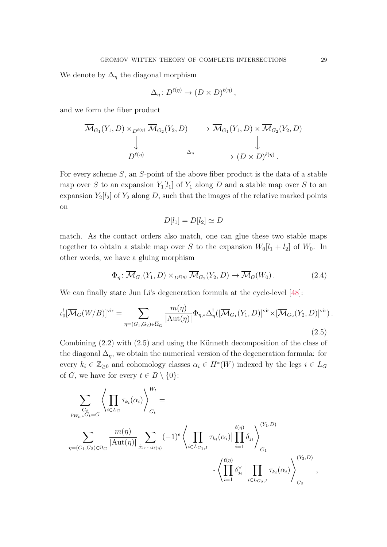We denote by  $\Delta_n$  the diagonal morphism

$$
\Delta_{\eta}: D^{\ell(\eta)} \to (D \times D)^{\ell(\eta)},
$$

and we form the fiber product

$$
\overline{\mathcal{M}}_{G_1}(Y_1, D) \times_{D^{\ell(\eta)}} \overline{\mathcal{M}}_{G_2}(Y_2, D) \longrightarrow \overline{\mathcal{M}}_{G_1}(Y_1, D) \times \overline{\mathcal{M}}_{G_2}(Y_2, D)
$$
\n
$$
\downarrow \qquad \qquad \downarrow
$$
\n
$$
D^{\ell(\eta)} \xrightarrow{\Delta_{\eta}} (D \times D)^{\ell(\eta)}.
$$

For every scheme S, an S-point of the above fiber product is the data of a stable map over S to an expansion  $Y_1[l_1]$  of  $Y_1$  along D and a stable map over S to an expansion  $Y_2[l_2]$  of  $Y_2$  along D, such that the images of the relative marked points on

$$
D[l_1] = D[l_2] \simeq D
$$

match. As the contact orders also match, one can glue these two stable maps together to obtain a stable map over S to the expansion  $W_0[l_1 + l_2]$  of  $W_0$ . In other words, we have a gluing morphism

$$
\Phi_{\eta} \colon \overline{\mathcal{M}}_{G_1}(Y_1, D) \times_{D^{\ell(\eta)}} \overline{\mathcal{M}}_{G_2}(Y_2, D) \to \overline{\mathcal{M}}_G(W_0).
$$
 (2.4)

We can finally state Jun Li's degeneration formula at the cycle-level [\[48\]](#page-88-7):

<span id="page-28-0"></span>
$$
\iota_0^![\overline{\mathcal{M}}_G(W/B)]^{\text{vir}} = \sum_{\eta = (G_1, G_2) \in \overline{\Omega}_G} \frac{m(\eta)}{|\text{Aut}(\eta)|} \Phi_{\eta,*} \Delta_{\eta}^![\overline{\mathcal{M}}_{G_1}(Y_1, D)]^{\text{vir}} \times [\overline{\mathcal{M}}_{G_2}(Y_2, D)]^{\text{vir}}.
$$
\n(2.5)

Combining  $(2.2)$  with  $(2.5)$  and using the Künneth decomposition of the class of the diagonal  $\Delta_n$ , we obtain the numerical version of the degeneration formula: for every  $k_i \in \mathbb{Z}_{\geq 0}$  and cohomology classes  $\alpha_i \in H^*(W)$  indexed by the legs  $i \in L_G$ of *G*, we have for every  $t \in B \setminus \{0\}$ :

$$
\sum_{\substack{G_t \\ \eta = (G_1, G_2) \in \overline{\Omega}_G}} \left\langle \prod_{i \in L_G} \tau_{k_i}(\alpha_i) \right\rangle_{G_t}^{W_t} = \sum_{\eta = (G_1, G_2) \in \overline{\Omega}_G} \frac{m(\eta)}{|\text{Aut}(\eta)|} \sum_{j_1, \dots, j_{\ell(\eta)}} (-1)^{\epsilon} \left\langle \prod_{i \in L_{G_1, I}} \tau_{k_i}(\alpha_i) \Big| \prod_{i=1}^{\ell(\eta)} \delta_{j_i} \right\rangle_{G_1}^{(Y_1, D)} \cdot \left\langle \prod_{i=1}^{\ell(\eta)} \delta_{j_i}^{\vee} \Big| \prod_{i \in L_{G_2, I}} \tau_{k_i}(\alpha_i) \right\rangle_{G_2}^{(Y_2, D)},
$$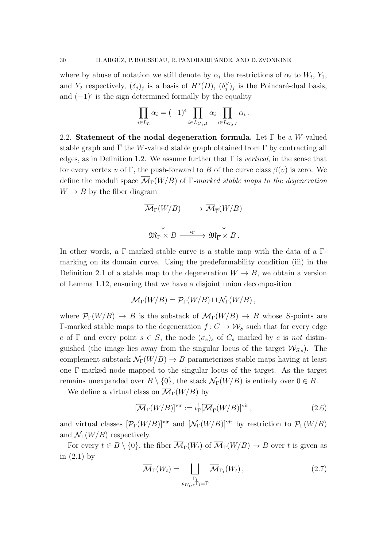where by abuse of notation we still denote by  $\alpha_i$  the restrictions of  $\alpha_i$  to  $W_t$ ,  $Y_1$ , and  $Y_2$  respectively,  $(\delta_j)_j$  is a basis of  $H^*(D)$ ,  $(\delta_j^{\vee})_j$  is the Poincaré-dual basis, and  $(-1)^{\epsilon}$  is the sign determined formally by the equality

$$
\prod_{i \in L_{\mathsf{G}}} \alpha_i = (-1)^{\epsilon} \prod_{i \in L_{G_1,I}} \alpha_i \prod_{i \in L_{G_2,I}} \alpha_i.
$$

<span id="page-29-0"></span>2.2. Statement of the nodal degeneration formula. Let  $\Gamma$  be a W-valued stable graph and  $\overline{\Gamma}$  the W-valued stable graph obtained from  $\Gamma$  by contracting all edges, as in Definition [1.2.](#page-13-2) We assume further that  $\Gamma$  is vertical, in the sense that for every vertex v of Γ, the push-forward to B of the curve class  $\beta(v)$  is zero. We define the moduli space  $\overline{\mathcal{M}}_{\Gamma}(W/B)$  of  $\Gamma$ -marked stable maps to the degeneration  $W \rightarrow B$  by the fiber diagram

$$
\overline{\mathcal{M}}_{\Gamma}(W/B) \longrightarrow \overline{\mathcal{M}}_{\overline{\Gamma}}(W/B)
$$
  

$$
\downarrow \qquad \qquad \downarrow
$$
  

$$
\mathfrak{M}_{\Gamma} \times B \xrightarrow{\iota_{\Gamma}} \mathfrak{M}_{\overline{\Gamma}} \times B.
$$

In other words, a Γ-marked stable curve is a stable map with the data of a Γmarking on its domain curve. Using the predeformability condition (iii) in the Definition [2.1](#page-25-0) of a stable map to the degeneration  $W \to B$ , we obtain a version of Lemma [1.12,](#page-21-0) ensuring that we have a disjoint union decomposition

$$
\overline{\mathcal{M}}_{\Gamma}(W/B) = \mathcal{P}_{\Gamma}(W/B) \sqcup \mathcal{N}_{\Gamma}(W/B),
$$

where  $\mathcal{P}_{\Gamma}(W/B) \to B$  is the substack of  $\overline{\mathcal{M}}_{\Gamma}(W/B) \to B$  whose S-points are Γ-marked stable maps to the degeneration  $f: C \to W_S$  such that for every edge e of Γ and every point  $s \in S$ , the node  $(\sigma_e)_s$  of  $C_s$  marked by e is not distinguished (the image lies away from the singular locus of the target  $\mathcal{W}_{S,s}$ ). The complement substack  $\mathcal{N}_{\Gamma}(W/B) \to B$  parameterizes stable maps having at least one Γ-marked node mapped to the singular locus of the target. As the target remains unexpanded over  $B \setminus \{0\}$ , the stack  $\mathcal{N}_{\Gamma}(W/B)$  is entirely over  $0 \in B$ .

We define a virtual class on  $\overline{\mathcal{M}}_{\Gamma}(W/B)$  by

<span id="page-29-1"></span>
$$
[\overline{\mathcal{M}}_{\Gamma}(W/B)]^{\text{vir}} := \iota_{\Gamma}^![\overline{\mathcal{M}}_{\overline{\Gamma}}(W/B)]^{\text{vir}} ,\qquad(2.6)
$$

and virtual classes  $[\mathcal{P}_{\Gamma}(W/B)]^{\text{vir}}$  and  $[\mathcal{N}_{\Gamma}(W/B)]^{\text{vir}}$  by restriction to  $\mathcal{P}_{\Gamma}(W/B)$ and  $\mathcal{N}_{\Gamma}(W/B)$  respectively.

For every  $t \in B \setminus \{0\}$ , the fiber  $\overline{\mathcal{M}}_{\Gamma}(W_t)$  of  $\overline{\mathcal{M}}_{\Gamma}(W/B) \to B$  over t is given as in  $(2.1)$  by

$$
\overline{\mathcal{M}}_{\Gamma}(W_t) = \bigsqcup_{\substack{\Gamma_t \\ p_{W_t,*} \Gamma_t = \Gamma}} \overline{\mathcal{M}}_{\Gamma_t}(W_t) ,
$$
\n(2.7)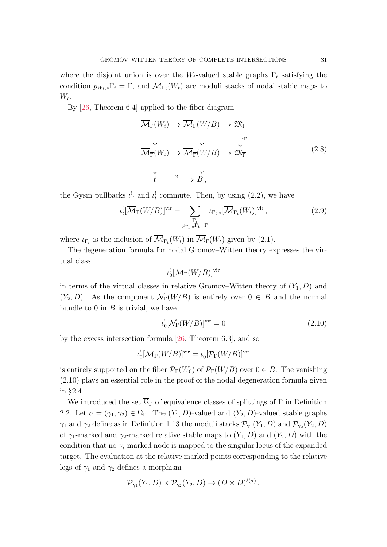where the disjoint union is over the  $W_t$ -valued stable graphs  $\Gamma_t$  satisfying the condition  $p_{W_t,*} \Gamma_t = \Gamma$ , and  $\mathcal{M}_{\Gamma_t}(W_t)$  are moduli stacks of nodal stable maps to  $W_t$ .

By [\[26,](#page-87-13) Theorem 6.4] applied to the fiber diagram

<span id="page-30-2"></span>
$$
\overline{\mathcal{M}}_{\Gamma}(W_t) \to \overline{\mathcal{M}}_{\Gamma}(W/B) \to \mathfrak{M}_{\Gamma}
$$
\n
$$
\downarrow \qquad \qquad \downarrow \qquad \qquad \downarrow \qquad \qquad \downarrow \qquad \downarrow \qquad \downarrow
$$
\n
$$
\overline{\mathcal{M}}_{\overline{\Gamma}}(W_t) \to \overline{\mathcal{M}}_{\overline{\Gamma}}(W/B) \to \mathfrak{M}_{\overline{\Gamma}}
$$
\n
$$
\downarrow \qquad \qquad \downarrow
$$
\n
$$
t \xrightarrow{\iota_t} B,
$$
\n(2.8)

the Gysin pullbacks  $\iota_{\Gamma}^{\perp}$  and  $\iota_{t}^{\perp}$  commute. Then, by using [\(2.2\)](#page-26-1), we have

<span id="page-30-1"></span>
$$
\iota_t^![\overline{\mathcal{M}}_{\Gamma}(W/B)]^{\text{vir}} = \sum_{\substack{\Gamma_t \\ p_{\Gamma_t,*}\Gamma_t = \Gamma}} \iota_{\Gamma_t,*}[\overline{\mathcal{M}}_{\Gamma_t}(W_t)]^{\text{vir}} ,\qquad (2.9)
$$

where  $\iota_{\Gamma_t}$  is the inclusion of  $\overline{\mathcal{M}}_{\Gamma_t}(W_t)$  in  $\overline{\mathcal{M}}_{\Gamma}(W_t)$  given by [\(2.1\)](#page-26-0).

The degeneration formula for nodal Gromov–Witten theory expresses the virtual class

$$
\iota_0^![\overline{\mathcal M}_\Gamma(W/B)]^\mathrm{vir}
$$

in terms of the virtual classes in relative Gromov–Witten theory of  $(Y_1, D)$  and  $(Y_2, D)$ . As the component  $\mathcal{N}_{\Gamma}(W/B)$  is entirely over  $0 \in B$  and the normal bundle to  $0$  in  $B$  is trivial, we have

<span id="page-30-0"></span>
$$
\iota_0^![\mathcal{N}_\Gamma(W/B)]^{\text{vir}} = 0 \tag{2.10}
$$

by the excess intersection formula [\[26,](#page-87-13) Theorem 6.3], and so

$$
\iota_0^![\overline{\mathcal M}_\Gamma(W/B)]^{\mathrm{vir}} = \iota_0^![\mathcal P_\Gamma(W/B)]^{\mathrm{vir}}
$$

is entirely supported on the fiber  $\mathcal{P}_{\Gamma}(W_0)$  of  $\mathcal{P}_{\Gamma}(W/B)$  over  $0 \in B$ . The vanishing [\(2.10\)](#page-30-0) plays an essential role in the proof of the nodal degeneration formula given in §[2.4.](#page-35-0)

We introduced the set  $\overline{\Omega}_{\Gamma}$  of equivalence classes of splittings of  $\Gamma$  in Definition [2.2.](#page-27-0) Let  $\sigma = (\gamma_1, \gamma_2) \in \overline{\Omega}_{\Gamma}$ . The  $(Y_1, D)$ -valued and  $(Y_2, D)$ -valued stable graphs  $\gamma_1$  and  $\gamma_2$  define as in Definition [1.13](#page-22-2) the moduli stacks  $\mathcal{P}_{\gamma_1}(Y_1, D)$  and  $\mathcal{P}_{\gamma_2}(Y_2, D)$ of  $\gamma_1$ -marked and  $\gamma_2$ -marked relative stable maps to  $(Y_1, D)$  and  $(Y_2, D)$  with the condition that no  $\gamma_i$ -marked node is mapped to the singular locus of the expanded target. The evaluation at the relative marked points corresponding to the relative legs of  $\gamma_1$  and  $\gamma_2$  defines a morphism

$$
\mathcal{P}_{\gamma_1}(Y_1, D) \times \mathcal{P}_{\gamma_2}(Y_2, D) \to (D \times D)^{\ell(\sigma)}.
$$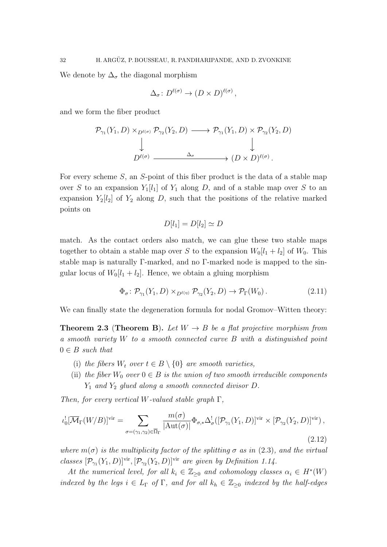We denote by  $\Delta_{\sigma}$  the diagonal morphism

$$
\Delta_{\sigma} \colon D^{\ell(\sigma)} \to (D \times D)^{\ell(\sigma)},
$$

and we form the fiber product

$$
\mathcal{P}_{\gamma_1}(Y_1, D) \times_{D^{\ell(\sigma)}} \mathcal{P}_{\gamma_2}(Y_2, D) \longrightarrow \mathcal{P}_{\gamma_1}(Y_1, D) \times \mathcal{P}_{\gamma_2}(Y_2, D)
$$
\n
$$
\downarrow \qquad \qquad \downarrow
$$
\n
$$
D^{\ell(\sigma)} \xrightarrow{\Delta_{\sigma}} (D \times D)^{\ell(\sigma)}.
$$

For every scheme S, an S-point of this fiber product is the data of a stable map over S to an expansion  $Y_1[l_1]$  of  $Y_1$  along D, and of a stable map over S to an expansion  $Y_2[l_2]$  of  $Y_2$  along D, such that the positions of the relative marked points on

$$
D[l_1] = D[l_2] \simeq D
$$

match. As the contact orders also match, we can glue these two stable maps together to obtain a stable map over S to the expansion  $W_0[l_1 + l_2]$  of  $W_0$ . This stable map is naturally Γ-marked, and no Γ-marked node is mapped to the singular locus of  $W_0[l_1 + l_2]$ . Hence, we obtain a gluing morphism

$$
\Phi_{\sigma} \colon \mathcal{P}_{\gamma_1}(Y_1, D) \times_{D^{\ell(\eta)}} \mathcal{P}_{\gamma_2}(Y_2, D) \to \mathcal{P}_{\Gamma}(W_0). \tag{2.11}
$$

We can finally state the degeneration formula for nodal Gromov–Witten theory:

<span id="page-31-0"></span>**Theorem 2.3 (Theorem [B](#page-8-2)).** Let  $W \to B$  be a flat projective morphism from a smooth variety W to a smooth connected curve B with a distinguished point  $0 \in B$  such that

- (i) the fibers  $W_t$  over  $t \in B \setminus \{0\}$  are smooth varieties,
- (ii) the fiber  $W_0$  over  $0 \in B$  is the union of two smooth irreducible components  $Y_1$  and  $Y_2$  glued along a smooth connected divisor D.

Then, for every vertical W-valued stable graph  $\Gamma$ ,

<span id="page-31-1"></span>
$$
\iota_0^![\overline{\mathcal{M}}_{\Gamma}(W/B)]^{\text{vir}} = \sum_{\sigma = (\gamma_1, \gamma_2) \in \overline{\Omega}_{\Gamma}} \frac{m(\sigma)}{|\text{Aut}(\sigma)|} \Phi_{\sigma,*} \Delta_{\sigma}^! ([\mathcal{P}_{\gamma_1}(Y_1, D)]^{\text{vir}} \times [\mathcal{P}_{\gamma_2}(Y_2, D)]^{\text{vir}}),
$$
\n(2.12)

where  $m(\sigma)$  is the multiplicity factor of the splitting  $\sigma$  as in [\(2.3\)](#page-27-1), and the virtual classes  $[\mathcal{P}_{\gamma_1}(Y_1, D)]^{\text{vir}}, [\mathcal{P}_{\gamma_2}(Y_2, D)]^{\text{vir}}$  are given by Definition [1.14.](#page-23-2)

At the numerical level, for all  $k_i \in \mathbb{Z}_{\geq 0}$  and cohomology classes  $\alpha_i \in H^*(W)$ indexed by the legs  $i \in L_{\Gamma}$  of  $\Gamma$ , and for all  $k_h \in \mathbb{Z}_{\geq 0}$  indexed by the half-edges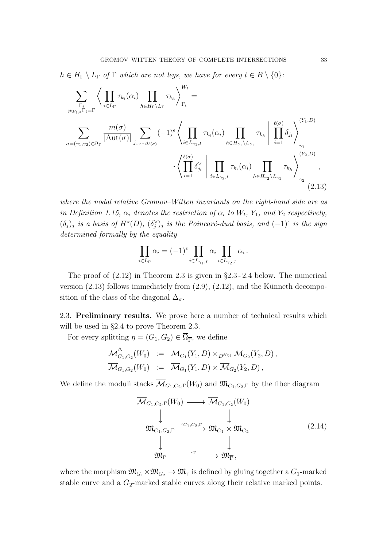$h \in H_{\Gamma} \setminus L_{\Gamma}$  of  $\Gamma$  which are not legs, we have for every  $t \in B \setminus \{0\}$ :

$$
\sum_{\Gamma_{t}}\left\langle\prod_{i\in L_{\Gamma}}\tau_{k_{i}}(\alpha_{i})\prod_{h\in H_{\Gamma}\setminus L_{\Gamma}}\tau_{k_{h}}\right\rangle_{\Gamma_{t}}^{W_{t}} =
$$
\n
$$
\sum_{\sigma=(\gamma_{1},\gamma_{2})\in\overline{\Omega}_{\Gamma}}\frac{m(\sigma)}{|\mathrm{Aut}(\sigma)|}\sum_{j_{1},\dots,j_{\ell(\sigma)}}(-1)^{\epsilon}\left\langle\prod_{i\in L_{\gamma_{1},I}}\tau_{k_{i}}(\alpha_{i})\prod_{h\in H_{\gamma_{1}}\setminus L_{\gamma_{1}}}\tau_{k_{h}}\right|\prod_{i=1}^{\ell(\sigma)}\delta_{j_{i}}\right\rangle_{\gamma_{1}}^{(Y_{1},D)}
$$
\n
$$
\cdot\left\langle\prod_{i=1}^{\ell(\sigma)}\delta_{j_{i}}\right|\prod_{i\in L_{\gamma_{2},I}}\tau_{k_{i}}(\alpha_{i})\prod_{h\in H_{\gamma_{2}}\setminus L_{\gamma_{1}}}\tau_{k_{h}}\right\rangle_{\gamma_{2}}^{(Y_{2},D)},\tag{2.13}
$$

where the nodal relative Gromov–Witten invariants on the right-hand side are as in Definition [1.15,](#page-23-1)  $\alpha_i$  denotes the restriction of  $\alpha_i$  to  $W_t$ ,  $Y_1$ , and  $Y_2$  respectively,  $(\delta_j)_j$  is a basis of  $H^{\star}(D)$ ,  $(\delta_j^{\vee})_j$  is the Poincaré-dual basis, and  $(-1)^{\epsilon}$  is the sign determined formally by the equality

<span id="page-32-1"></span>
$$
\prod_{i \in L_{\Gamma}} \alpha_i = (-1)^{\epsilon} \prod_{i \in L_{\gamma_1, I}} \alpha_i \prod_{i \in L_{\gamma_2, I}} \alpha_i.
$$

The proof of [\(2.12\)](#page-31-1) in Theorem [2.3](#page-31-0) is given in §[2.3](#page-32-0) - [2.4](#page-35-0) below. The numerical version  $(2.13)$  follows immediately from  $(2.9)$ ,  $(2.12)$ , and the Künneth decomposition of the class of the diagonal  $\Delta_{\sigma}$ .

<span id="page-32-0"></span>2.3. Preliminary results. We prove here a number of technical results which will be used in §[2.4](#page-35-0) to prove Theorem [2.3.](#page-31-0)

For every splitting  $\eta = (G_1, G_2) \in \overline{\Omega}_{\overline{\Gamma}}$ , we define

$$
\overline{\mathcal{M}}_{G_1,G_2}^{\Delta}(W_0) := \overline{\mathcal{M}}_{G_1}(Y_1, D) \times_{D^{\ell(\eta)}} \overline{\mathcal{M}}_{G_2}(Y_2, D), \n\overline{\mathcal{M}}_{G_1,G_2}(W_0) := \overline{\mathcal{M}}_{G_1}(Y_1, D) \times \overline{\mathcal{M}}_{G_2}(Y_2, D),
$$

We define the moduli stacks  $\overline{\mathcal{M}}_{G_1,G_2,\Gamma}(W_0)$  and  $\mathfrak{M}_{G_1,G_2,\Gamma}$  by the fiber diagram

<span id="page-32-2"></span>
$$
\overline{\mathcal{M}}_{G_1, G_2, \Gamma}(W_0) \longrightarrow \overline{\mathcal{M}}_{G_1, G_2}(W_0)
$$
\n
$$
\downarrow \qquad \qquad \downarrow
$$
\n
$$
\mathfrak{M}_{G_1, G_2, \Gamma} \xrightarrow{\iota_{G_1, G_2, \Gamma}} \mathfrak{M}_{G_1} \times \mathfrak{M}_{G_2}
$$
\n
$$
\downarrow \qquad \qquad \downarrow
$$
\n
$$
\mathfrak{M}_{\Gamma} \xrightarrow{\iota_{\Gamma}} \mathfrak{M}_{\overline{\Gamma}},
$$
\n
$$
(2.14)
$$

where the morphism  $\mathfrak{M}_{G_1} \times \mathfrak{M}_{G_2} \to \mathfrak{M}_{\overline{\Gamma}}$  is defined by gluing together a  $G_1$ -marked stable curve and a  $G_2$ -marked stable curves along their relative marked points.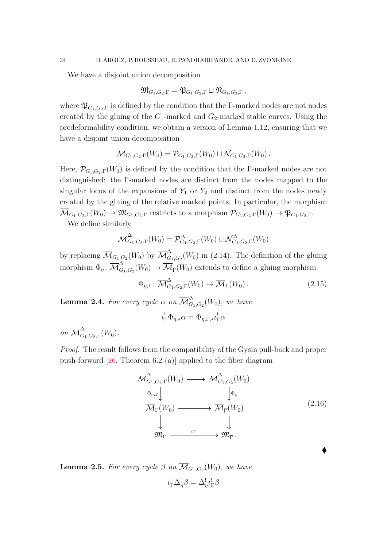We have a disjoint union decomposition

$$
\mathfrak{M}_{G_1,G_2,\Gamma}=\mathfrak{P}_{G_1,G_2,\Gamma}\sqcup\mathfrak{N}_{G_1,G_2,\Gamma}\,,
$$

where  $\mathfrak{P}_{G_1,G_2,\Gamma}$  is defined by the condition that the Γ-marked nodes are not nodes created by the gluing of the  $G_1$ -marked and  $G_2$ -marked stable curves. Using the predeformability condition, we obtain a version of Lemma [1.12,](#page-21-0) ensuring that we have a disjoint union decomposition

$$
\overline{\mathcal{M}}_{G_1, G_2, \Gamma}(W_0) = \mathcal{P}_{G_1, G_2, \Gamma}(W_0) \sqcup \mathcal{N}_{G_1, G_2, \Gamma}(W_0) .
$$

Here,  $\mathcal{P}_{G_1,G_2,\Gamma}(W_0)$  is defined by the condition that the Γ-marked nodes are not distinguished: the Γ-marked nodes are distinct from the nodes mapped to the singular locus of the expansions of  $Y_1$  or  $Y_2$  and distinct from the nodes newly created by the gluing of the relative marked points. In particular, the morphism  $\overline{\mathcal{M}}_{G_1,G_2,\Gamma}(W_0) \to \mathfrak{M}_{G_1,G_2,\Gamma}$  restricts to a morphism  $\mathcal{P}_{G_1,G_2,\Gamma}(W_0) \to \mathfrak{P}_{G_1,G_2,\Gamma}$ .

We define similarly

$$
\overline{\mathcal{M}}_{G_1, G_2, \Gamma}^{\Delta}(W_0) = \mathcal{P}_{G_1, G_2, \Gamma}^{\Delta}(W_0) \sqcup \mathcal{N}_{G_1, G_2, \Gamma}^{\Delta}(W_0)
$$

by replacing  $\overline{\mathcal{M}}_{G_1,G_2}(W_0)$  by  $\overline{\mathcal{M}}_G^{\Delta}$  $G_{1,G_2}(W_0)$  in [\(2.14\)](#page-32-2). The definition of the gluing morphism  $\Phi_\eta \colon \overline{\mathcal M}_G^\Delta$  $G_{G_1,G_2}(W_0) \to \mathcal{M}_{\overline{\Gamma}}(W_0)$  extends to define a gluing morphism

$$
\Phi_{\eta,\Gamma} \colon \overline{\mathcal{M}}_{G_1, G_2, \Gamma}^{\Delta}(W_0) \to \overline{\mathcal{M}}_{\Gamma}(W_0). \tag{2.15}
$$

**Lemma 2.4.** For every cycle  $\alpha$  on  $\overline{\mathcal{M}}_{G}^{\Delta}$  $\mathcal{L}_{G_1,G_2}(W_0)$ , we have

$$
\iota_\Gamma^!\Phi_{\eta,*}\alpha=\Phi_{\eta,\Gamma,*}\iota_\Gamma^!\alpha
$$

on  $\overline{\mathcal{M}}_G^{\Delta}$  $\mathcal{L}_{G_1,G_2,\Gamma}(W_0).$ 

Proof. The result follows from the compatibility of the Gysin pull-back and proper push-forward [\[26,](#page-87-13) Theorem 6.2 (a)] applied to the fiber diagram

$$
\overline{\mathcal{M}}^{\Delta}_{G_1, G_2, \Gamma}(W_0) \longrightarrow \overline{\mathcal{M}}^{\Delta}_{G_1, G_2}(W_0)
$$
\n
$$
\xrightarrow{\Phi_{\eta, \Gamma}} \downarrow^{\Phi_{\eta}} \downarrow^{\Phi_{\eta}}
$$
\n
$$
\overline{\mathcal{M}}_{\Gamma}(W_0) \longrightarrow \overline{\mathcal{M}}_{\overline{\Gamma}}(W_0)
$$
\n
$$
\downarrow^{\Psi_{\eta}}
$$
\n
$$
\mathfrak{M}_{\Gamma} \longrightarrow \mathfrak{M}_{\overline{\Gamma}}.
$$
\n(2.16)

 $\blacklozenge$ 

**Lemma 2.5.** For every cycle  $\beta$  on  $\overline{M}_{G_1,G_2}(W_0)$ , we have  $\iota_{\Gamma}^{\perp} \Delta_{\eta}^{\perp} \beta = \Delta_{\eta}^{\perp} \iota_{\Gamma}^{\perp} \beta$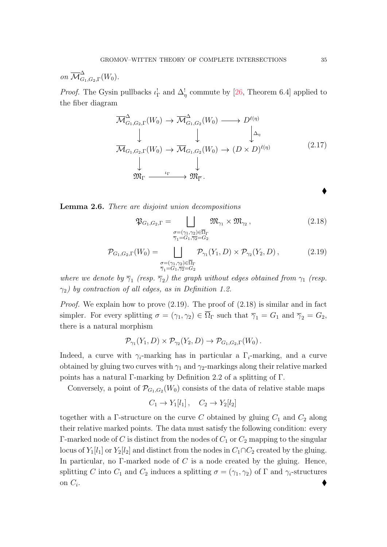on 
$$
\overline{\mathcal{M}}_{G_1, G_2, \Gamma}^{\Delta}(W_0)
$$
.

*Proof.* The Gysin pullbacks  $\iota_{\Gamma}^{\perp}$  and  $\Delta_{\eta}^{\perp}$  commute by [\[26,](#page-87-13) Theorem 6.4] applied to the fiber diagram

$$
\overline{\mathcal{M}}_{G_1, G_2, \Gamma}^{\Delta}(W_0) \to \overline{\mathcal{M}}_{G_1, G_2}^{\Delta}(W_0) \longrightarrow D^{\ell(\eta)} \downarrow
$$
\n
$$
\overline{\mathcal{M}}_{G_1, G_2, \Gamma}(W_0) \to \overline{\mathcal{M}}_{G_1, G_2}(W_0) \to (D \times D)^{\ell(\eta)} \downarrow
$$
\n
$$
\downarrow \qquad \qquad \downarrow
$$
\n
$$
\mathfrak{M}_{\Gamma} \xrightarrow{\iota_{\Gamma}} \mathfrak{M}_{\overline{\Gamma}}.
$$
\n(2.17)

Lemma 2.6. There are disjoint union decompositions

<span id="page-34-1"></span>
$$
\mathfrak{P}_{G_1, G_2, \Gamma} = \bigsqcup_{\substack{\sigma = (\gamma_1, \gamma_2) \in \overline{\Omega}_{\Gamma} \\ \overline{\gamma}_1 = G_1, \overline{\gamma}_2 = G_2}} \mathfrak{M}_{\gamma_1} \times \mathfrak{M}_{\gamma_2},
$$
\n(2.18)

<span id="page-34-0"></span>
$$
\mathcal{P}_{G_1, G_2, \Gamma}(W_0) = \bigsqcup_{\substack{\sigma = (\gamma_1, \gamma_2) \in \overline{\Omega}_{\Gamma} \\ \overline{\gamma}_1 = G_1, \overline{\gamma}_2 = G_2}} \mathcal{P}_{\gamma_1}(Y_1, D) \times \mathcal{P}_{\gamma_2}(Y_2, D), \tag{2.19}
$$

where we denote by  $\overline{\gamma}_1$  (resp.  $\overline{\gamma}_2$ ) the graph without edges obtained from  $\gamma_1$  (resp.  $\gamma_2$ ) by contraction of all edges, as in Definition [1.2.](#page-13-2)

Proof. We explain how to prove [\(2.19\)](#page-34-0). The proof of [\(2.18\)](#page-34-1) is similar and in fact simpler. For every splitting  $\sigma = (\gamma_1, \gamma_2) \in \overline{\Omega}_{\Gamma}$  such that  $\overline{\gamma}_1 = G_1$  and  $\overline{\gamma}_2 = G_2$ , there is a natural morphism

$$
\mathcal{P}_{\gamma_1}(Y_1, D) \times \mathcal{P}_{\gamma_2}(Y_2, D) \to \mathcal{P}_{G_1, G_2, \Gamma}(W_0).
$$

Indeed, a curve with  $\gamma_i$ -marking has in particular a  $\Gamma_i$ -marking, and a curve obtained by gluing two curves with  $\gamma_1$  and  $\gamma_2$ -markings along their relative marked points has a natural Γ-marking by Definition [2.2](#page-27-0) of a splitting of Γ.

Conversely, a point of  $\mathcal{P}_{G_1,G_2}(W_0)$  consists of the data of relative stable maps

$$
C_1 \to Y_1[l_1], \quad C_2 \to Y_2[l_2]
$$

together with a Γ-structure on the curve C obtained by gluing  $C_1$  and  $C_2$  along their relative marked points. The data must satisfy the following condition: every Γ-marked node of C is distinct from the nodes of  $C_1$  or  $C_2$  mapping to the singular locus of  $Y_1[l_1]$  or  $Y_2[l_2]$  and distinct from the nodes in  $C_1 \cap C_2$  created by the gluing. In particular, no  $\Gamma$ -marked node of C is a node created by the gluing. Hence, splitting C into  $C_1$  and  $C_2$  induces a splitting  $\sigma = (\gamma_1, \gamma_2)$  of  $\Gamma$  and  $\gamma_i$ -structures on  $C_i$ . . The contract of the contract of the contract of the contract of the contract of  $\blacklozenge$ 

 $\blacklozenge$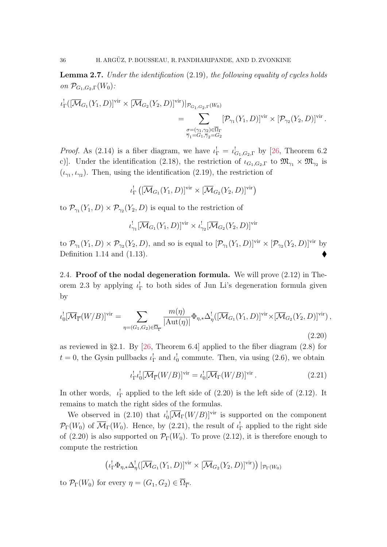Lemma 2.7. Under the identification [\(2.19\)](#page-34-0), the following equality of cycles holds on  $\mathcal{P}_{G_1,G_2,\Gamma}(W_0)$ :

$$
\iota_{\Gamma}^{\iota}([\overline{\mathcal{M}}_{G_1}(Y_1, D)]^{\text{vir}} \times [\overline{\mathcal{M}}_{G_2}(Y_2, D)]^{\text{vir}})|_{\mathcal{P}_{G_1, G_2, \Gamma}(W_0)} = \sum_{\substack{\sigma = (\gamma_1, \gamma_2) \in \overline{\Omega}_{\Gamma} \\ \overline{\gamma_1} = G_1, \overline{\gamma_2} = G_2}} [\mathcal{P}_{\gamma_1}(Y_1, D)]^{\text{vir}} \times [\mathcal{P}_{\gamma_2}(Y_2, D)]^{\text{vir}}.
$$

*Proof.* As [\(2.14\)](#page-32-2) is a fiber diagram, we have  $\iota_{\Gamma}^1 = \iota_{G_1, G_2, \Gamma}^1$  by [\[26,](#page-87-13) Theorem 6.2 c)]. Under the identification [\(2.18\)](#page-34-1), the restriction of  $\iota_{G_1,G_2,\Gamma}$  to  $\mathfrak{M}_{\gamma_1} \times \mathfrak{M}_{\gamma_2}$  is  $(\iota_{\gamma_1}, \iota_{\gamma_2})$ . Then, using the identification [\(2.19\)](#page-34-0), the restriction of

$$
\iota_{\Gamma}^! \left( [\overline{\mathcal{M}}_{G_1}(Y_1, D)]^{\text{vir}} \times [\overline{\mathcal{M}}_{G_2}(Y_2, D)]^{\text{vir}} \right)
$$

to  $\mathcal{P}_{\gamma_1}(Y_1, D) \times \mathcal{P}_{\gamma_2}(Y_2, D)$  is equal to the restriction of

$$
\iota_{\gamma_1}^![\overline{\mathcal{M}}_{G_1}(Y_1, D)]^{\text{vir}} \times \iota_{\gamma_2}^![\overline{\mathcal{M}}_{G_2}(Y_2, D)]^{\text{vir}}
$$

to  $\mathcal{P}_{\gamma_1}(Y_1, D) \times \mathcal{P}_{\gamma_2}(Y_2, D)$ , and so is equal to  $[\mathcal{P}_{\gamma_1}(Y_1, D)]^{\text{vir}} \times [\mathcal{P}_{\gamma_2}(Y_2, D)]^{\text{vir}}$  by Definition [1.14](#page-23-2) and [\(1.13\)](#page-20-2).

<span id="page-35-0"></span>2.4. Proof of the nodal degeneration formula. We will prove [\(2.12\)](#page-31-1) in The-orem [2.3](#page-31-0) by applying  $\iota_{\Gamma}^!$  to both sides of Jun Li's degeneration formula given by

<span id="page-35-1"></span>
$$
\iota_0^![\overline{\mathcal{M}}_{\overline{\Gamma}}(W/B)]^{\text{vir}} = \sum_{\eta = (G_1, G_2) \in \overline{\Omega}_{\overline{\Gamma}}} \frac{m(\eta)}{|\text{Aut}(\eta)|} \Phi_{\eta,*} \Delta_{\eta}^! ([\overline{\mathcal{M}}_{G_1}(Y_1, D)]^{\text{vir}} \times [\overline{\mathcal{M}}_{G_2}(Y_2, D)]^{\text{vir}}),
$$
\n(2.20)

as reviewed in §[2.1.](#page-24-1) By [\[26,](#page-87-13) Theorem 6.4] applied to the fiber diagram [\(2.8\)](#page-30-2) for  $t = 0$ , the Gysin pullbacks  $\iota_{\Gamma}^{\perp}$  and  $\iota_{0}^{\perp}$  commute. Then, via using [\(2.6\)](#page-29-1), we obtain

<span id="page-35-2"></span>
$$
\iota_{\Gamma}^! \iota_0^! [\overline{\mathcal{M}}_{\overline{\Gamma}}(W/B)]^{\text{vir}} = \iota_0^! [\overline{\mathcal{M}}_{\Gamma}(W/B)]^{\text{vir}}.
$$
 (2.21)

In other words,  $\iota_{\Gamma}^!$  applied to the left side of [\(2.20\)](#page-35-1) is the left side of [\(2.12\)](#page-31-1). It remains to match the right sides of the formulas.

We observed in [\(2.10\)](#page-30-0) that  $\iota_0^![\overline{\mathcal{M}}_\Gamma(W/B)]^{\text{vir}}$  is supported on the component  $\mathcal{P}_{\Gamma}(W_0)$  of  $\overline{\mathcal{M}}_{\Gamma}(W_0)$ . Hence, by [\(2.21\)](#page-35-2), the result of  $\iota_{\Gamma}^!$  applied to the right side of [\(2.20\)](#page-35-1) is also supported on  $\mathcal{P}_{\Gamma}(W_0)$ . To prove [\(2.12\)](#page-31-1), it is therefore enough to compute the restriction

$$
\left(\iota_{\Gamma}^! \Phi_{\eta,*} \Delta_{\eta}^! ( [\overline{\mathcal{M}}_{G_1}(Y_1, D) ]^{\mathrm{vir}} \times [\overline{\mathcal{M}}_{G_2}(Y_2, D) ]^{\mathrm{vir}} \right) \mid_{\mathcal{P}_{\Gamma}(W_0)}
$$

to  $\mathcal{P}_{\Gamma}(W_0)$  for every  $\eta = (G_1, G_2) \in \Omega_{\overline{\Gamma}}$ .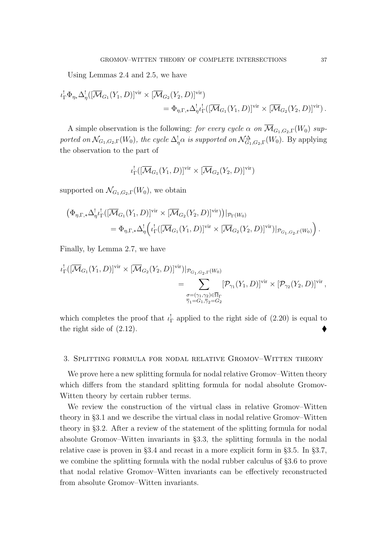Using Lemmas [2.4](#page-33-0) and [2.5,](#page-33-1) we have

$$
\iota_{\Gamma}^{\perp} \Phi_{\eta_*} \Delta_{\eta}^{\perp}([\overline{\mathcal{M}}_{G_1}(Y_1, D)]^{\text{vir}} \times [\overline{\mathcal{M}}_{G_2}(Y_2, D)]^{\text{vir}})
$$
  
=  $\Phi_{\eta, \Gamma, *} \Delta_{\eta}^{\perp} \iota_{\Gamma}^{\perp}([\overline{\mathcal{M}}_{G_1}(Y_1, D)]^{\text{vir}} \times [\overline{\mathcal{M}}_{G_2}(Y_2, D)]^{\text{vir}}).$ 

A simple observation is the following: for every cycle  $\alpha$  on  $\overline{\mathcal{M}}_{G_1,G_2,\Gamma}(W_0)$  supported on  $\mathcal{N}_{G_1,G_2,\Gamma}(W_0)$ , the cycle  $\Delta_{\eta}^{\dagger}\alpha$  is supported on  $\mathcal{N}_{G_1,G_2,\Gamma}^{\Delta}(W_0)$ . By applying the observation to the part of

$$
\iota_{\Gamma}^!([\overline{\mathcal{M}}_{G_1}(Y_1, D)]^{\text{vir}} \times [\overline{\mathcal{M}}_{G_2}(Y_2, D)]^{\text{vir}})
$$

supported on  $\mathcal{N}_{G_1,G_2,\Gamma}(W_0)$ , we obtain

$$
\begin{split} \left(\Phi_{\eta,\Gamma,*}\Delta_{\eta}^! \iota_{\Gamma}^!([\overline{\mathcal{M}}_{G_1}(Y_1,D)]^{\text{vir}} \times [\overline{\mathcal{M}}_{G_2}(Y_2,D)]^{\text{vir}}\right) &|_{\mathcal{P}_{\Gamma}(W_0)} \\ & = \Phi_{\eta,\Gamma,*}\Delta_{\eta}^! \left( \iota_{\Gamma}^!([\overline{\mathcal{M}}_{G_1}(Y_1,D)]^{\text{vir}} \times [\overline{\mathcal{M}}_{G_2}(Y_2,D)]^{\text{vir}}\right) &|_{\mathcal{P}_{G_1,G_2,\Gamma}(W_0)} \right). \end{split}
$$

Finally, by Lemma [2.7,](#page-35-0) we have

$$
\iota_{\Gamma}^{\iota}([\overline{\mathcal{M}}_{G_1}(Y_1, D)]^{\text{vir}} \times [\overline{\mathcal{M}}_{G_2}(Y_2, D)]^{\text{vir}})|_{\mathcal{P}_{G_1, G_2, \Gamma}(W_0)}
$$
\n
$$
= \sum_{\substack{\sigma = (\gamma_1, \gamma_2) \in \overline{\Omega}_{\Gamma} \\ \overline{\gamma}_1 = G_1, \overline{\gamma}_2 = G_2}} [\mathcal{P}_{\gamma_1}(Y_1, D)]^{\text{vir}} \times [\mathcal{P}_{\gamma_2}(Y_2, D)]^{\text{vir}},
$$

which completes the proof that  $\iota_{\Gamma}^{\perp}$  applied to the right side of [\(2.20\)](#page-35-1) is equal to the right side of [\(2.12\)](#page-31-0).

## <span id="page-36-0"></span>3. Splitting formula for nodal relative Gromov–Witten theory

We prove here a new splitting formula for nodal relative Gromov–Witten theory which differs from the standard splitting formula for nodal absolute Gromov-Witten theory by certain rubber terms.

We review the construction of the virtual class in relative Gromov–Witten theory in §[3.1](#page-37-0) and we describe the virtual class in nodal relative Gromov–Witten theory in §[3.2.](#page-38-0) After a review of the statement of the splitting formula for nodal absolute Gromov–Witten invariants in §[3.3,](#page-39-0) the splitting formula in the nodal relative case is proven in §[3.4](#page-40-0) and recast in a more explicit form in §[3.5.](#page-44-0) In §[3.7,](#page-55-0) we combine the splitting formula with the nodal rubber calculus of §[3.6](#page-53-0) to prove that nodal relative Gromov–Witten invariants can be effectively reconstructed from absolute Gromov–Witten invariants.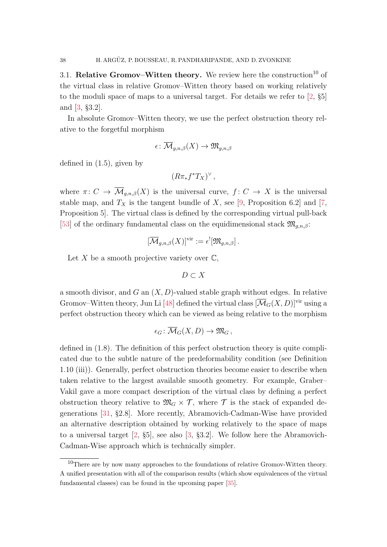<span id="page-37-0"></span>3.1. Relative Gromov–Witten theory. We review here the construction<sup>[10](#page-37-1)</sup> of the virtual class in relative Gromov–Witten theory based on working relatively to the moduli space of maps to a universal target. For details we refer to [\[2,](#page-85-0) §5] and [\[3,](#page-86-0) §3.2].

In absolute Gromov–Witten theory, we use the perfect obstruction theory relative to the forgetful morphism

$$
\epsilon\colon \overline{\mathcal{M}}_{g,n,\beta}(X) \to \mathfrak{M}_{g,n,\beta}
$$

defined in [\(1.5\)](#page-16-0), given by

<span id="page-37-2"></span>
$$
(R\pi_*f^*T_X)^\vee,
$$

where  $\pi: C \to \overline{\mathcal{M}}_{q,n,\beta}(X)$  is the universal curve,  $f: C \to X$  is the universal stable map, and  $T_X$  is the tangent bundle of X, see [\[9,](#page-86-1) Proposition 6.2] and [\[7,](#page-86-2) Proposition 5]. The virtual class is defined by the corresponding virtual pull-back [\[53\]](#page-88-0) of the ordinary fundamental class on the equidimensional stack  $\mathfrak{M}_{g,n,\beta}$ :

$$
[\overline{\mathcal{M}}_{g,n,\beta}(X)]^{\text{vir}} := \epsilon^{!}[\mathfrak{M}_{g,n,\beta}].
$$

Let X be a smooth projective variety over  $\mathbb{C}$ ,

$$
D\subset X
$$

a smooth divisor, and  $G$  an  $(X, D)$ -valued stable graph without edges. In relative Gromov–Witten theory, Jun Li [\[48\]](#page-88-1) defined the virtual class  $[\overline{\mathcal{M}}_G(X, D)]^{\text{vir}}$  using a perfect obstruction theory which can be viewed as being relative to the morphism

$$
\epsilon_G\colon \overline{\mathcal M}_G(X,D)\to \mathfrak M_G\, ,
$$

defined in [\(1.8\)](#page-16-1). The definition of this perfect obstruction theory is quite complicated due to the subtle nature of the predeformability condition (see Definition [1.10](#page-19-0) (iii)). Generally, perfect obstruction theories become easier to describe when taken relative to the largest available smooth geometry. For example, Graber– Vakil gave a more compact description of the virtual class by defining a perfect obstruction theory relative to  $\mathfrak{M}_G \times \mathcal{T}$ , where  $\mathcal{T}$  is the stack of expanded degenerations [\[31,](#page-87-0) §2.8]. More recently, Abramovich-Cadman-Wise have provided an alternative description obtained by working relatively to the space of maps to a universal target [\[2,](#page-85-0) §5], see also [\[3,](#page-86-0) §3.2]. We follow here the Abramovich-Cadman-Wise approach which is technically simpler.

<span id="page-37-1"></span> $10$ There are by now many approaches to the foundations of relative Gromov-Witten theory. A unified presentation with all of the comparison results (which show equivalences of the virtual fundamental classes) can be found in the upcoming paper [\[35\]](#page-87-1).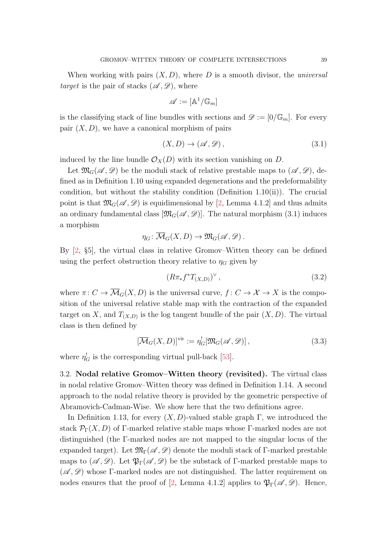When working with pairs  $(X, D)$ , where D is a smooth divisor, the *universal* target is the pair of stacks  $(\mathscr{A}, \mathscr{D})$ , where

$$
\mathscr{A}:=[\mathbb{A}^1/\mathbb{G}_m]
$$

is the classifying stack of line bundles with sections and  $\mathscr{D} := [0/\mathbb{G}_m]$ . For every pair  $(X, D)$ , we have a canonical morphism of pairs

$$
(X,D)\to(\mathscr{A},\mathscr{D})\,,\tag{3.1}
$$

induced by the line bundle  $\mathcal{O}_X(D)$  with its section vanishing on D.

Let  $\mathfrak{M}_G(\mathscr{A}, \mathscr{D})$  be the moduli stack of relative prestable maps to  $(\mathscr{A}, \mathscr{D})$ , defined as in Definition [1.10](#page-19-0) using expanded degenerations and the predeformability condition, but without the stability condition (Definition [1.10\(](#page-19-0)ii)). The crucial point is that  $\mathfrak{M}_{G}(\mathscr{A},\mathscr{D})$  is equidimensional by [\[2,](#page-85-0) Lemma 4.1.2] and thus admits an ordinary fundamental class  $[\mathfrak{M}_G(\mathscr{A}, \mathscr{D})]$ . The natural morphism [\(3.1\)](#page-37-2) induces a morphism

<span id="page-38-1"></span>
$$
\eta_G\colon \overline{\mathcal{M}}_G(X,D) \to \mathfrak{M}_G(\mathscr{A},\mathscr{D}).
$$

By [\[2,](#page-85-0) §5], the virtual class in relative Gromov–Witten theory can be defined using the perfect obstruction theory relative to  $\eta_G$  given by

$$
(R\pi_*f^*T_{(X,D)})^\vee\,,\tag{3.2}
$$

where  $\pi: C \to \overline{\mathcal{M}}_G(X, D)$  is the universal curve,  $f: C \to \mathcal{X} \to X$  is the composition of the universal relative stable map with the contraction of the expanded target on X, and  $T_{(X,D)}$  is the log tangent bundle of the pair  $(X, D)$ . The virtual class is then defined by

<span id="page-38-2"></span>
$$
[\overline{\mathcal{M}}_G(X, D)]^{\text{vir}} := \eta_G^![\mathfrak{M}_G(\mathscr{A}, \mathscr{D})],\tag{3.3}
$$

where  $\eta_G^!$  is the corresponding virtual pull-back [\[53\]](#page-88-0).

<span id="page-38-0"></span>3.2. Nodal relative Gromov–Witten theory (revisited). The virtual class in nodal relative Gromov–Witten theory was defined in Definition [1.14.](#page-23-0) A second approach to the nodal relative theory is provided by the geometric perspective of Abramovich-Cadman-Wise. We show here that the two definitions agree.

In Definition [1.13,](#page-22-0) for every  $(X, D)$ -valued stable graph Γ, we introduced the stack  $\mathcal{P}_{\Gamma}(X, D)$  of Γ-marked relative stable maps whose Γ-marked nodes are not distinguished (the Γ-marked nodes are not mapped to the singular locus of the expanded target). Let  $\mathfrak{M}_{\Gamma}(\mathscr{A},\mathscr{D})$  denote the moduli stack of  $\Gamma$ -marked prestable maps to  $(\mathscr{A}, \mathscr{D})$ . Let  $\mathfrak{P}_{\Gamma}(\mathscr{A}, \mathscr{D})$  be the substack of Γ-marked prestable maps to  $(\mathscr{A}, \mathscr{D})$  whose Γ-marked nodes are not distinguished. The latter requirement on nodes ensures that the proof of [\[2,](#page-85-0) Lemma 4.1.2] applies to  $\mathfrak{P}_{\Gamma}(\mathscr{A}, \mathscr{D})$ . Hence,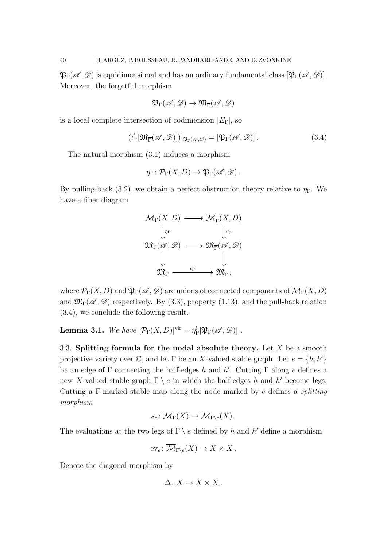$\mathfrak{P}_{\Gamma}(\mathscr{A},\mathscr{D})$  is equidimensional and has an ordinary fundamental class  $[\mathfrak{P}_{\Gamma}(\mathscr{A},\mathscr{D})]$ . Moreover, the forgetful morphism

$$
\mathfrak{P}_\Gamma(\mathscr{A},\mathscr{D}) \to \mathfrak{M}_{\overline{\Gamma}}(\mathscr{A},\mathscr{D})
$$

is a local complete intersection of codimension  $|E_{\Gamma}|$ , so

<span id="page-39-1"></span>
$$
(\iota_{\Gamma}^![\mathfrak{M}_{\overline{\Gamma}}(\mathscr{A},\mathscr{D})])|_{\mathfrak{P}_{\Gamma}(\mathscr{A},\mathscr{D})}=[\mathfrak{P}_{\Gamma}(\mathscr{A},\mathscr{D})].
$$
\n(3.4)

The natural morphism [\(3.1\)](#page-37-2) induces a morphism

<span id="page-39-2"></span>
$$
\eta_{\Gamma} \colon \mathcal{P}_{\Gamma}(X, D) \to \mathfrak{P}_{\Gamma}(\mathscr{A}, \mathscr{D}).
$$

By pulling-back [\(3.2\)](#page-38-1), we obtain a perfect obstruction theory relative to  $\eta_{\Gamma}$ . We have a fiber diagram



where  $\mathcal{P}_{\Gamma}(X, D)$  and  $\mathfrak{P}_{\Gamma}(\mathscr{A}, \mathscr{D})$  are unions of connected components of  $\overline{\mathcal{M}}_{\Gamma}(X, D)$ and  $\mathfrak{M}_{\Gamma}(\mathscr{A},\mathscr{D})$  respectively. By [\(3.3\)](#page-38-2), property [\(1.13\)](#page-20-0), and the pull-back relation [\(3.4\)](#page-39-1), we conclude the following result.

<span id="page-39-3"></span>**Lemma 3.1.** We have  $[\mathcal{P}_{\Gamma}(X,D)]^{\text{vir}} = \eta_{\Gamma}^{\text{!}}[\mathfrak{P}_{\Gamma}(\mathscr{A}, \mathscr{D})]$ .

<span id="page-39-0"></span>3.3. Splitting formula for the nodal absolute theory. Let  $X$  be a smooth projective variety over C, and let  $\Gamma$  be an X-valued stable graph. Let  $e = \{h, h'\}$ be an edge of  $\Gamma$  connecting the half-edges h and h'. Cutting  $\Gamma$  along e defines a new X-valued stable graph  $\Gamma \setminus e$  in which the half-edges h and h' become legs. Cutting a Γ-marked stable map along the node marked by e defines a splitting morphism

$$
s_e \colon \overline{\mathcal{M}}_{\Gamma}(X) \to \overline{\mathcal{M}}_{\Gamma \backslash e}(X) .
$$

The evaluations at the two legs of  $\Gamma \setminus e$  defined by h and h' define a morphism

$$
\mathrm{ev}_e \colon \overline{\mathcal{M}}_{\Gamma \backslash e}(X) \to X \times X.
$$

Denote the diagonal morphism by

$$
\Delta\colon X\to X\times X\,.
$$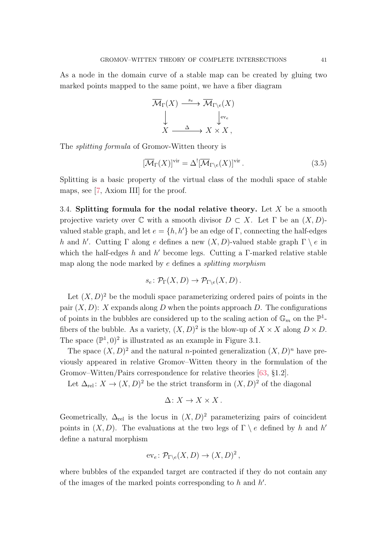As a node in the domain curve of a stable map can be created by gluing two marked points mapped to the same point, we have a fiber diagram

$$
\overline{\mathcal{M}}_{\Gamma}(X) \xrightarrow{s_e} \overline{\mathcal{M}}_{\Gamma \backslash e}(X)
$$
  

$$
\downarrow \qquad \qquad \downarrow_{ev_e}
$$
  

$$
X \xrightarrow{\Delta} X \times X,
$$

The splitting formula of Gromov-Witten theory is

$$
[\overline{\mathcal{M}}_{\Gamma}(X)]^{\text{vir}} = \Delta^{!} [\overline{\mathcal{M}}_{\Gamma \backslash e}(X)]^{\text{vir}}.
$$
\n(3.5)

Splitting is a basic property of the virtual class of the moduli space of stable maps, see [\[7,](#page-86-2) Axiom III] for the proof.

<span id="page-40-0"></span>3.4. Splitting formula for the nodal relative theory. Let  $X$  be a smooth projective variety over  $\mathbb C$  with a smooth divisor  $D \subset X$ . Let  $\Gamma$  be an  $(X, D)$ valued stable graph, and let  $e = \{h, h'\}$  be an edge of Γ, connecting the half-edges h and h'. Cutting  $\Gamma$  along e defines a new  $(X, D)$ -valued stable graph  $\Gamma \setminus e$  in which the half-edges  $h$  and  $h'$  become legs. Cutting a  $\Gamma$ -marked relative stable map along the node marked by e defines a splitting morphism

$$
s_e \colon \mathcal{P}_{\Gamma}(X,D) \to \mathcal{P}_{\Gamma \backslash e}(X,D).
$$

Let  $(X, D)^2$  be the moduli space parameterizing ordered pairs of points in the pair  $(X, D)$ : X expands along D when the points approach D. The configurations of points in the bubbles are considered up to the scaling action of  $\mathbb{G}_m$  on the  $\mathbb{P}^1$ fibers of the bubble. As a variety,  $(X, D)^2$  is the blow-up of  $X \times X$  along  $D \times D$ . The space  $(\mathbb{P}^1, 0)^2$  is illustrated as an example in Figure [3.1.](#page-41-0)

The space  $(X, D)^2$  and the natural *n*-pointed generalization  $(X, D)^n$  have previously appeared in relative Gromov–Witten theory in the formulation of the Gromov–Witten/Pairs correspondence for relative theories [\[63,](#page-88-2) §1.2].

Let  $\Delta_{rel}: X \to (X, D)^2$  be the strict transform in  $(X, D)^2$  of the diagonal

$$
\Delta\colon X\to X\times X\,.
$$

Geometrically,  $\Delta_{rel}$  is the locus in  $(X, D)^2$  parameterizing pairs of coincident points in  $(X, D)$ . The evaluations at the two legs of  $\Gamma \setminus e$  defined by h and h' define a natural morphism

$$
\mathrm{ev}_e \colon \mathcal{P}_{\Gamma \backslash e}(X, D) \to (X, D)^2 \,,
$$

where bubbles of the expanded target are contracted if they do not contain any of the images of the marked points corresponding to  $h$  and  $h'$ .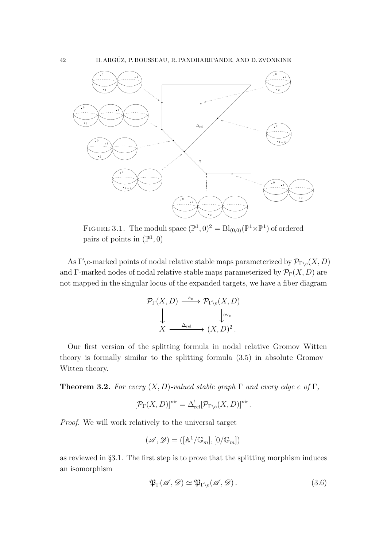

<span id="page-41-0"></span>FIGURE 3.1. The moduli space  $(\mathbb{P}^1, 0)^2 = \text{Bl}_{(0,0)}(\mathbb{P}^1 \times \mathbb{P}^1)$  of ordered pairs of points in  $(\mathbb{P}^1, 0)$ 

As  $\Gamma \backslash e$ -marked points of nodal relative stable maps parameterized by  $\mathcal{P}_{\Gamma \backslash e}(X, D)$ and Γ-marked nodes of nodal relative stable maps parameterized by  $\mathcal{P}_{\Gamma}(X, D)$  are not mapped in the singular locus of the expanded targets, we have a fiber diagram

$$
\mathcal{P}_{\Gamma}(X, D) \xrightarrow{s_e} \mathcal{P}_{\Gamma \backslash e}(X, D)
$$
  
\n
$$
\downarrow \qquad \qquad \downarrow_{ev_e}
$$
  
\n
$$
X \xrightarrow{\Delta_{\text{rel}}} (X, D)^2.
$$

Our first version of the splitting formula in nodal relative Gromov–Witten theory is formally similar to the splitting formula [\(3.5\)](#page-39-2) in absolute Gromov– Witten theory.

<span id="page-41-2"></span>**Theorem 3.2.** For every  $(X, D)$ -valued stable graph  $\Gamma$  and every edge e of  $\Gamma$ ,

$$
[\mathcal{P}_{\Gamma}(X,D)]^{\text{vir}} = \Delta^!_{\text{rel}}[\mathcal{P}_{\Gamma \backslash e}(X,D)]^{\text{vir}}.
$$

Proof. We will work relatively to the universal target

$$
(\mathscr{A},\mathscr{D})=([\mathbb{A}^1/\mathbb{G}_m],[0/\mathbb{G}_m])
$$

as reviewed in §[3.1.](#page-37-0) The first step is to prove that the splitting morphism induces an isomorphism

<span id="page-41-1"></span>
$$
\mathfrak{P}_{\Gamma}(\mathscr{A}, \mathscr{D}) \simeq \mathfrak{P}_{\Gamma \backslash e}(\mathscr{A}, \mathscr{D}). \tag{3.6}
$$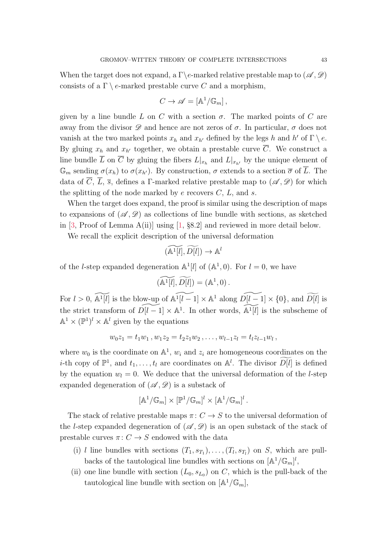When the target does not expand, a  $\Gamma$ \e-marked relative prestable map to  $(\mathscr{A}, \mathscr{D})$ consists of a  $\Gamma \setminus e$ -marked prestable curve C and a morphism,

$$
C \to \mathscr{A} = [\mathbb{A}^1/\mathbb{G}_m],
$$

given by a line bundle L on C with a section  $\sigma$ . The marked points of C are away from the divisor  $\mathscr D$  and hence are not zeros of  $\sigma$ . In particular,  $\sigma$  does not vanish at the two marked points  $x_h$  and  $x_{h'}$  defined by the legs h and h' of  $\Gamma \setminus e$ . By gluing  $x_h$  and  $x_{h'}$  together, we obtain a prestable curve  $\overline{C}$ . We construct a line bundle L on C by gluing the fibers  $L|_{x_h}$  and  $L|_{x_{h'}}$  by the unique element of  $\mathbb{G}_m$  sending  $\sigma(x_h)$  to  $\sigma(x_{h'})$ . By construction,  $\sigma$  extends to a section  $\overline{\sigma}$  of  $\overline{L}$ . The data of  $\overline{C}$ ,  $\overline{L}$ ,  $\overline{s}$ , defines a Γ-marked relative prestable map to  $(\mathscr{A}, \mathscr{D})$  for which the splitting of the node marked by  $e$  recovers  $C, L$ , and  $s$ .

When the target does expand, the proof is similar using the description of maps to expansions of  $(\mathscr{A}, \mathscr{D})$  as collections of line bundle with sections, as sketched in  $[3, \text{Proof of Lemma A(ii)}]$  using  $[1, \text{§}8.2]$  and reviewed in more detail below.

We recall the explicit description of the universal deformation

$$
(\widetilde{{\mathbb A}^1[l]},\widetilde{D[l]}) \to {\mathbb A}^l
$$

of the *l*-step expanded degeneration  $\mathbb{A}^1[l]$  of  $(\mathbb{A}^1, 0)$ . For  $l = 0$ , we have

$$
(\widetilde{\mathbb{A}^1[l]}, \widetilde{D[l]}) = (\mathbb{A}^1, 0).
$$

For  $l > 0$ ,  $\widetilde{\mathbb{A}^1[l]}$  is the blow-up of  $\widetilde{\mathbb{A}^1[l-1]} \times \mathbb{A}^1$  along  $\widetilde{D[l-1]} \times \{0\}$ , and  $\widetilde{D[l]}$  is the strict transform of  $\widetilde{D[l - 1]} \times \mathbb{A}^1$ . In other words,  $\widetilde{\mathbb{A}^1[l]}$  is the subscheme of  $\mathbb{A}^1 \times (\mathbb{P}^1)^l \times \mathbb{A}^l$  given by the equations

$$
w_0z_1 = t_1w_1, w_1z_2 = t_2z_1w_2, \ldots, w_{l-1}z_l = t_lz_{l-1}w_l,
$$

where  $w_0$  is the coordinate on  $\mathbb{A}^1$ ,  $w_i$  and  $z_i$  are homogeneous coordinates on the *i*-th copy of  $\mathbb{P}^1$ , and  $t_1, \ldots, t_l$  are coordinates on  $\mathbb{A}^l$ . The divisor  $\widetilde{D[l]}$  is defined by the equation  $w_l = 0$ . We deduce that the universal deformation of the *l*-step expanded degeneration of  $(\mathscr{A}, \mathscr{D})$  is a substack of

$$
[\mathbb{A}^1/\mathbb{G}_m] \times [\mathbb{P}^1/\mathbb{G}_m]^l \times [\mathbb{A}^1/\mathbb{G}_m]^l.
$$

The stack of relative prestable maps  $\pi: C \to S$  to the universal deformation of the l-step expanded degeneration of  $(\mathscr{A}, \mathscr{D})$  is an open substack of the stack of prestable curves  $\pi: C \to S$  endowed with the data

- (i) *l* line bundles with sections  $(T_1, s_{T_1}), \ldots, (T_l, s_{T_l})$  on *S*, which are pullbacks of the tautological line bundles with sections on  $[\mathbb{A}^1/\mathbb{G}_m]^l$ ,
- (ii) one line bundle with section  $(L_0, s_{L_0})$  on C, which is the pull-back of the tautological line bundle with section on  $[\mathbb{A}^1/\mathbb{G}_m]$ ,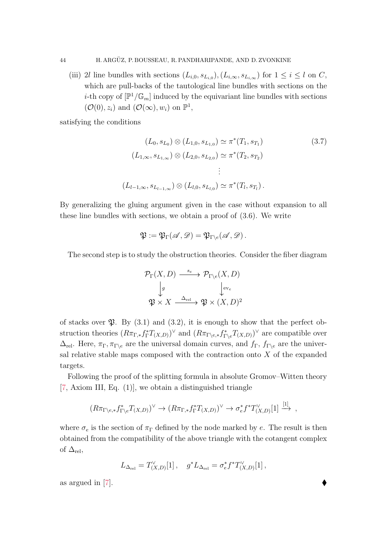(iii) 2l line bundles with sections  $(L_{i,0}, s_{L_{i,0}}), (L_{i,\infty}, s_{L_{i,\infty}})$  for  $1 \leq i \leq l$  on C, which are pull-backs of the tautological line bundles with sections on the *i*-th copy of  $[\mathbb{P}^1/\mathbb{G}_m]$  induced by the equivariant line bundles with sections  $(\mathcal{O}(0), z_i)$  and  $(\mathcal{O}(\infty), w_i)$  on  $\mathbb{P}^1$ ,

satisfying the conditions

<span id="page-43-0"></span>
$$
(L_0, s_{L_0}) \otimes (L_{1,0}, s_{L_{1,0}}) \simeq \pi^*(T_1, s_{T_1})
$$
\n
$$
(L_{1,\infty}, s_{L_{1,\infty}}) \otimes (L_{2,0}, s_{L_{2,0}}) \simeq \pi^*(T_2, s_{T_2})
$$
\n
$$
\vdots
$$
\n
$$
(L_{l-1,\infty}, s_{L_{l-1,\infty}}) \otimes (L_{l,0}, s_{L_{l,0}}) \simeq \pi^*(T_l, s_{T_l}).
$$
\n
$$
(3.7)
$$

By generalizing the gluing argument given in the case without expansion to all these line bundles with sections, we obtain a proof of [\(3.6\)](#page-41-1). We write

$$
\mathfrak{P}:=\mathfrak{P}_\Gamma(\mathscr{A},\mathscr{D})=\mathfrak{P}_{\Gamma\setminus e}(\mathscr{A},\mathscr{D})\,.
$$

The second step is to study the obstruction theories. Consider the fiber diagram

$$
\mathcal{P}_{\Gamma}(X, D) \xrightarrow{\ s_e} \mathcal{P}_{\Gamma \backslash e}(X, D)
$$

$$
\downarrow g \qquad \qquad \downarrow_{ev_e}
$$

$$
\mathfrak{P} \times X \xrightarrow{\Delta_{\text{rel}}} \mathfrak{P} \times (X, D)^2
$$

of stacks over  $\mathfrak{P}$ . By [\(3.1\)](#page-39-3) and [\(3.2\)](#page-38-1), it is enough to show that the perfect obstruction theories  $(R\pi_{\Gamma,*}f_{\Gamma}^*T_{(X,D)})^{\vee}$  and  $(R\pi_{\Gamma\setminus e,*}f_{\Gamma\setminus e}^*T_{(X,D)})^{\vee}$  are compatible over  $\Delta_{\rm rel}$ . Here,  $\pi_{\Gamma}, \pi_{\Gamma \backslash e}$  are the universal domain curves, and  $f_{\Gamma}, f_{\Gamma \backslash e}$  are the universal relative stable maps composed with the contraction onto  $X$  of the expanded targets.

Following the proof of the splitting formula in absolute Gromov–Witten theory [\[7,](#page-86-2) Axiom III, Eq. (1)], we obtain a distinguished triangle

$$
(R\pi_{\Gamma\backslash e,*}f_{\Gamma\backslash e}^*T_{(X,D)})^{\vee} \to (R\pi_{\Gamma,*}f_{\Gamma}^*T_{(X,D)})^{\vee} \to \sigma_e^*f^*T_{(X,D)}^{\vee}[1] \xrightarrow{[1]} ,
$$

where  $\sigma_e$  is the section of  $\pi_{\Gamma}$  defined by the node marked by e. The result is then obtained from the compatibility of the above triangle with the cotangent complex of  $\Delta_{\rm rel}$ ,

$$
L_{\Delta_{\rm rel}} = T_{(X,D)}^\vee[1]\,,\quad g^*L_{\Delta_{\rm rel}} = \sigma_e^*f^*T_{(X,D)}^\vee[1]\,,
$$

as argued in [\[7\]](#page-86-2).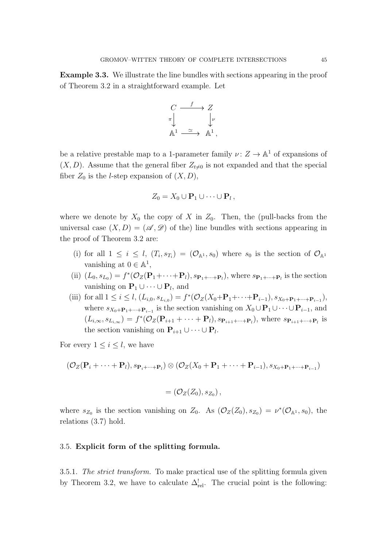Example 3.3. We illustrate the line bundles with sections appearing in the proof of Theorem [3.2](#page-41-2) in a straightforward example. Let

$$
\begin{array}{ccc}\nC & \xrightarrow{f} & Z \\
\pi & & \downarrow{\nu} \\
\mathbb{A}^1 & \xrightarrow{\simeq} & \mathbb{A}^1,\n\end{array}
$$

be a relative prestable map to a 1-parameter family  $\nu: Z \to \mathbb{A}^1$  of expansions of  $(X, D)$ . Assume that the general fiber  $Z_{t\neq0}$  is not expanded and that the special fiber  $Z_0$  is the *l*-step expansion of  $(X, D)$ ,

$$
Z_0 = X_0 \cup \mathbf{P}_1 \cup \cdots \cup \mathbf{P}_l \,,
$$

where we denote by  $X_0$  the copy of X in  $Z_0$ . Then, the (pull-backs from the universal case  $(X, D) = (\mathscr{A}, \mathscr{D})$  of the) line bundles with sections appearing in the proof of Theorem [3.2](#page-41-2) are:

- (i) for all  $1 \leq i \leq l$ ,  $(T_i, s_{T_i}) = (\mathcal{O}_{\mathbb{A}^1}, s_0)$  where  $s_0$  is the section of  $\mathcal{O}_{\mathbb{A}^1}$ vanishing at  $0 \in \mathbb{A}^1$ ,
- (ii)  $(L_0, s_{L_0}) = f^*(\mathcal{O}_Z(\mathbf{P}_1 + \cdots + \mathbf{P}_l), s_{\mathbf{P}_1 + \cdots + \mathbf{P}_l})$ , where  $s_{\mathbf{P}_1 + \cdots + \mathbf{P}_l}$  is the section vanishing on  $\mathbf{P}_1 \cup \cdots \cup \mathbf{P}_l$ , and
- (iii) for all  $1 \leq i \leq l$ ,  $(L_{i,0}, s_{L_{i,0}}) = f^{*}(\mathcal{O}_{Z}(X_{0} + \mathbf{P}_{1} + \cdots + \mathbf{P}_{i-1}), s_{X_{0} + \mathbf{P}_{1} + \cdots + \mathbf{P}_{i-1}})$ , where  $s_{X_0+\mathbf{P}_1+\cdots+\mathbf{P}_{i-1}}$  is the section vanishing on  $X_0\cup\mathbf{P}_1\cup\cdots\cup\mathbf{P}_{i-1}$ , and  $(L_{i,\infty}, s_{L_{i,\infty}}) = f^*(\mathcal{O}_Z(\mathbf{P}_{i+1} + \cdots + \mathbf{P}_l), s_{\mathbf{P}_{i+1}+\cdots+\mathbf{P}_l})$ , where  $s_{\mathbf{P}_{i+1}+\cdots+\mathbf{P}_l}$  is the section vanishing on  $\mathbf{P}_{i+1} \cup \cdots \cup \mathbf{P}_{l}$ .

For every  $1 \leq i \leq l$ , we have

$$
(\mathcal{O}_Z(\mathbf{P}_i+\cdots+\mathbf{P}_l), s_{\mathbf{P}_i+\cdots+\mathbf{P}_l}) \otimes (\mathcal{O}_Z(X_0+\mathbf{P}_1+\cdots+\mathbf{P}_{i-1}), s_{X_0+\mathbf{P}_1+\cdots+\mathbf{P}_{i-1}})
$$

$$
=(\mathcal{O}_Z(Z_0),s_{Z_0}),
$$

where  $s_{Z_0}$  is the section vanishing on  $Z_0$ . As  $(\mathcal{O}_Z(Z_0), s_{Z_0}) = \nu^*(\mathcal{O}_{\mathbb{A}^1}, s_0)$ , the relations [\(3.7\)](#page-43-0) hold.

## <span id="page-44-0"></span>3.5. Explicit form of the splitting formula.

3.5.1. The strict transform. To make practical use of the splitting formula given by Theorem [3.2,](#page-41-2) we have to calculate  $\Delta_{rel}^!$ . The crucial point is the following: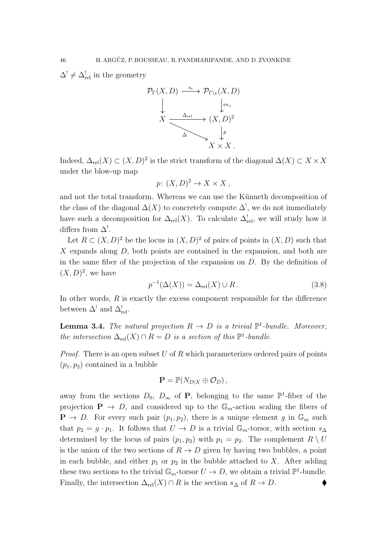$\Delta^! \neq \Delta^!_{\text{rel}}$  in the geometry



Indeed,  $\Delta_{rel}(X) \subset (X, D)^2$  is the strict transform of the diagonal  $\Delta(X) \subset X \times X$ under the blow-up map

$$
p\colon (X,D)^2\to X\times X\,,
$$

and not the total transform. Whereas we can use the Künneth decomposition of the class of the diagonal  $\Delta(X)$  to concretely compute  $\Delta^!,$  we do not immediately have such a decomposition for  $\Delta_{rel}(X)$ . To calculate  $\Delta_{rel}^!$ , we will study how it differs from  $\Delta^!$ .

Let  $R \subset (X, D)^2$  be the locus in  $(X, D)^2$  of pairs of points in  $(X, D)$  such that  $X$  expands along  $D$ , both points are contained in the expansion, and both are in the same fiber of the projection of the expansion on D. By the definition of  $(X, D)<sup>2</sup>$ , we have

<span id="page-45-1"></span>
$$
p^{-1}(\Delta(X)) = \Delta_{\text{rel}}(X) \cup R. \tag{3.8}
$$

In other words,  $R$  is exactly the excess component responsible for the difference between  $\Delta^!$  and  $\Delta^!_{\text{rel}}$ .

<span id="page-45-0"></span>**Lemma 3.4.** The natural projection  $R \to D$  is a trivial  $\mathbb{P}^1$ -bundle. Moreover, the intersection  $\Delta_{rel}(X) \cap R = D$  is a section of this  $\mathbb{P}^1$ -bundle.

*Proof.* There is an open subset U of R which parameterizes ordered pairs of points  $(p_1, p_2)$  contained in a bubble

$$
\mathbf{P} = \mathbb{P}(N_{D|X} \oplus \mathcal{O}_D),
$$

away from the sections  $D_0$ ,  $D_{\infty}$  of **P**, belonging to the same  $\mathbb{P}^1$ -fiber of the projection  $P \rightarrow D$ , and considered up to the  $\mathbb{G}_m$ -action scaling the fibers of  $\mathbf{P} \to D$ . For every such pair  $(p_1, p_2)$ , there is a unique element g in  $\mathbb{G}_m$  such that  $p_2 = g \cdot p_1$ . It follows that  $U \to D$  is a trivial  $\mathbb{G}_m$ -torsor, with section  $s_{\Delta}$ determined by the locus of pairs  $(p_1, p_2)$  with  $p_1 = p_2$ . The complement  $R \setminus U$ is the union of the two sections of  $R \to D$  given by having two bubbles, a point in each bubble, and either  $p_1$  or  $p_2$  in the bubble attached to X. After adding these two sections to the trivial  $\mathbb{G}_m$ -torsor  $U \to D$ , we obtain a trivial  $\mathbb{P}^1$ -bundle. Finally, the intersection  $\Delta_{rel}(X) \cap R$  is the section  $s_{\Delta}$  of  $R \to D$ .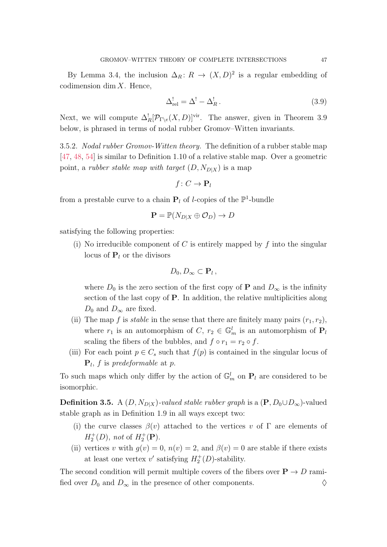By Lemma [3.4,](#page-45-0) the inclusion  $\Delta_R: R \to (X, D)^2$  is a regular embedding of codimension dim  $X$ . Hence,

<span id="page-46-0"></span>
$$
\Delta_{\rm rel}^! = \Delta^! - \Delta_R^!,\tag{3.9}
$$

Next, we will compute  $\Delta_R^![\mathcal{P}_{\Gamma\setminus e}(X,D)]^{\text{vir}}$ . The answer, given in Theorem [3.9](#page-49-0) below, is phrased in terms of nodal rubber Gromov–Witten invariants.

3.5.2. Nodal rubber Gromov-Witten theory. The definition of a rubber stable map [\[47,](#page-88-3) [48,](#page-88-1) [54\]](#page-88-4) is similar to Definition [1.10](#page-19-0) of a relative stable map. Over a geometric point, a *rubber stable map with target*  $(D, N_{D|X})$  is a map

$$
f\colon C\to \mathbf{P}_l
$$

from a prestable curve to a chain  $P_l$  of *l*-copies of the  $\mathbb{P}^1$ -bundle

$$
\mathbf{P} = \mathbb{P}(N_{D|X} \oplus \mathcal{O}_D) \to D
$$

satisfying the following properties:

(i) No irreducible component of C is entirely mapped by  $f$  into the singular locus of  $P_l$  or the divisors

$$
D_0, D_{\infty} \subset \mathbf{P}_l \,,
$$

where  $D_0$  is the zero section of the first copy of **P** and  $D_{\infty}$  is the infinity section of the last copy of P. In addition, the relative multiplicities along  $D_0$  and  $D_{\infty}$  are fixed.

- (ii) The map f is *stable* in the sense that there are finitely many pairs  $(r_1, r_2)$ , where  $r_1$  is an automorphism of  $C, r_2 \in \mathbb{G}_m^l$  is an automorphism of  $P_l$ scaling the fibers of the bubbles, and  $f \circ r_1 = r_2 \circ f$ .
- (iii) For each point  $p \in C_s$  such that  $f(p)$  is contained in the singular locus of  $\mathbf{P}_l$ , f is predeformable at p.

To such maps which only differ by the action of  $\mathbb{G}_m^l$  on  $P_l$  are considered to be isomorphic.

**Definition 3.5.** A  $(D, N_{D|X})$ -valued stable rubber graph is a  $(\mathbf{P}, D_0 \cup D_\infty)$ -valued stable graph as in Definition [1.9](#page-17-0) in all ways except two:

- (i) the curve classes  $\beta(v)$  attached to the vertices v of  $\Gamma$  are elements of  $H_2^+(D)$ , not of  $H_2^+(\mathbf{P})$ .
- (ii) vertices v with  $g(v) = 0$ ,  $n(v) = 2$ , and  $\beta(v) = 0$  are stable if there exists at least one vertex  $v'$  satisfying  $H_2^+(D)$ -stability.

The second condition will permit multiple covers of the fibers over  $P \to D$  ramified over  $D_0$  and  $D_{\infty}$  in the presence of other components.  $\diamond$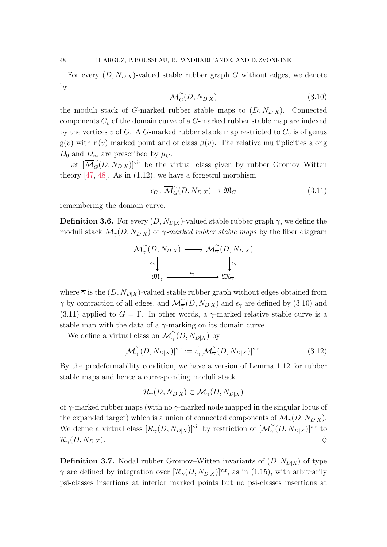For every  $(D, N_{D|X})$ -valued stable rubber graph G without edges, we denote by

<span id="page-47-0"></span>
$$
\overline{\mathcal{M}}_{G}^{\sim}(D, N_{D|X}) \tag{3.10}
$$

the moduli stack of G-marked rubber stable maps to  $(D, N_{D|X})$ . Connected components  $C_v$  of the domain curve of a  $G$ -marked rubber stable map are indexed by the vertices v of G. A G-marked rubber stable map restricted to  $C_v$  is of genus  $g(v)$  with n(v) marked point and of class  $\beta(v)$ . The relative multiplicities along  $D_0$  and  $D_{\infty}$  are prescribed by  $\mu_G$ .

Let  $\overline{[M]}_{G}^{\sim}(D, N_{D|X})$ <sup>vir</sup> be the virtual class given by rubber Gromov–Witten theory  $[47, 48]$  $[47, 48]$ . As in  $(1.12)$ , we have a forgetful morphism

<span id="page-47-1"></span>
$$
\epsilon_G \colon \overline{\mathcal{M}}_G^{\sim}(D, N_{D|X}) \to \mathfrak{M}_G \tag{3.11}
$$

remembering the domain curve.

<span id="page-47-2"></span>**Definition 3.6.** For every  $(D, N_{D|X})$ -valued stable rubber graph  $\gamma$ , we define the moduli stack  $\overline{\mathcal{M}}_{\gamma}(D, N_{D|X})$  of  $\gamma$ -marked rubber stable maps by the fiber diagram

$$
\begin{array}{ccc}\n\overline{\mathcal{M}}_{\gamma}^{\sim}(D,N_{D|X}) & \longrightarrow & \overline{\mathcal{M}}_{\overline{\gamma}}^{\sim}(D,N_{D|X}) \\
\downarrow & & \downarrow_{\epsilon_{\overline{\gamma}}} \\
\overline{\mathfrak{M}}_{\gamma} & \xrightarrow{\iota_{\gamma}} & \overline{\mathfrak{M}}_{\overline{\gamma}},\n\end{array}
$$

where  $\overline{\gamma}$  is the  $(D, N_{D|X})$ -valued stable rubber graph without edges obtained from  $\gamma$  by contraction of all edges, and  $\overline{\mathcal{M}}_{\overline{\gamma}}^{\sim}$  $\frac{\gamma}{\gamma}(D, N_{D|X})$  and  $\epsilon_{\overline{\gamma}}$  are defined by [\(3.10\)](#page-47-0) and [\(3.11\)](#page-47-1) applied to  $G = \overline{\Gamma}$ . In other words, a  $\gamma$ -marked relative stable curve is a stable map with the data of a  $\gamma$ -marking on its domain curve.

We define a virtual class on  $\overline{\mathcal{M}}_{\overline{\gamma}}^{\sim}$  $\frac{\infty}{\gamma}(D, N_{D|X})$  by

$$
[\overline{\mathcal{M}}_{\gamma}^{\sim}(D, N_{D|X})]^{\text{vir}} := \iota_{\gamma}^{!}[\overline{\mathcal{M}}_{\overline{\gamma}}^{\sim}(D, N_{D|X})]^{\text{vir}}.
$$
\n(3.12)

By the predeformability condition, we have a version of Lemma [1.12](#page-21-0) for rubber stable maps and hence a corresponding moduli stack

$$
\mathcal{R}_{\gamma}(D, N_{D|X}) \subset \overline{\mathcal{M}}_{\gamma}(D, N_{D|X})
$$

of  $\gamma$ -marked rubber maps (with no  $\gamma$ -marked node mapped in the singular locus of the expanded target) which is a union of connected components of  $\overline{\mathcal{M}}_{\gamma}(D, N_{D|X})$ . We define a virtual class  $[\mathcal{R}_{\gamma}(D, N_{D|X})]^{\text{vir}}$  by restriction of  $[\overline{\mathcal{M}}_{\gamma}^{\sim}]$  $\int_{\gamma}^{\infty} (D, N_{D|X})$ <sup>vir</sup> to  $\mathcal{R}_{\gamma}(D, N_{D|X}).$ 

**Definition 3.7.** Nodal rubber Gromov–Witten invariants of  $(D, N_{D|X})$  of type  $\gamma$  are defined by integration over  $[\mathcal{R}_{\gamma}(D, N_{D|X})]^{\text{vir}}$ , as in [\(1.15\)](#page-23-1), with arbitrarily psi-classes insertions at interior marked points but no psi-classes insertions at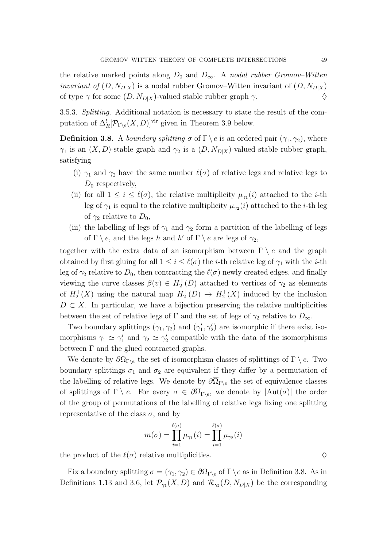the relative marked points along  $D_0$  and  $D_{\infty}$ . A nodal rubber Gromov–Witten *invariant of*  $(D, N_{D|X})$  is a nodal rubber Gromov–Witten invariant of  $(D, N_{D|X})$ of type  $\gamma$  for some  $(D, N_{D|X})$ -valued stable rubber graph  $\gamma$ .

3.5.3. Splitting. Additional notation is necessary to state the result of the computation of  $\Delta_R^! [\mathcal{P}_{\Gamma \backslash e}(X, D)]^{\text{vir}}$  given in Theorem [3.9](#page-49-0) below.

<span id="page-48-0"></span>**Definition 3.8.** A *boundary splitting*  $\sigma$  of  $\Gamma \backslash e$  is an ordered pair  $(\gamma_1, \gamma_2)$ , where  $\gamma_1$  is an  $(X, D)$ -stable graph and  $\gamma_2$  is a  $(D, N_{D|X})$ -valued stable rubber graph, satisfying

- (i)  $\gamma_1$  and  $\gamma_2$  have the same number  $\ell(\sigma)$  of relative legs and relative legs to  $D_0$  respectively,
- (ii) for all  $1 \leq i \leq \ell(\sigma)$ , the relative multiplicity  $\mu_{\gamma_1}(i)$  attached to the *i*-th leg of  $\gamma_1$  is equal to the relative multiplicity  $\mu_{\gamma_2}(i)$  attached to the *i*-th leg of  $\gamma_2$  relative to  $D_0$ ,
- (iii) the labelling of legs of  $\gamma_1$  and  $\gamma_2$  form a partition of the labelling of legs of  $\Gamma \setminus e$ , and the legs h and h' of  $\Gamma \setminus e$  are legs of  $\gamma_2$ ,

together with the extra data of an isomorphism between  $\Gamma \setminus e$  and the graph obtained by first gluing for all  $1 \leq i \leq \ell(\sigma)$  the *i*-th relative leg of  $\gamma_1$  with the *i*-th leg of  $\gamma_2$  relative to  $D_0$ , then contracting the  $\ell(\sigma)$  newly created edges, and finally viewing the curve classes  $\beta(v) \in H_2^+(D)$  attached to vertices of  $\gamma_2$  as elements of  $H_2^+(X)$  using the natural map  $H_2^+(D) \to H_2^+(X)$  induced by the inclusion  $D \subset X$ . In particular, we have a bijection preserving the relative multiplicities between the set of relative legs of  $\Gamma$  and the set of legs of  $\gamma_2$  relative to  $D_{\infty}$ .

Two boundary splittings  $(\gamma_1, \gamma_2)$  and  $(\gamma'_1, \gamma'_2)$  are isomorphic if there exist isomorphisms  $\gamma_1 \simeq \gamma_1'$  and  $\gamma_2 \simeq \gamma_2'$  compatible with the data of the isomorphisms between  $\Gamma$  and the glued contracted graphs.

We denote by  $\partial\Omega_{\Gamma\backslash e}$  the set of isomorphism classes of splittings of  $\Gamma \backslash e$ . Two boundary splittings  $\sigma_1$  and  $\sigma_2$  are equivalent if they differ by a permutation of the labelling of relative legs. We denote by  $\partial \Omega_{\Gamma\setminus e}$  the set of equivalence classes of splittings of  $\Gamma \setminus e$ . For every  $\sigma \in \partial \overline{\Omega}_{\Gamma \setminus e}$ , we denote by  $|\text{Aut}(\sigma)|$  the order of the group of permutations of the labelling of relative legs fixing one splitting representative of the class  $\sigma$ , and by

$$
m(\sigma) = \prod_{i=1}^{\ell(\sigma)} \mu_{\gamma_1}(i) = \prod_{i=1}^{\ell(\sigma)} \mu_{\gamma_2}(i)
$$

the product of the  $\ell(\sigma)$  relative multiplicities.  $\diamond$ 

Fix a boundary splitting  $\sigma = (\gamma_1, \gamma_2) \in \partial \overline{\Omega}_{\Gamma \backslash e}$  of  $\Gamma \backslash e$  as in Definition [3.8.](#page-48-0) As in Definitions [1.13](#page-22-0) and [3.6,](#page-47-2) let  $\mathcal{P}_{\gamma_1}(X, D)$  and  $\mathcal{R}_{\gamma_2}(D, N_{D|X})$  be the corresponding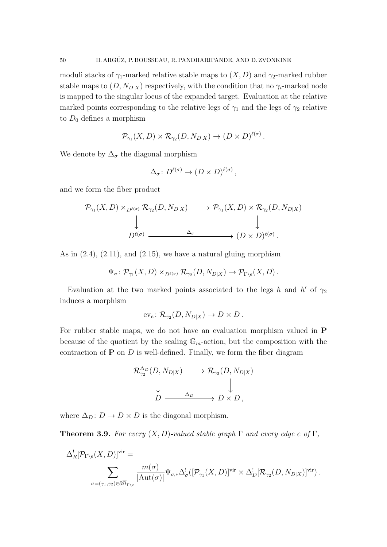moduli stacks of  $\gamma_1$ -marked relative stable maps to  $(X, D)$  and  $\gamma_2$ -marked rubber stable maps to  $(D, N_{D|X})$  respectively, with the condition that no  $\gamma_i$ -marked node is mapped to the singular locus of the expanded target. Evaluation at the relative marked points corresponding to the relative legs of  $\gamma_1$  and the legs of  $\gamma_2$  relative to  $D_0$  defines a morphism

$$
\mathcal{P}_{\gamma_1}(X,D) \times \mathcal{R}_{\gamma_2}(D,N_{D|X}) \to (D \times D)^{\ell(\sigma)}.
$$

We denote by  $\Delta_{\sigma}$  the diagonal morphism

$$
\Delta_{\sigma} \colon D^{\ell(\sigma)} \to (D \times D)^{\ell(\sigma)},
$$

and we form the fiber product

$$
\mathcal{P}_{\gamma_1}(X,D) \times_{D^{\ell(\sigma)}} \mathcal{R}_{\gamma_2}(D,N_{D|X}) \longrightarrow \mathcal{P}_{\gamma_1}(X,D) \times \mathcal{R}_{\gamma_2}(D,N_{D|X})
$$
  
\n
$$
\downarrow \qquad \qquad \downarrow
$$
  
\n
$$
D^{\ell(\sigma)} \xrightarrow{\Delta_{\sigma}} (D \times D)^{\ell(\sigma)}.
$$

As in  $(2.4)$ ,  $(2.11)$ , and  $(2.15)$ , we have a natural gluing morphism

$$
\Psi_{\sigma} \colon \mathcal{P}_{\gamma_1}(X, D) \times_{D^{\ell(\sigma)}} \mathcal{R}_{\gamma_2}(D, N_{D|X}) \to \mathcal{P}_{\Gamma \backslash e}(X, D).
$$

Evaluation at the two marked points associated to the legs h and h' of  $\gamma_2$ induces a morphism

$$
\mathrm{ev}_e \colon \mathcal{R}_{\gamma_2}(D, N_{D|X}) \to D \times D.
$$

For rubber stable maps, we do not have an evaluation morphism valued in P because of the quotient by the scaling  $\mathbb{G}_m$ -action, but the composition with the contraction of  $P$  on  $D$  is well-defined. Finally, we form the fiber diagram

$$
\mathcal{R}_{\gamma_2}^{\Delta_D}(D, N_{D|X}) \longrightarrow \mathcal{R}_{\gamma_2}(D, N_{D|X})
$$
  
\n
$$
\downarrow \qquad \qquad \downarrow
$$
  
\n
$$
D \xrightarrow{\Delta_D} D \times D,
$$

where  $\Delta_D: D \to D \times D$  is the diagonal morphism.

<span id="page-49-0"></span>**Theorem 3.9.** For every  $(X, D)$ -valued stable graph  $\Gamma$  and every edge e of  $\Gamma$ ,

$$
\Delta_R^![\mathcal{P}_{\Gamma\backslash e}(X,D)]^{\text{vir}} =
$$
  

$$
\sum_{\sigma=(\gamma_1,\gamma_2)\in\partial\overline{\Omega}_{\Gamma\backslash e}}\frac{m(\sigma)}{|\mathrm{Aut}(\sigma)|}\Psi_{\sigma,*}\Delta_\sigma^![\left([\mathcal{P}_{\gamma_1}(X,D)]^{\text{vir}}\times\Delta_D^![\mathcal{R}_{\gamma_2}(D,N_{D|X})]^{\text{vir}}\right).
$$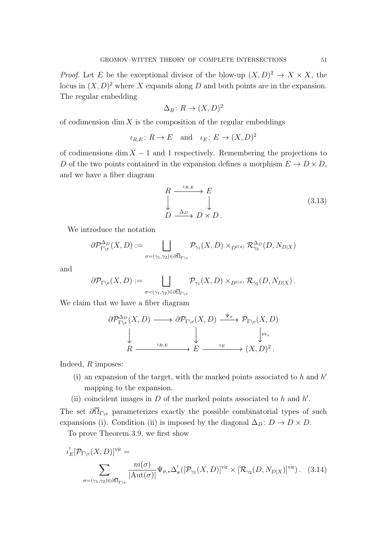*Proof.* Let E be the exceptional divisor of the blow-up  $(X, D)^2 \to X \times X$ , the locus in  $(X, D)^2$  where X expands along D and both points are in the expansion. The regular embedding

$$
\Delta_R\colon R\to (X,D)^2
$$

of codimension dim  $X$  is the composition of the regular embeddings

$$
\iota_{R,E}: R \to E
$$
 and  $\iota_E: E \to (X,D)^2$ 

of codimensions dim  $X - 1$  and 1 respectively. Remembering the projections to D of the two points contained in the expansion defines a morphism  $E \to D \times D$ , and we have a fiber diagram

<span id="page-50-1"></span>
$$
R \xrightarrow{\iota_{R,E}} E
$$
  
\n
$$
\downarrow \qquad \qquad \downarrow
$$
  
\n
$$
D \xrightarrow{\Delta_D} D \times D.
$$
  
\n(3.13)

We introduce the notation

$$
\partial \mathcal{P}_{\Gamma \backslash e}^{\Delta_D}(X, D) := \bigsqcup_{\sigma = (\gamma_1, \gamma_2) \in \partial \overline{\Omega}_{\Gamma \backslash e}} \mathcal{P}_{\gamma_1}(X, D) \times_{D^{\ell(\sigma)}} \mathcal{R}_{\gamma_2}^{\Delta_D}(D, N_{D \mid X})
$$

and

$$
\partial \mathcal{P}_{\Gamma \backslash e}(X,D) := \bigsqcup_{\sigma = (\gamma_1,\gamma_2) \in \partial \overline{\Omega}_{\Gamma \backslash e}} \mathcal{P}_{\gamma_1}(X,D) \times_{D^{\ell(\sigma)}} \mathcal{R}_{\gamma_2}(D,N_{D|X}).
$$

We claim that we have a fiber diagram

$$
\partial \mathcal{P}_{\Gamma \backslash e}^{\Delta_D}(X, D) \longrightarrow \partial \mathcal{P}_{\Gamma \backslash e}(X, D) \xrightarrow{\Psi_{\sigma}} \mathcal{P}_{\Gamma \backslash e}(X, D)
$$
  
\n
$$
\downarrow \qquad \qquad \downarrow \qquad \qquad \downarrow \qquad \qquad \downarrow \qquad \qquad \downarrow \qquad \qquad \downarrow \qquad \qquad \downarrow \qquad \qquad \downarrow \qquad \qquad \downarrow \qquad \qquad \downarrow \qquad \qquad \downarrow \qquad \qquad \downarrow
$$
  
\n
$$
R \xrightarrow{\iota_{R,E}} E \longrightarrow E \longrightarrow (\chi, D)^2.
$$

Indeed, R imposes:

- (i) an expansion of the target, with the marked points associated to  $h$  and  $h'$ mapping to the expansion.
- (ii) coincident images in  $D$  of the marked points associated to  $h$  and  $h'$ .

The set  $\partial \overline{\Omega}_{\Gamma\setminus e}$  parameterizes exactly the possible combinatorial types of such expansions (i). Condition (ii) is imposed by the diagonal  $\Delta_D : D \to D \times D$ .

To prove Theorem [3.9,](#page-49-0) we first show

<span id="page-50-0"></span>
$$
\iota_E^![\mathcal{P}_{\Gamma\backslash e}(X,D)]^{\text{vir}} = \sum_{\sigma=(\gamma_1,\gamma_2)\in\partial\overline{\Omega}_{\Gamma\backslash e}} \frac{m(\sigma)}{|\text{Aut}(\sigma)|} \Psi_{\sigma,*}\Delta^!_{\sigma}([\mathcal{P}_{\gamma_1}(X,D)]^{\text{vir}} \times [\mathcal{R}_{\gamma_2}(D,N_{D|X})]^{\text{vir}}). \tag{3.14}
$$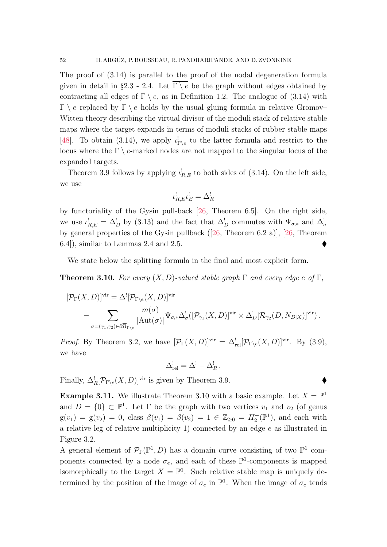The proof of [\(3.14\)](#page-50-0) is parallel to the proof of the nodal degeneration formula given in detail in §[2.3](#page-32-0) - [2.4.](#page-35-2) Let  $\overline{\Gamma \setminus e}$  be the graph without edges obtained by contracting all edges of  $\Gamma \setminus e$ , as in Definition [1.2.](#page-13-0) The analogue of [\(3.14\)](#page-50-0) with  $\Gamma \setminus e$  replaced by  $\overline{\Gamma \setminus e}$  holds by the usual gluing formula in relative Gromov– Witten theory describing the virtual divisor of the moduli stack of relative stable maps where the target expands in terms of moduli stacks of rubber stable maps [\[48\]](#page-88-1). To obtain [\(3.14\)](#page-50-0), we apply  $\iota_{\Gamma\setminus e}^!$  to the latter formula and restrict to the locus where the  $\Gamma \backslash e$ -marked nodes are not mapped to the singular locus of the expanded targets.

Theorem [3.9](#page-49-0) follows by applying  $\iota_{R,E}^!$  to both sides of [\(3.14\)](#page-50-0). On the left side, we use

$$
\iota_{R,E}^! \iota_E^! = \Delta_R^!
$$

by functoriality of the Gysin pull-back [\[26,](#page-87-2) Theorem 6.5]. On the right side, we use  $\iota_{R,E}^! = \Delta_D^!$  by [\(3.13\)](#page-50-1) and the fact that  $\Delta_D^!$  commutes with  $\Psi_{\sigma,*}$  and  $\Delta_\sigma^!$ by general properties of the Gysin pullback ([\[26,](#page-87-2) Theorem 6.2 a)], [\[26,](#page-87-2) Theorem 6.4]), similar to Lemmas [2.4](#page-33-0) and [2.5.](#page-33-1)

We state below the splitting formula in the final and most explicit form.

<span id="page-51-0"></span>**Theorem 3.10.** For every  $(X, D)$ -valued stable graph  $\Gamma$  and every edge e of  $\Gamma$ ,

$$
[\mathcal{P}_{\Gamma}(X,D)]^{\text{vir}} = \Delta^{!} [\mathcal{P}_{\Gamma \backslash e}(X,D)]^{\text{vir}} - \sum_{\sigma = (\gamma_1, \gamma_2) \in \partial \overline{\Omega}_{\Gamma \backslash e}} \frac{m(\sigma)}{|\text{Aut}(\sigma)|} \Psi_{\sigma,*} \Delta_{\sigma}^{!}([\mathcal{P}_{\gamma_1}(X,D)]^{\text{vir}} \times \Delta_{D}^{!}[\mathcal{R}_{\gamma_2}(D, N_{D|X})]^{\text{vir}}).
$$

*Proof.* By Theorem [3.2,](#page-41-2) we have  $[\mathcal{P}_{\Gamma}(X,D)]^{\text{vir}} = \Delta_{\text{rel}}^{\text{!}}[\mathcal{P}_{\Gamma\setminus e}(X,D)]^{\text{vir}}$ . By [\(3.9\)](#page-46-0), we have

$$
\Delta_{\rm rel}^! = \Delta^! - \Delta_R^!,
$$

Finally,  $\Delta_R^![\mathcal{P}_{\Gamma\setminus e}(X,D)]^{\text{vir}}$  is given by Theorem [3.9.](#page-49-0)

**Example 3.11.** We illustrate Theorem [3.10](#page-51-0) with a basic example. Let  $X = \mathbb{P}^1$ and  $D = \{0\} \subset \mathbb{P}^1$ . Let  $\Gamma$  be the graph with two vertices  $v_1$  and  $v_2$  (of genus  $g(v_1) = g(v_2) = 0$ , class  $\beta(v_1) = \beta(v_2) = 1 \in \mathbb{Z}_{\geq 0} = H_2^+(\mathbb{P}^1)$ , and each with a relative leg of relative multiplicity 1) connected by an edge e as illustrated in Figure [3.2.](#page-52-0)

A general element of  $\mathcal{P}_{\Gamma}(\mathbb{P}^1, D)$  has a domain curve consisting of two  $\mathbb{P}^1$  components connected by a node  $\sigma_e$ , and each of these  $\mathbb{P}^1$ -components is mapped isomorphically to the target  $X = \mathbb{P}^1$ . Such relative stable map is uniquely determined by the position of the image of  $\sigma_e$  in  $\mathbb{P}^1$ . When the image of  $\sigma_e$  tends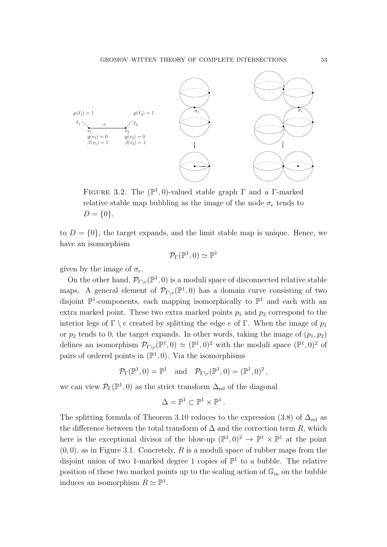

<span id="page-52-0"></span>FIGURE 3.2. The  $(\mathbb{P}^1, 0)$ -valued stable graph  $\Gamma$  and a  $\Gamma$ -marked relative stable map bubbling as the image of the node  $\sigma_e$  tends to  $D = \{0\}.$ 

to  $D = \{0\}$ , the target expands, and the limit stable map is unique. Hence, we have an isomorphism

$$
\mathcal{P}_\Gamma(\mathbb{P}^1,0)\simeq \mathbb{P}^1
$$

given by the image of  $\sigma_e$ .

On the other hand,  $\mathcal{P}_{\Gamma \backslash e}(\mathbb{P}^1, 0)$  is a moduli space of disconnected relative stable maps. A general element of  $\mathcal{P}_{\Gamma \backslash e}(\mathbb{P}^1,0)$  has a domain curve consisting of two disjoint  $\mathbb{P}^1$ -components, each mapping isomorphically to  $\mathbb{P}^1$  and each with an extra marked point. These two extra marked points  $p_1$  and  $p_2$  correspond to the interior legs of Γ \ e created by splitting the edge e of Γ. When the image of  $p_1$ or  $p_2$  tends to 0, the target expands. In other words, taking the image of  $(p_1, p_2)$ defines an isomorphism  $\mathcal{P}_{\Gamma\backslash e}(\mathbb{P}^1,0) \simeq (\mathbb{P}^1,0)^2$  with the moduli space  $(\mathbb{P}^1,0)^2$  of pairs of ordered points in  $(\mathbb{P}^1, 0)$ . Via the isomorphisms

$$
\mathcal{P}_{\Gamma}(\mathbb{P}^1,0) = \mathbb{P}^1 \text{ and } \mathcal{P}_{\Gamma \backslash e}(\mathbb{P}^1,0) = (\mathbb{P}^1,0)^2,
$$

we can view  $\mathcal{P}_{\Gamma}(\mathbb{P}^1,0)$  as the strict transform  $\Delta_{\text{rel}}$  of the diagonal

$$
\Delta=\mathbb{P}^1\subset\mathbb{P}^1\times\mathbb{P}^1\,.
$$

The splitting formula of Theorem [3.10](#page-51-0) reduces to the expression [\(3.8\)](#page-45-1) of  $\Delta_{rel}$  as the difference between the total transform of  $\Delta$  and the correction term R, which here is the exceptional divisor of the blow-up  $(\mathbb{P}^1, 0)^2 \to \mathbb{P}^1 \times \mathbb{P}^1$  at the point  $(0, 0)$ , as in Figure [3.1.](#page-41-0) Concretely, R is a moduli space of rubber maps from the disjoint union of two 1-marked degree 1 copies of  $\mathbb{P}^1$  to a bubble. The relative position of these two marked points up to the scaling action of  $\mathbb{G}_m$  on the bubble induces an isomorphism  $R \simeq \mathbb{P}^1$ .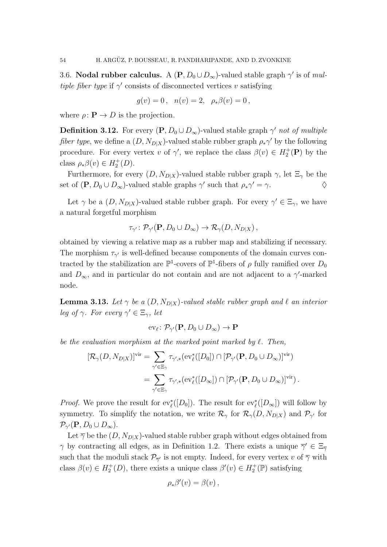<span id="page-53-0"></span>3.6. Nodal rubber calculus. A  $(P, D_0 \cup D_{\infty})$ -valued stable graph  $\gamma'$  is of multiple fiber type if  $\gamma'$  consists of disconnected vertices v satisfying

$$
g(v) = 0, \ \ n(v) = 2, \ \ \rho_*\beta(v) = 0,
$$

where  $\rho: \mathbf{P} \to D$  is the projection.

**Definition 3.12.** For every  $(P, D_0 \cup D_\infty)$ -valued stable graph  $\gamma'$  not of multiple *fiber type*, we define a  $(D, N_{D|X})$ -valued stable rubber graph  $\rho_* \gamma'$  by the following procedure. For every vertex v of  $\gamma'$ , we replace the class  $\beta(v) \in H_2^+(\mathbf{P})$  by the class  $\rho_*\beta(v) \in H_2^+(D)$ .

Furthermore, for every  $(D, N_{D|X})$ -valued stable rubber graph  $\gamma$ , let  $\Xi_{\gamma}$  be the set of  $(\mathbf{P}, D_0 \cup D_{\infty})$ -valued stable graphs  $\gamma'$  such that  $\rho_*\gamma' = \gamma$ .

Let  $\gamma$  be a  $(D, N_{D|X})$ -valued stable rubber graph. For every  $\gamma' \in \Xi_{\gamma}$ , we have a natural forgetful morphism

$$
\tau_{\gamma'}\colon \mathcal{P}_{\gamma'}(\mathbf{P}, D_0 \cup D_{\infty}) \to \mathcal{R}_{\gamma}(D, N_{D|X}),
$$

obtained by viewing a relative map as a rubber map and stabilizing if necessary. The morphism  $\tau_{\gamma'}$  is well-defined because components of the domain curves contracted by the stabilization are  $\mathbb{P}^1$ -covers of  $\mathbb{P}^1$ -fibers of  $\rho$  fully ramified over  $D_0$ and  $D_{\infty}$ , and in particular do not contain and are not adjacent to a  $\gamma'$ -marked node.

<span id="page-53-1"></span>**Lemma 3.13.** Let  $\gamma$  be a  $(D, N_{D|X})$ -valued stable rubber graph and  $\ell$  an interior leg of  $\gamma$ . For every  $\gamma' \in \Xi_{\gamma}$ , let

$$
\mathrm{ev}_{\ell} \colon \mathcal{P}_{\gamma'}(\mathbf{P}, D_0 \cup D_{\infty}) \to \mathbf{P}
$$

be the evaluation morphism at the marked point marked by  $\ell$ . Then,

$$
[\mathcal{R}_{\gamma}(D, N_{D|X})]^{\text{vir}} = \sum_{\gamma' \in \Xi_{\gamma}} \tau_{\gamma',*}(\text{ev}_{\ell}^*([D_0]) \cap [\mathcal{P}_{\gamma'}(\mathbf{P}, D_0 \cup D_{\infty})]^{\text{vir}})
$$
  

$$
= \sum_{\gamma' \in \Xi_{\gamma}} \tau_{\gamma',*}(\text{ev}_{\ell}^*([D_{\infty}]) \cap [\mathcal{P}_{\gamma'}(\mathbf{P}, D_0 \cup D_{\infty})]^{\text{vir}}).
$$

*Proof.* We prove the result for  $ev_{\ell}^*([D_0])$ . The result for  $ev_{\ell}^*([D_{\infty}])$  will follow by symmetry. To simplify the notation, we write  $\mathcal{R}_{\gamma}$  for  $\mathcal{R}_{\gamma}(D, N_{D|X})$  and  $\mathcal{P}_{\gamma'}$  for  $\mathcal{P}_{\gamma'}(\mathbf{P},D_0\cup D_{\infty}).$ 

Let  $\overline{\gamma}$  be the  $(D, N_{D|X})$ -valued stable rubber graph without edges obtained from  $\gamma$  by contracting all edges, as in Definition [1.2.](#page-13-0) There exists a unique  $\overline{\gamma}' \in \Xi_{\overline{\gamma}}$ such that the moduli stack  $\mathcal{P}_{\bar{\gamma}'}$  is not empty. Indeed, for every vertex v of  $\bar{\gamma}$  with class  $\beta(v) \in H_2^+(D)$ , there exists a unique class  $\beta'(v) \in H_2^+(\mathbb{P})$  satisfying

$$
\rho_*\beta'(v) = \beta(v) \,,
$$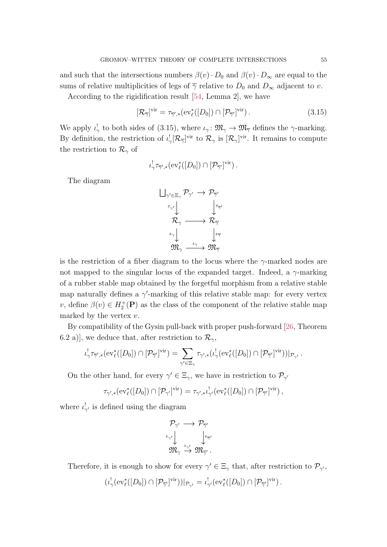and such that the intersections numbers  $\beta(v) \cdot D_0$  and  $\beta(v) \cdot D_\infty$  are equal to the sums of relative multiplicities of legs of  $\overline{\gamma}$  relative to  $D_0$  and  $D_{\infty}$  adjacent to v.

According to the rigidification result [\[54,](#page-88-4) Lemma 2], we have

$$
[\mathcal{R}_{\overline{\gamma}}]^{\text{vir}} = \tau_{\overline{\gamma}',*}(\text{ev}_{\ell}^*([D_0]) \cap [\mathcal{P}_{\overline{\gamma}'}]^{\text{vir}}). \tag{3.15}
$$

We apply  $\iota^!_\gamma$  to both sides of [\(3.15\)](#page-54-0), where  $\iota_\gamma: \mathfrak{M}_\gamma \to \mathfrak{M}_{\overline{\gamma}}$  defines the  $\gamma$ -marking. By definition, the restriction of  $\iota_{\gamma}^{!}[\mathcal{R}_{\overline{\gamma}}]^{vir}$  to  $\mathcal{R}_{\gamma}$  is  $[\mathcal{R}_{\gamma}]^{vir}$ . It remains to compute the restriction to  $\mathcal{R}_{\gamma}$  of

<span id="page-54-0"></span>
$$
\iota_{\gamma}^! \tau_{\overline{\gamma}',*}(\mathrm{ev}_{\ell}^*([D_0]) \cap [\mathcal{P}_{\overline{\gamma}'}]^{\mathrm{vir}}).
$$

The diagram



is the restriction of a fiber diagram to the locus where the  $\gamma$ -marked nodes are not mapped to the singular locus of the expanded target. Indeed, a  $\gamma$ -marking of a rubber stable map obtained by the forgetful morphism from a relative stable map naturally defines a  $\gamma'$ -marking of this relative stable map: for every vertex v, define  $\beta(v) \in H_2^+(\mathbf{P})$  as the class of the component of the relative stable map marked by the vertex  $v$ .

By compatibility of the Gysin pull-back with proper push-forward [\[26,](#page-87-2) Theorem 6.2 a)], we deduce that, after restriction to  $\mathcal{R}_{\gamma}$ ,

$$
\iota_{\gamma}'\tau_{\overline{\gamma}',*}(\mathrm{ev}_{\ell}^*([D_0])\cap [\mathcal{P}_{\overline{\gamma}'}]^{\mathrm{vir}})=\sum_{\gamma'\in \Xi_{\gamma}}\tau_{\gamma',*}(\iota_{\gamma}^![\mathrm{ev}_{\ell}^*([D_0])\cap [\mathcal{P}_{\overline{\gamma}'}]^{\mathrm{vir}}))|_{\mathcal{P}_{\gamma'}}.
$$

On the other hand, for every  $\gamma' \in \Xi_{\gamma}$ , we have in restriction to  $\mathcal{P}_{\gamma'}$ 

$$
\tau_{\gamma',*}(\mathrm{ev}_{\ell}^*([D_0]) \cap [\mathcal{P}_{\gamma'}]^{\mathrm{vir}}) = \tau_{\gamma',*} \iota_{\gamma'}^! (\mathrm{ev}_{\ell}^*([D_0]) \cap [\mathcal{P}_{\overline{\gamma}'}]^{\mathrm{vir}}),
$$

where  $\iota_{\gamma'}^!$  is defined using the diagram

$$
\begin{array}{ccc} \mathcal{P}_{\gamma'} & \longrightarrow & \mathcal{P}_{\overline{\gamma}'} \\ \epsilon_{\gamma'} & & \downarrow & \\ \mathfrak{M}_{\gamma} & \stackrel{\iota_{\gamma'}}{\rightarrow} & \mathfrak{M}_{\overline{\gamma}'} \end{array}.
$$

Therefore, it is enough to show for every  $\gamma' \in \Xi_{\gamma}$  that, after restriction to  $\mathcal{P}_{\gamma'}$ ,

$$
(\iota_{\gamma}^!(\text{ev}_{\ell}^*([D_0]) \cap [\mathcal{P}_{\overline{\gamma'}}]^{\text{vir}}))|_{\mathcal{P}_{\gamma'}} = \iota_{\gamma'}^!(\text{ev}_{\ell}^*([D_0]) \cap [\mathcal{P}_{\overline{\gamma'}}]^{\text{vir}}).
$$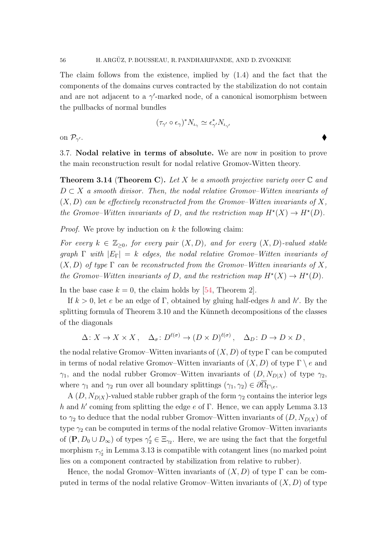The claim follows from the existence, implied by [\(1.4\)](#page-15-0) and the fact that the components of the domains curves contracted by the stabilization do not contain and are not adjacent to a  $\gamma'$ -marked node, of a canonical isomorphism between the pullbacks of normal bundles

$$
(\tau_{\gamma'}\circ\epsilon_\gamma)^*N_{\iota_\gamma}\simeq \epsilon_{\gamma'}^*N_{\iota_{\gamma'}}
$$

on  $\mathcal{P}_{\gamma'}$ .  $\mathcal{O}(10^{-10})$  . The contract of the contract of the contract of the contract of the contract of  $\blacklozenge$ 

<span id="page-55-0"></span>3.7. Nodal relative in terms of absolute. We are now in position to prove the main reconstruction result for nodal relative Gromov-Witten theory.

**Theorem 3.14 (Theorem [C](#page-8-0)).** Let X be a smooth projective variety over  $\mathbb C$  and  $D \subset X$  a smooth divisor. Then, the nodal relative Gromov–Witten invariants of  $(X, D)$  can be effectively reconstructed from the Gromov–Witten invariants of X, the Gromov–Witten invariants of D, and the restriction map  $H^*(X) \to H^*(D)$ .

*Proof.* We prove by induction on  $k$  the following claim:

For every  $k \in \mathbb{Z}_{\geq 0}$ , for every pair  $(X, D)$ , and for every  $(X, D)$ -valued stable graph  $\Gamma$  with  $|E_{\Gamma}| = k$  edges, the nodal relative Gromov–Witten invariants of  $(X, D)$  of type  $\Gamma$  can be reconstructed from the Gromov–Witten invariants of X, the Gromov–Witten invariants of D, and the restriction map  $H^*(X) \to H^*(D)$ .

In the base case  $k = 0$ , the claim holds by [\[54,](#page-88-4) Theorem 2].

If  $k > 0$ , let e be an edge of Γ, obtained by gluing half-edges h and h'. By the splitting formula of Theorem [3.10](#page-51-0) and the Künneth decompositions of the classes of the diagonals

$$
\Delta: X \to X \times X, \quad \Delta_{\sigma}: D^{\ell(\sigma)} \to (D \times D)^{\ell(\sigma)}, \quad \Delta_D: D \to D \times D,
$$

the nodal relative Gromov–Witten invariants of  $(X, D)$  of type  $\Gamma$  can be computed in terms of nodal relative Gromov–Witten invariants of  $(X, D)$  of type  $\Gamma \setminus e$  and  $\gamma_1$ , and the nodal rubber Gromov–Witten invariants of  $(D, N_{D|X})$  of type  $\gamma_2$ , where  $\gamma_1$  and  $\gamma_2$  run over all boundary splittings  $(\gamma_1, \gamma_2) \in \partial \overline{\Omega}_{\Gamma \backslash e}$ .

A  $(D, N_{D|X})$ -valued stable rubber graph of the form  $\gamma_2$  contains the interior legs h and h' coming from splitting the edge  $e$  of  $\Gamma$ . Hence, we can apply Lemma [3.13](#page-53-1) to  $\gamma_2$  to deduce that the nodal rubber Gromov–Witten invariants of  $(D, N_{D|X})$  of type  $\gamma_2$  can be computed in terms of the nodal relative Gromov–Witten invariants of  $(\mathbf{P}, D_0 \cup D_\infty)$  of types  $\gamma_2' \in \Xi_{\gamma_2}$ . Here, we are using the fact that the forgetful morphism  $\tau_{\gamma_2}$  in Lemma [3.13](#page-53-1) is compatible with cotangent lines (no marked point lies on a component contracted by stabilization from relative to rubber).

Hence, the nodal Gromov–Witten invariants of  $(X, D)$  of type  $\Gamma$  can be computed in terms of the nodal relative Gromov–Witten invariants of  $(X, D)$  of type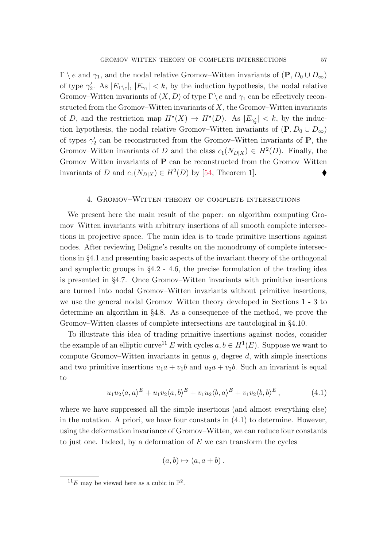$\Gamma \setminus e$  and  $\gamma_1$ , and the nodal relative Gromov–Witten invariants of  $(\mathbf{P}, D_0 \cup D_{\infty})$ of type  $\gamma'_2$ . As  $|E_{\Gamma \backslash e}|, |E_{\gamma_1}| < k$ , by the induction hypothesis, the nodal relative Gromov–Witten invariants of  $(X, D)$  of type  $\Gamma \backslash e$  and  $\gamma_1$  can be effectively reconstructed from the Gromov–Witten invariants of  $X$ , the Gromov–Witten invariants of D, and the restriction map  $H^*(X) \to H^*(D)$ . As  $|E_{\gamma_2'}| < k$ , by the induction hypothesis, the nodal relative Gromov–Witten invariants of  $(\mathbf{P}, D_0 \cup D_{\infty})$ of types  $\gamma'_2$  can be reconstructed from the Gromov–Witten invariants of **P**, the Gromov–Witten invariants of D and the class  $c_1(N_{D|X}) \in H^2(D)$ . Finally, the Gromov–Witten invariants of P can be reconstructed from the Gromov–Witten invariants of D and  $c_1(N_{D|X}) \in H^2(D)$  by [\[54,](#page-88-4) Theorem 1].

## 4. Gromov–Witten theory of complete intersections

We present here the main result of the paper: an algorithm computing Gromov–Witten invariants with arbitrary insertions of all smooth complete intersections in projective space. The main idea is to trade primitive insertions against nodes. After reviewing Deligne's results on the monodromy of complete intersections in §[4.1](#page-57-0) and presenting basic aspects of the invariant theory of the orthogonal and symplectic groups in §[4.2](#page-59-0) - [4.6,](#page-68-0) the precise formulation of the trading idea is presented in §[4.7.](#page-72-0) Once Gromov–Witten invariants with primitive insertions are turned into nodal Gromov–Witten invariants without primitive insertions, we use the general nodal Gromov–Witten theory developed in Sections [1](#page-12-0) - [3](#page-36-0) to determine an algorithm in §[4.8.](#page-74-0) As a consequence of the method, we prove the Gromov–Witten classes of complete intersections are tautological in §[4.10.](#page-78-0)

To illustrate this idea of trading primitive insertions against nodes, consider the example of an elliptic curve<sup>[11](#page-56-0)</sup> E with cycles  $a, b \in H^1(E)$ . Suppose we want to compute Gromov–Witten invariants in genus  $g$ , degree  $d$ , with simple insertions and two primitive insertions  $u_1a + v_1b$  and  $u_2a + v_2b$ . Such an invariant is equal to

<span id="page-56-1"></span>
$$
u_1 u_2 \langle a, a \rangle^E + u_1 v_2 \langle a, b \rangle^E + v_1 u_2 \langle b, a \rangle^E + v_1 v_2 \langle b, b \rangle^E, \qquad (4.1)
$$

where we have suppressed all the simple insertions (and almost everything else) in the notation. A priori, we have four constants in  $(4.1)$  to determine. However, using the deformation invariance of Gromov–Witten, we can reduce four constants to just one. Indeed, by a deformation of  $E$  we can transform the cycles

$$
(a, b) \mapsto (a, a + b).
$$

<span id="page-56-0"></span> $^{11}E$  may be viewed here as a cubic in  $\mathbb{P}^2$ .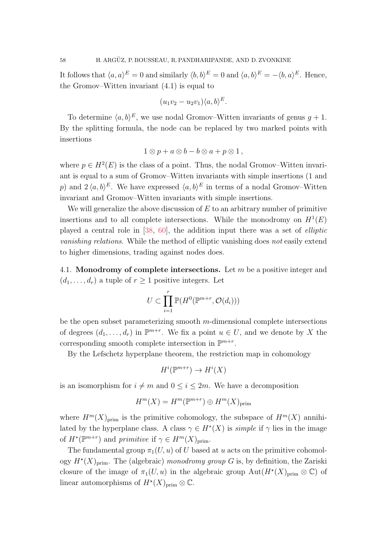It follows that  $\langle a, a \rangle^E = 0$  and similarly  $\langle b, b \rangle^E = 0$  and  $\langle a, b \rangle^E = -\langle b, a \rangle^E$ . Hence, the Gromov–Witten invariant [\(4.1\)](#page-56-1) is equal to

$$
(u_1v_2 - u_2v_1)\langle a,b\rangle^E.
$$

To determine  $\langle a, b \rangle^E$ , we use nodal Gromov–Witten invariants of genus  $g + 1$ . By the splitting formula, the node can be replaced by two marked points with insertions

$$
1\otimes p + a\otimes b - b\otimes a + p\otimes 1,
$$

where  $p \in H^2(E)$  is the class of a point. Thus, the nodal Gromov–Witten invariant is equal to a sum of Gromov–Witten invariants with simple insertions (1 and p) and  $2 \langle a, b \rangle^E$ . We have expressed  $\langle a, b \rangle^E$  in terms of a nodal Gromov–Witten invariant and Gromov–Witten invariants with simple insertions.

We will generalize the above discussion of  $E$  to an arbitrary number of primitive insertions and to all complete intersections. While the monodromy on  $H^1(E)$ played a central role in [\[38,](#page-87-3) [60\]](#page-88-5), the addition input there was a set of elliptic vanishing relations. While the method of elliptic vanishing does not easily extend to higher dimensions, trading against nodes does.

<span id="page-57-0"></span>4.1. Monodromy of complete intersections. Let  $m$  be a positive integer and  $(d_1, \ldots, d_r)$  a tuple of  $r > 1$  positive integers. Let

$$
U \subset \prod_{i=1}^r \mathbb{P}(H^0(\mathbb{P}^{m+r}, \mathcal{O}(d_i)))
$$

be the open subset parameterizing smooth m-dimensional complete intersections of degrees  $(d_1, \ldots, d_r)$  in  $\mathbb{P}^{m+r}$ . We fix a point  $u \in U$ , and we denote by X the corresponding smooth complete intersection in  $\mathbb{P}^{m+r}$ .

By the Lefschetz hyperplane theorem, the restriction map in cohomology

$$
H^i(\mathbb{P}^{m+r}) \to H^i(X)
$$

is an isomorphism for  $i \neq m$  and  $0 \leq i \leq 2m$ . We have a decomposition

$$
H^m(X) = H^m(\mathbb{P}^{m+r}) \oplus H^m(X)_{\text{prim}}
$$

where  $H^m(X)_{\text{prim}}$  is the primitive cohomology, the subspace of  $H^m(X)$  annihilated by the hyperplane class. A class  $\gamma \in H^*(X)$  is *simple* if  $\gamma$  lies in the image of  $H^*(\mathbb{P}^{m+r})$  and primitive if  $\gamma \in H^m(X)_{\text{prim}}$ .

The fundamental group  $\pi_1(U, u)$  of U based at u acts on the primitive cohomology  $H^*(X)_{\text{prim}}$ . The (algebraic) monodromy group G is, by definition, the Zariski closure of the image of  $\pi_1(U, u)$  in the algebraic group  $\text{Aut}(H^*(X)_{\text{prim}} \otimes \mathbb{C})$  of linear automorphisms of  $H^*(X)_{\text{prim}} \otimes \mathbb{C}$ .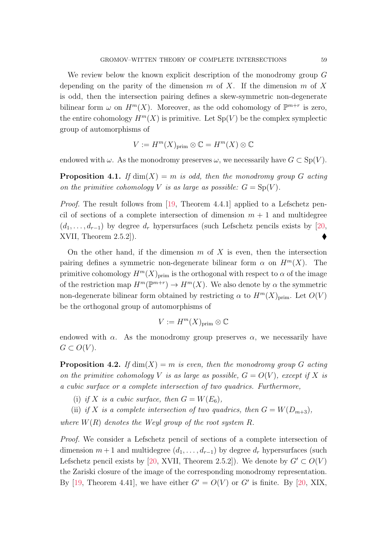We review below the known explicit description of the monodromy group G depending on the parity of the dimension m of X. If the dimension m of X is odd, then the intersection pairing defines a skew-symmetric non-degenerate bilinear form  $\omega$  on  $H^m(X)$ . Moreover, as the odd cohomology of  $\mathbb{P}^{m+r}$  is zero, the entire cohomology  $H^m(X)$  is primitive. Let  $Sp(V)$  be the complex symplectic group of automorphisms of

$$
V := H^m(X)_{\text{prim}} \otimes \mathbb{C} = H^m(X) \otimes \mathbb{C}
$$

endowed with  $\omega$ . As the monodromy preserves  $\omega$ , we necessarily have  $G \subset Sp(V)$ .

<span id="page-58-0"></span>**Proposition 4.1.** If  $dim(X) = m$  is odd, then the monodromy group G acting on the primitive cohomology V is as large as possible:  $G = Sp(V)$ .

*Proof.* The result follows from [\[19,](#page-86-3) Theorem 4.4.1] applied to a Lefschetz pencil of sections of a complete intersection of dimension  $m + 1$  and multidegree  $(d_1, \ldots, d_{r-1})$  by degree  $d_r$  hypersurfaces (such Lefschetz pencils exists by [\[20,](#page-86-4) XVII, Theorem 2.5.2]).

On the other hand, if the dimension  $m$  of  $X$  is even, then the intersection pairing defines a symmetric non-degenerate bilinear form  $\alpha$  on  $H^m(X)$ . The primitive cohomology  $H^m(X)_{\text{prim}}$  is the orthogonal with respect to  $\alpha$  of the image of the restriction map  $H^m(\mathbb{P}^{m+r}) \to H^m(X)$ . We also denote by  $\alpha$  the symmetric non-degenerate bilinear form obtained by restricting  $\alpha$  to  $H^m(X)_{\text{prim}}$ . Let  $O(V)$ be the orthogonal group of automorphisms of

$$
V := H^m(X)_{\text{prim}} \otimes \mathbb{C}
$$

endowed with  $\alpha$ . As the monodromy group preserves  $\alpha$ , we necessarily have  $G \subset O(V)$ .

<span id="page-58-1"></span>**Proposition 4.2.** If  $dim(X) = m$  is even, then the monodromy group G acting on the primitive cohomology V is as large as possible,  $G = O(V)$ , except if X is a cubic surface or a complete intersection of two quadrics. Furthermore,

- (i) if X is a cubic surface, then  $G = W(E_6)$ ,
- (ii) if X is a complete intersection of two quadrics, then  $G = W(D_{m+3})$ ,

where  $W(R)$  denotes the Weyl group of the root system R.

Proof. We consider a Lefschetz pencil of sections of a complete intersection of dimension  $m + 1$  and multidegree  $(d_1, \ldots, d_{r-1})$  by degree  $d_r$  hypersurfaces (such Lefschetz pencil exists by [\[20,](#page-86-4) XVII, Theorem 2.5.2]). We denote by  $G' \subset O(V)$ the Zariski closure of the image of the corresponding monodromy representation. By [\[19,](#page-86-3) Theorem 4.41], we have either  $G' = O(V)$  or  $G'$  is finite. By [\[20,](#page-86-4) XIX,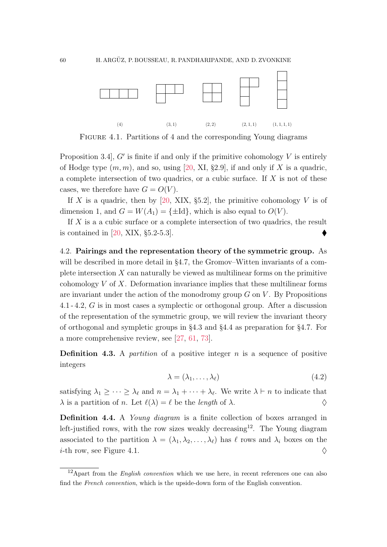

<span id="page-59-2"></span>FIGURE 4.1. Partitions of 4 and the corresponding Young diagrams

Proposition 3.4,  $G'$  is finite if and only if the primitive cohomology  $V$  is entirely of Hodge type  $(m, m)$ , and so, using [\[20,](#page-86-4) XI, §2.9], if and only if X is a quadric, a complete intersection of two quadrics, or a cubic surface. If  $X$  is not of these cases, we therefore have  $G = O(V)$ .

If X is a quadric, then by [\[20,](#page-86-4) XIX, §5.2], the primitive cohomology V is of dimension 1, and  $G = W(A_1) = {\pm Id}$ , which is also equal to  $O(V)$ .

If X is a a cubic surface or a complete intersection of two quadrics, the result is contained in [\[20,](#page-86-4) XIX, §5.2-5.3].

<span id="page-59-0"></span>4.2. Pairings and the representation theory of the symmetric group. As will be described in more detail in §[4.7,](#page-72-0) the Gromov–Witten invariants of a complete intersection  $X$  can naturally be viewed as multilinear forms on the primitive cohomology  $V$  of  $X$ . Deformation invariance implies that these multilinear forms are invariant under the action of the monodromy group  $G$  on  $V$ . By Propositions [4.1](#page-58-0) - [4.2,](#page-58-1) G is in most cases a symplectic or orthogonal group. After a discussion of the representation of the symmetric group, we will review the invariant theory of orthogonal and sympletic groups in §[4.3](#page-61-0) and §[4.4](#page-63-0) as preparation for §[4.7.](#page-72-0) For a more comprehensive review, see [\[27,](#page-87-4) [61,](#page-88-6) [73\]](#page-89-0).

**Definition 4.3.** A *partition* of a positive integer n is a sequence of positive integers

$$
\lambda = (\lambda_1, \dots, \lambda_\ell) \tag{4.2}
$$

satisfying  $\lambda_1 \geq \cdots \geq \lambda_{\ell}$  and  $n = \lambda_1 + \cdots + \lambda_{\ell}$ . We write  $\lambda \vdash n$  to indicate that  $\lambda$  is a partition of *n*. Let  $\ell(\lambda) = \ell$  be the *length* of  $\lambda$ .

Definition 4.4. A *Young diagram* is a finite collection of boxes arranged in left-justified rows, with the row sizes weakly decreasing<sup>[12](#page-59-1)</sup>. The Young diagram associated to the partition  $\lambda = (\lambda_1, \lambda_2, \ldots, \lambda_\ell)$  has  $\ell$  rows and  $\lambda_i$  boxes on the *i*-th row, see Figure [4.1.](#page-59-2)  $\diamondsuit$ 

<span id="page-59-1"></span> $12$ Apart from the *English convention* which we use here, in recent references one can also find the French convention, which is the upside-down form of the English convention.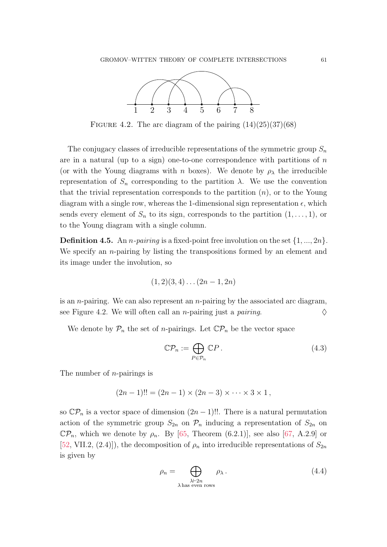

<span id="page-60-0"></span>FIGURE 4.2. The arc diagram of the pairing  $(14)(25)(37)(68)$ 

The conjugacy classes of irreducible representations of the symmetric group  $S_n$ are in a natural (up to a sign) one-to-one correspondence with partitions of  $n$ (or with the Young diagrams with n boxes). We denote by  $\rho_{\lambda}$  the irreducible representation of  $S_n$  corresponding to the partition λ. We use the convention that the trivial representation corresponds to the partition  $(n)$ , or to the Young diagram with a single row, whereas the 1-dimensional sign representation  $\epsilon$ , which sends every element of  $S_n$  to its sign, corresponds to the partition  $(1, \ldots, 1)$ , or to the Young diagram with a single column.

**Definition 4.5.** An *n-pairing* is a fixed-point free involution on the set  $\{1, ..., 2n\}$ . We specify an *n*-pairing by listing the transpositions formed by an element and its image under the involution, so

$$
(1,2)(3,4)\ldots(2n-1,2n)
$$

is an *n*-pairing. We can also represent an *n*-pairing by the associated arc diagram, see Figure [4.2.](#page-60-0) We will often call an *n*-pairing just a *pairing*.  $\diamond$ 

We denote by  $\mathcal{P}_n$  the set of *n*-pairings. Let  $\mathbb{C}\mathcal{P}_n$  be the vector space

$$
\mathbb{C}\mathcal{P}_n := \bigoplus_{P \in \mathcal{P}_n} \mathbb{C}P. \tag{4.3}
$$

The number of n-pairings is

$$
(2n-1)!! = (2n-1) \times (2n-3) \times \cdots \times 3 \times 1,
$$

so  $\mathbb{C}\mathcal{P}_n$  is a vector space of dimension  $(2n-1)!!$ . There is a natural permutation action of the symmetric group  $S_{2n}$  on  $\mathcal{P}_n$  inducing a representation of  $S_{2n}$  on  $\mathbb{C}\mathcal{P}_n$ , which we denote by  $\rho_n$ . By [\[65,](#page-89-1) Theorem (6.2.1)], see also [\[67,](#page-89-2) A.2.9] or [\[52,](#page-88-7) VII.2, (2.4)]), the decomposition of  $\rho_n$  into irreducible representations of  $S_{2n}$ is given by

<span id="page-60-1"></span>
$$
\rho_n = \bigoplus_{\substack{\lambda \vdash 2n \\ \lambda \text{ has even rows}}} \rho_\lambda.
$$
\n(4.4)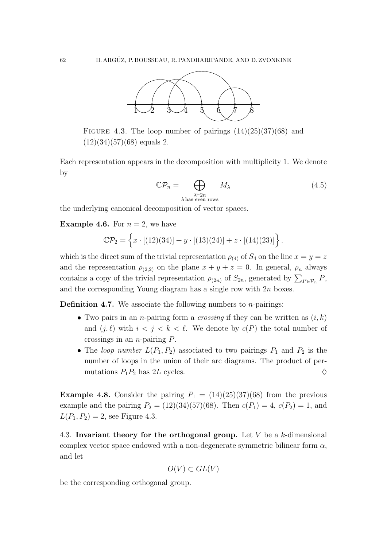

<span id="page-61-1"></span>FIGURE 4.3. The loop number of pairings  $(14)(25)(37)(68)$  and  $(12)(34)(57)(68)$  equals 2.

Each representation appears in the decomposition with multiplicity 1. We denote by

<span id="page-61-3"></span>
$$
\mathbb{C}\mathcal{P}_n = \bigoplus_{\substack{\lambda \vdash 2n \\ \lambda \text{ has even rows}}} M_\lambda \tag{4.5}
$$

the underlying canonical decomposition of vector spaces.

<span id="page-61-4"></span>**Example 4.6.** For  $n = 2$ , we have

$$
\mathbb{C}\mathcal{P}_2 = \left\{ x \cdot [(12)(34)] + y \cdot [(13)(24)] + z \cdot [(14)(23)] \right\}.
$$

which is the direct sum of the trivial representation  $\rho_{(4)}$  of  $S_4$  on the line  $x = y = z$ and the representation  $\rho_{(2,2)}$  on the plane  $x + y + z = 0$ . In general,  $\rho_n$  always contains a copy of the trivial representation  $\rho_{(2n)}$  of  $S_{2n}$ , generated by  $\sum_{P \in \mathcal{P}_n} P$ , and the corresponding Young diagram has a single row with 2n boxes.

<span id="page-61-2"></span>**Definition 4.7.** We associate the following numbers to *n*-pairings:

- Two pairs in an *n*-pairing form a *crossing* if they can be written as  $(i, k)$ and  $(j, \ell)$  with  $i < j < k < \ell$ . We denote by  $c(P)$  the total number of crossings in an  $n$ -pairing  $P$ .
- The loop number  $L(P_1, P_2)$  associated to two pairings  $P_1$  and  $P_2$  is the number of loops in the union of their arc diagrams. The product of permutations  $P_1P_2$  has 2L cycles.  $\diamondsuit$

**Example 4.8.** Consider the pairing  $P_1 = (14)(25)(37)(68)$  from the previous example and the pairing  $P_2 = (12)(34)(57)(68)$ . Then  $c(P_1) = 4$ ,  $c(P_2) = 1$ , and  $L(P_1, P_2) = 2$ , see Figure [4.3.](#page-61-1)

<span id="page-61-0"></span>4.3. Invariant theory for the orthogonal group. Let  $V$  be a k-dimensional complex vector space endowed with a non-degenerate symmetric bilinear form  $\alpha$ , and let

$$
O(V) \subset GL(V)
$$

be the corresponding orthogonal group.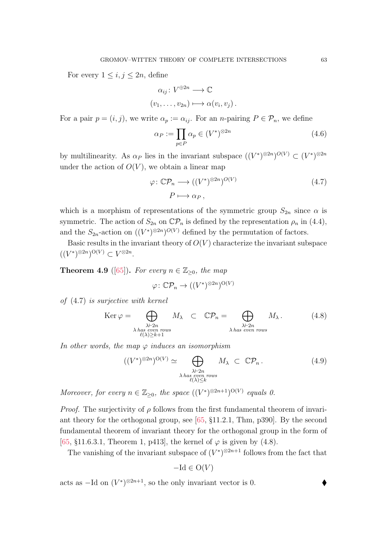For every  $1 \leq i, j \leq 2n$ , define

$$
\alpha_{ij}: V^{\oplus 2n} \longrightarrow \mathbb{C}
$$
  

$$
(v_1, \ldots, v_{2n}) \longmapsto \alpha(v_i, v_j).
$$

For a pair  $p = (i, j)$ , we write  $\alpha_p := \alpha_{ij}$ . For an *n*-pairing  $P \in \mathcal{P}_n$ , we define

<span id="page-62-4"></span>
$$
\alpha_P := \prod_{p \in P} \alpha_p \in (V^*)^{\otimes 2n} \tag{4.6}
$$

by multilinearity. As  $\alpha_P$  lies in the invariant subspace  $((V^*)^{\otimes 2n})^{O(V)} \subset (V^*)^{\otimes 2n}$ under the action of  $O(V)$ , we obtain a linear map

<span id="page-62-0"></span>
$$
\varphi \colon \mathbb{C}\mathcal{P}_n \longrightarrow ((V^*)^{\otimes 2n})^{O(V)} \tag{4.7}
$$

$$
P \longmapsto \alpha_P \,,
$$

which is a morphism of representations of the symmetric group  $S_{2n}$  since  $\alpha$  is symmetric. The action of  $S_{2n}$  on  $\mathbb{C} \mathcal{P}_n$  is defined by the representation  $\rho_n$  in [\(4.4\)](#page-60-1), and the  $S_{2n}$ -action on  $((V^*)^{\otimes 2n})^{O(V)}$  defined by the permutation of factors.

Basic results in the invariant theory of  $O(V)$  characterize the invariant subspace  $((V^*)^{\otimes 2n})^{\mathrm{O}(V)} \subset V^{\otimes 2n}.$ 

<span id="page-62-2"></span>**Theorem 4.9** ([\[65\]](#page-89-1)). For every  $n \in \mathbb{Z}_{\geq 0}$ , the map

$$
\varphi \colon \mathbb{C} \mathcal{P}_n \to ((V^*)^{\otimes 2n})^{\mathrm{O}(V)}
$$

of [\(4.7\)](#page-62-0) is surjective with kernel

<span id="page-62-1"></span>
$$
\operatorname{Ker} \varphi = \bigoplus_{\substack{\lambda \vdash 2n \\ \lambda \text{ has even rows} \\ \ell(\lambda) \ge k+1}} M_{\lambda} \quad \subset \quad \mathbb{C}\mathcal{P}_n = \bigoplus_{\substack{\lambda \vdash 2n \\ \lambda \text{ has even rows} }} M_{\lambda}. \tag{4.8}
$$

In other words, the map  $\varphi$  induces an isomorphism

<span id="page-62-3"></span>
$$
((V^*)^{\otimes 2n})^{O(V)} \simeq \bigoplus_{\substack{\lambda \vdash 2n \\ \lambda \text{ has even rows} \\ \ell(\lambda) \le k}} M_{\lambda} \subset \mathbb{C} \mathcal{P}_n. \tag{4.9}
$$

Moreover, for every  $n \in \mathbb{Z}_{\geq 0}$ , the space  $((V^*)^{\otimes 2n+1})^{O(V)}$  equals 0.

*Proof.* The surjectivity of  $\rho$  follows from the first fundamental theorem of invariant theory for the orthogonal group, see [\[65,](#page-89-1) §11.2.1, Thm, p390]. By the second fundamental theorem of invariant theory for the orthogonal group in the form of [\[65,](#page-89-1) §11.6.3.1, Theorem 1, p413], the kernel of  $\varphi$  is given by [\(4.8\)](#page-62-1).

The vanishing of the invariant subspace of  $(V^*)^{\otimes 2n+1}$  follows from the fact that

$$
-\mathrm{Id} \in \mathrm{O}(V)
$$

acts as  $-\text{Id}$  on  $(V^*)^{\otimes 2n+1}$ , so the only invariant vector is 0.  $\blacklozenge$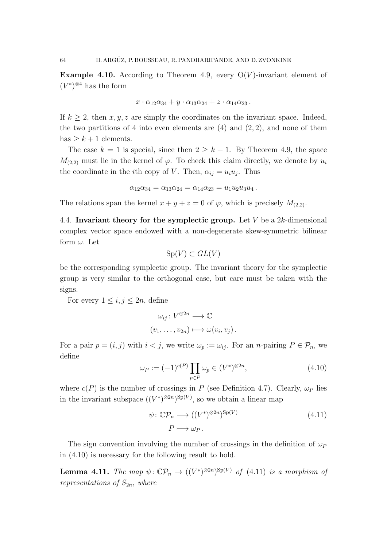Example 4.10. According to Theorem [4.9,](#page-62-2) every  $O(V)$ -invariant element of  $(V^*)^{\otimes 4}$  has the form

$$
x\cdot\alpha_{12}\alpha_{34}+y\cdot\alpha_{13}\alpha_{24}+z\cdot\alpha_{14}\alpha_{23}.
$$

If  $k \geq 2$ , then x, y, z are simply the coordinates on the invariant space. Indeed, the two partitions of 4 into even elements are  $(4)$  and  $(2, 2)$ , and none of them has  $\geq k+1$  elements.

The case  $k = 1$  is special, since then  $2 \geq k + 1$ . By Theorem [4.9,](#page-62-2) the space  $M_{(2,2)}$  must lie in the kernel of  $\varphi$ . To check this claim directly, we denote by  $u_i$ the coordinate in the *i*th copy of V. Then,  $\alpha_{ij} = u_i u_j$ . Thus

$$
\alpha_{12}\alpha_{34} = \alpha_{13}\alpha_{24} = \alpha_{14}\alpha_{23} = u_1u_2u_3u_4.
$$

The relations span the kernel  $x + y + z = 0$  of  $\varphi$ , which is precisely  $M_{(2,2)}$ .

<span id="page-63-0"></span>4.4. Invariant theory for the symplectic group. Let V be a  $2k$ -dimensional complex vector space endowed with a non-degenerate skew-symmetric bilinear form  $\omega$ . Let

$$
\mathrm{Sp}(V) \subset GL(V)
$$

be the corresponding symplectic group. The invariant theory for the symplectic group is very similar to the orthogonal case, but care must be taken with the signs.

For every  $1 \leq i, j \leq 2n$ , define

$$
\omega_{ij} : V^{\oplus 2n} \longrightarrow \mathbb{C}
$$
  

$$
(v_1, \dots, v_{2n}) \longmapsto \omega(v_i, v_j).
$$

For a pair  $p = (i, j)$  with  $i < j$ , we write  $\omega_p := \omega_{ij}$ . For an *n*-pairing  $P \in \mathcal{P}_n$ , we define

<span id="page-63-1"></span>
$$
\omega_P := (-1)^{c(P)} \prod_{p \in P} \omega_p \in (V^*)^{\otimes 2n},\tag{4.10}
$$

where  $c(P)$  is the number of crossings in P (see Definition [4.7\)](#page-61-2). Clearly,  $\omega_P$  lies in the invariant subspace  $((V^*)^{\otimes 2n})^{\text{Sp}(V)}$ , so we obtain a linear map

<span id="page-63-2"></span>
$$
\psi \colon \mathbb{C}\mathcal{P}_n \longrightarrow ((V^*)^{\otimes 2n})^{\text{Sp}(V)} \tag{4.11}
$$
\n
$$
P \longmapsto \omega_P.
$$

The sign convention involving the number of crossings in the definition of  $\omega_P$ in [\(4.10\)](#page-63-1) is necessary for the following result to hold.

<span id="page-63-3"></span>**Lemma 4.11.** The map  $\psi: \mathbb{C}\mathcal{P}_n \to ((V^*)^{\otimes 2n})^{\text{Sp}(V)}$  of [\(4.11\)](#page-63-2) is a morphism of representations of  $S_{2n}$ , where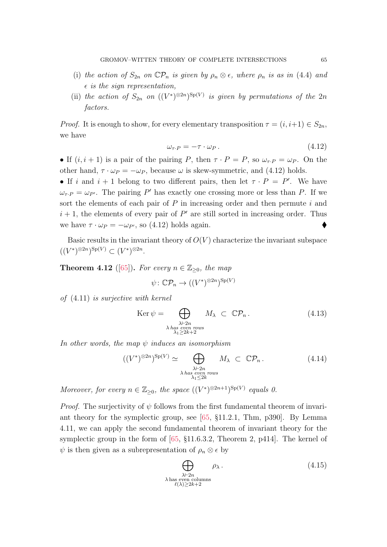- (i) the action of  $S_{2n}$  on  $\mathbb{C} \mathcal{P}_n$  is given by  $\rho_n \otimes \epsilon$ , where  $\rho_n$  is as in [\(4.4\)](#page-60-1) and  $\epsilon$  is the sign representation,
- (ii) the action of  $S_{2n}$  on  $((V^*)^{\otimes 2n})^{\text{Sp}(V)}$  is given by permutations of the  $2n$ factors.

*Proof.* It is enough to show, for every elementary transposition  $\tau = (i, i+1) \in S_{2n}$ , we have

<span id="page-64-0"></span>
$$
\omega_{\tau \cdot P} = -\tau \cdot \omega_P \,. \tag{4.12}
$$

• If  $(i, i + 1)$  is a pair of the pairing P, then  $\tau \cdot P = P$ , so  $\omega_{\tau} P = \omega_P$ . On the other hand,  $\tau \cdot \omega_P = -\omega_P$ , because  $\omega$  is skew-symmetric, and [\(4.12\)](#page-64-0) holds.

• If i and  $i + 1$  belong to two different pairs, then let  $\tau \cdot P = P'$ . We have  $\omega_{\tau \cdot P} = \omega_{P'}$ . The pairing P' has exactly one crossing more or less than P. If we sort the elements of each pair of  $P$  in increasing order and then permute  $i$  and  $i + 1$ , the elements of every pair of  $P'$  are still sorted in increasing order. Thus we have  $\tau \cdot \omega_P = -\omega_{P}$ , so [\(4.12\)](#page-64-0) holds again.

Basic results in the invariant theory of  $O(V)$  characterize the invariant subspace  $((V^*)^{\otimes 2n})^{\mathrm{Sp}(V)} \subset (V^*)^{\otimes 2n}.$ 

<span id="page-64-2"></span>**Theorem 4.12** ([\[65\]](#page-89-1)). For every  $n \in \mathbb{Z}_{\geq 0}$ , the map

$$
\psi \colon \mathbb{C}\mathcal{P}_n \to ((V^*)^{\otimes 2n})^{\mathrm{Sp}(V)}
$$

of [\(4.11\)](#page-63-2) is surjective with kernel

<span id="page-64-1"></span>
$$
\operatorname{Ker} \psi = \bigoplus_{\substack{\lambda \vdash 2n \\ \lambda \text{ has even rows} \\ \lambda_1 \ge 2k+2}} M_{\lambda} \subset \mathbb{C} \mathcal{P}_n. \tag{4.13}
$$

In other words, the map  $\psi$  induces an isomorphism

<span id="page-64-3"></span>
$$
((V^*)^{\otimes 2n})^{\text{Sp}(V)} \simeq \bigoplus_{\substack{\lambda \vdash 2n \\ \lambda \text{ has even rows} \\ \lambda_1 \leq 2k}} M_{\lambda} \subset \mathbb{C}\mathcal{P}_n. \tag{4.14}
$$

Moreover, for every  $n \in \mathbb{Z}_{\geq 0}$ , the space  $((V^*)^{\otimes 2n+1})^{\text{Sp}(V)}$  equals 0.

*Proof.* The surjectivity of  $\psi$  follows from the first fundamental theorem of invariant theory for the symplectic group, see [\[65,](#page-89-1) §11.2.1, Thm, p390]. By Lemma [4.11,](#page-63-3) we can apply the second fundamental theorem of invariant theory for the symplectic group in the form of [\[65,](#page-89-1) §11.6.3.2, Theorem 2, p414]. The kernel of  $\psi$  is then given as a subrepresentation of  $\rho_n \otimes \epsilon$  by

$$
\bigoplus_{\substack{\lambda \vdash 2n \\ \lambda \text{ has even columns} \\ \ell(\lambda) \ge 2k+2}} \rho_{\lambda}.
$$
\n(4.15)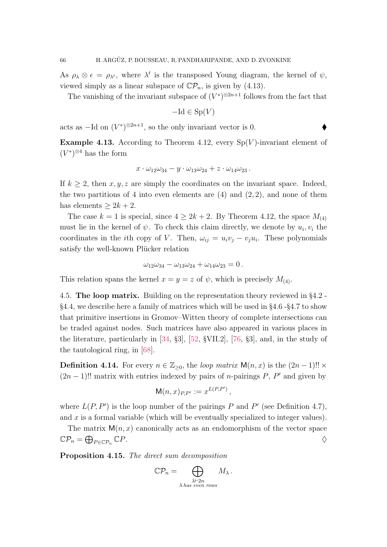As  $\rho_{\lambda} \otimes \epsilon = \rho_{\lambda^t}$ , where  $\lambda^t$  is the transposed Young diagram, the kernel of  $\psi$ , viewed simply as a linear subspace of  $\mathbb{C}\mathcal{P}_n$ , is given by [\(4.13\)](#page-64-1).

The vanishing of the invariant subspace of  $(V^*)^{\otimes 2n+1}$  follows from the fact that

$$
-\mathrm{Id} \in \mathrm{Sp}(V)
$$

acts as  $-\text{Id}$  on  $(V^*)^{\otimes 2n+1}$ , so the only invariant vector is 0.  $\blacklozenge$ 

Example 4.13. According to Theorem [4.12,](#page-64-2) every  $Sp(V)$ -invariant element of  $(V^*)^{\otimes 4}$  has the form

$$
x\cdot\omega_{12}\omega_{34}-y\cdot\omega_{13}\omega_{24}+z\cdot\omega_{14}\omega_{23}.
$$

If  $k \geq 2$ , then x, y, z are simply the coordinates on the invariant space. Indeed, the two partitions of 4 into even elements are  $(4)$  and  $(2, 2)$ , and none of them has elements  $> 2k + 2$ .

The case  $k = 1$  is special, since  $4 \geq 2k + 2$ . By Theorem [4.12,](#page-64-2) the space  $M_{(4)}$ must lie in the kernel of  $\psi$ . To check this claim directly, we denote by  $u_i, v_i$  the coordinates in the *i*th copy of V. Then,  $\omega_{ij} = u_i v_j - v_j u_i$ . These polynomials satisfy the well-known Plücker relation

$$
\omega_{12}\omega_{34} - \omega_{13}\omega_{24} + \omega_{14}\omega_{23} = 0.
$$

This relation spans the kernel  $x = y = z$  of  $\psi$ , which is precisely  $M_{(4)}$ .

4.5. The loop matrix. Building on the representation theory reviewed in §[4.2](#page-59-0) - §[4.4,](#page-63-0) we describe here a family of matrices which will be used in §[4.6](#page-68-0) -§[4.7](#page-72-0) to show that primitive insertions in Gromov–Witten theory of complete intersections can be traded against nodes. Such matrices have also appeared in various places in the literature, particularly in [\[34,](#page-87-5) §3], [\[52,](#page-88-7) §VII.2], [\[76,](#page-89-3) §3], and, in the study of the tautological ring, in [\[68\]](#page-89-4).

<span id="page-65-1"></span>**Definition 4.14.** For every  $n \in \mathbb{Z}_{\geq 0}$ , the loop matrix  $\mathsf{M}(n,x)$  is the  $(2n-1)!! \times$  $(2n-1)!!$  matrix with entries indexed by pairs of *n*-pairings P, P' and given by

$$
\mathsf{M}(n,x)_{P,P'} := x^{L(P,P')},
$$

where  $L(P, P')$  is the loop number of the pairings P and P' (see Definition [4.7\)](#page-61-2), and  $x$  is a formal variable (which will be eventually specialized to integer values).

The matrix  $M(n, x)$  canonically acts as an endomorphism of the vector space  $\mathbb{C} \mathcal{P}_n = \bigoplus_{P \in \mathbb{C} \mathcal{P}_n}$  $\mathbb{C}P$ .

<span id="page-65-0"></span>Proposition 4.15. The direct sum decomposition

$$
\mathbb{C}\mathcal{P}_n = \bigoplus_{\substack{\lambda \vdash 2n \\ \lambda \text{ has even rows}}} M_{\lambda}.
$$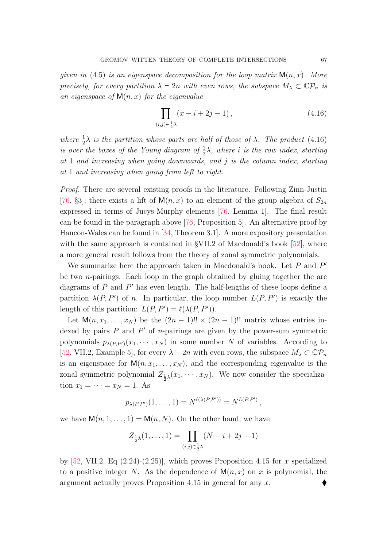given in [\(4.5\)](#page-61-3) is an eigenspace decomposition for the loop matrix  $M(n, x)$ . More precisely, for every partition  $\lambda \vdash 2n$  with even rows, the subspace  $M_{\lambda} \subset \mathbb{C} \mathcal{P}_n$  is an eigenspace of  $M(n, x)$  for the eigenvalue

<span id="page-66-0"></span>
$$
\prod_{(i,j)\in\frac{1}{2}\lambda} (x - i + 2j - 1),
$$
\n(4.16)

where  $\frac{1}{2}\lambda$  is the partition whose parts are half of those of  $\lambda$ . The product [\(4.16\)](#page-66-0) is over the boxes of the Young diagram of  $\frac{1}{2}\lambda$ , where i is the row index, starting at 1 and increasing when going downwards, and  $j$  is the column index, starting at 1 and increasing when going from left to right.

Proof. There are several existing proofs in the literature. Following Zinn-Justin [\[76,](#page-89-3) §3], there exists a lift of  $M(n, x)$  to an element of the group algebra of  $S_{2n}$ expressed in terms of Jucys-Murphy elements [\[76,](#page-89-3) Lemma 1]. The final result can be found in the paragraph above [\[76,](#page-89-3) Proposition 5]. An alternative proof by Hancon-Wales can be found in [\[34,](#page-87-5) Theorem 3.1]. A more expository presentation with the same approach is contained in §VII.2 of Macdonald's book [\[52\]](#page-88-7), where a more general result follows from the theory of zonal symmetric polynomials.

We summarize here the approach taken in Macdonald's book. Let  $P$  and  $P'$ be two *n*-pairings. Each loop in the graph obtained by gluing together the arc diagrams of  $P$  and  $P'$  has even length. The half-lengths of these loops define a partition  $\lambda(P, P')$  of n. In particular, the loop number  $L(P, P')$  is exactly the length of this partition:  $L(P, P') = \ell(\lambda(P, P')).$ 

Let  $\mathsf{M}(n, x_1, \ldots, x_N)$  be the  $(2n-1)!! \times (2n-1)!!$  matrix whose entries indexed by pairs  $P$  and  $P'$  of *n*-pairings are given by the power-sum symmetric polynomials  $p_{\lambda(P,P')}(x_1,\dots,x_N)$  in some number N of variables. According to [\[52,](#page-88-7) VII.2, Example 5], for every  $\lambda \vdash 2n$  with even rows, the subspace  $M_{\lambda} \subset \mathbb{C} \mathcal{P}_n$ is an eigenspace for  $M(n, x_1, \ldots, x_N)$ , and the corresponding eigenvalue is the zonal symmetric polynomial  $Z_{\frac{1}{2}\lambda}(x_1, \dots, x_N)$ . We now consider the specialization  $x_1 = \cdots = x_N = 1$ . As

$$
p_{\lambda(P,P')}(1,\ldots,1)=N^{\ell(\lambda(P,P'))}=N^{L(P,P')},
$$

we have  $M(n, 1, \ldots, 1) = M(n, N)$ . On the other hand, we have

$$
Z_{\frac{1}{2}\lambda}(1,\ldots,1) = \prod_{(i,j)\in\frac{1}{2}\lambda} (N-i+2j-1)
$$

by [\[52,](#page-88-7) VII.2, Eq  $(2.24)-(2.25)$ ], which proves Proposition [4.15](#page-65-0) for x specialized to a positive integer N. As the dependence of  $M(n, x)$  on x is polynomial, the argument actually proves Proposition [4.15](#page-65-0) in general for any x.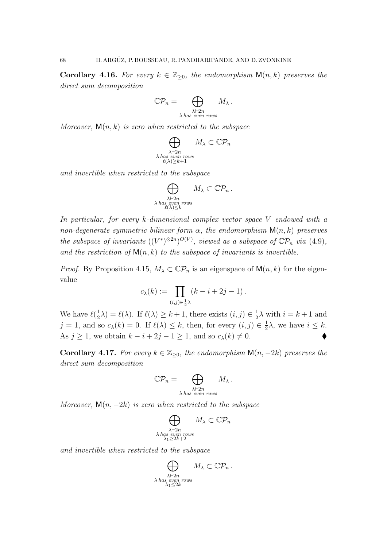**Corollary 4.16.** For every  $k \in \mathbb{Z}_{\geq 0}$ , the endomorphism  $\mathsf{M}(n,k)$  preserves the direct sum decomposition

$$
\mathbb{C}\mathcal{P}_n = \bigoplus_{\substack{\lambda \vdash 2n \\ \lambda \text{ has even rows}}} M_{\lambda}.
$$

Moreover,  $M(n, k)$  is zero when restricted to the subspace

$$
\bigoplus_{\substack{\lambda \vdash 2n \\ \lambda \text{ has even rows} \\ \ell(\lambda) \ge k+1}} M_{\lambda} \subset \mathbb{C} \mathcal{P}_n
$$

and invertible when restricted to the subspace

$$
\bigoplus_{\substack{\lambda \vdash 2n \\ \lambda \text{ has even rows} \\ \ell(\lambda)\leq k}} M_{\lambda} \subset \mathbb{C} \mathcal{P}_n .
$$

In particular, for every k-dimensional complex vector space V endowed with a non-degenerate symmetric bilinear form  $\alpha$ , the endomorphism  $\mathsf{M}(n,k)$  preserves the subspace of invariants  $((V^*)^{\otimes 2n})^{O(V)}$ , viewed as a subspace of  $\mathbb{C}\mathcal{P}_n$  via [\(4.9\)](#page-62-3), and the restriction of  $M(n, k)$  to the subspace of invariants is invertible.

*Proof.* By Proposition [4.15,](#page-65-0)  $M_{\lambda} \subset \mathbb{C} \mathcal{P}_n$  is an eigenspace of  $\mathsf{M}(n,k)$  for the eigenvalue

$$
c_{\lambda}(k) := \prod_{(i,j)\in \frac{1}{2}\lambda} (k-i+2j-1).
$$

We have  $\ell(\frac{1}{2})$  $(\frac{1}{2}\lambda) = \ell(\lambda)$ . If  $\ell(\lambda) \geq k + 1$ , there exists  $(i, j) \in \frac{1}{2}$  $\frac{1}{2}\lambda$  with  $i = k + 1$  and  $j = 1$ , and so  $c_{\lambda}(k) = 0$ . If  $\ell(\lambda) \leq k$ , then, for every  $(i, j) \in \frac{1}{2}$  $\frac{1}{2}\lambda$ , we have  $i \leq k$ . As  $j \ge 1$ , we obtain  $k - i + 2j - 1 \ge 1$ , and so  $c_{\lambda}(k) \ne 0$ .

Corollary 4.17. For every  $k \in \mathbb{Z}_{\geq 0}$ , the endomorphism  $\mathsf{M}(n, -2k)$  preserves the direct sum decomposition

$$
\mathbb{C}\mathcal{P}_n = \bigoplus_{\substack{\lambda \vdash 2n \\ \lambda \text{ has even rows}}} M_{\lambda}.
$$

Moreover,  $\mathsf{M}(n, -2k)$  is zero when restricted to the subspace

$$
\bigoplus_{\substack{\lambda \vdash 2n \\ \lambda \text{ has even rows} \\ \lambda_1 \ge 2k+2}} M_{\lambda} \subset \mathbb{C} \mathcal{P}_n
$$

and invertible when restricted to the subspace

$$
\bigoplus_{\substack{\lambda \vdash 2n \\ \lambda \text{ has even rows} \\ \lambda_1 \leq 2k}} M_{\lambda} \subset \mathbb{C} \mathcal{P}_n .
$$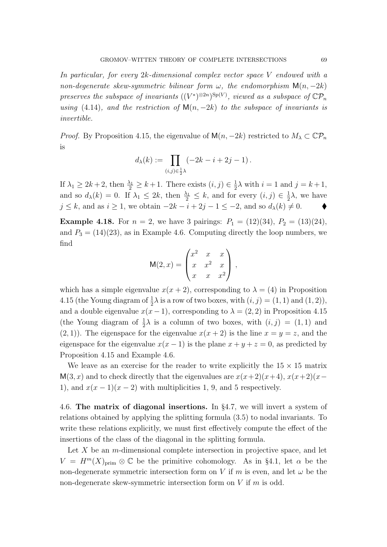In particular, for every 2k-dimensional complex vector space V endowed with a non-degenerate skew-symmetric bilinear form  $\omega$ , the endomorphism  $\mathsf{M}(n, -2k)$ preserves the subspace of invariants  $((V^*)^{\otimes 2n})^{\text{Sp}(V)}$ , viewed as a subspace of  $\mathbb{C} \mathcal{P}_n$ using [\(4.14\)](#page-64-3), and the restriction of  $\mathsf{M}(n, -2k)$  to the subspace of invariants is invertible.

*Proof.* By Proposition [4.15,](#page-65-0) the eigenvalue of  $M(n, -2k)$  restricted to  $M_{\lambda} \subset \mathbb{C} \mathcal{P}_n$ is

$$
d_{\lambda}(k) := \prod_{(i,j)\in \frac{1}{2}\lambda} (-2k - i + 2j - 1).
$$

If  $\lambda_1 \geq 2k+2$ , then  $\frac{\lambda_1}{2} \geq k+1$ . There exists  $(i, j) \in \frac{1}{2}$  $\frac{1}{2}\lambda$  with  $i = 1$  and  $j = k + 1$ , and so  $d_{\lambda}(k) = 0$ . If  $\lambda_1 \leq 2k$ , then  $\frac{\lambda_1}{2} \leq k$ , and for every  $(i, j) \in \frac{1}{2}$  $\frac{1}{2}\lambda$ , we have  $j \leq k$ , and as  $i \geq 1$ , we obtain  $-2k - i + 2j - 1 \leq -2$ , and so  $d_{\lambda}(k) \neq 0$ .

**Example 4.18.** For  $n = 2$ , we have 3 pairings:  $P_1 = (12)(34)$ ,  $P_2 = (13)(24)$ , and  $P_3 = (14)(23)$ , as in Example [4.6.](#page-61-4) Computing directly the loop numbers, we find

$$
M(2,x) = \begin{pmatrix} x^2 & x & x \\ x & x^2 & x \\ x & x & x^2 \end{pmatrix},
$$

which has a simple eigenvalue  $x(x + 2)$ , corresponding to  $\lambda = (4)$  in Proposition [4.15](#page-65-0) (the Young diagram of  $\frac{1}{2}\lambda$  is a row of two boxes, with  $(i, j) = (1, 1)$  and  $(1, 2)$ ), and a double eigenvalue  $x(x-1)$ , corresponding to  $\lambda = (2, 2)$  in Proposition [4.15](#page-65-0) (the Young diagram of  $\frac{1}{2}\lambda$  is a column of two boxes, with  $(i, j) = (1, 1)$  and  $(2, 1)$ ). The eigenspace for the eigenvalue  $x(x + 2)$  is the line  $x = y = z$ , and the eigenspace for the eigenvalue  $x(x - 1)$  is the plane  $x + y + z = 0$ , as predicted by Proposition [4.15](#page-65-0) and Example [4.6.](#page-61-4)

We leave as an exercise for the reader to write explicitly the  $15 \times 15$  matrix  $M(3, x)$  and to check directly that the eigenvalues are  $x(x+2)(x+4)$ ,  $x(x+2)(x-4)$ 1), and  $x(x-1)(x-2)$  with multiplicities 1, 9, and 5 respectively.

<span id="page-68-0"></span>4.6. The matrix of diagonal insertions. In §[4.7,](#page-72-0) we will invert a system of relations obtained by applying the splitting formula [\(3.5\)](#page-39-2) to nodal invariants. To write these relations explicitly, we must first effectively compute the effect of the insertions of the class of the diagonal in the splitting formula.

Let  $X$  be an *m*-dimensional complete intersection in projective space, and let  $V = H^m(X)_{\text{prim}} \otimes \mathbb{C}$  be the primitive cohomology. As in §[4.1,](#page-57-0) let  $\alpha$  be the non-degenerate symmetric intersection form on V if m is even, and let  $\omega$  be the non-degenerate skew-symmetric intersection form on  $V$  if  $m$  is odd.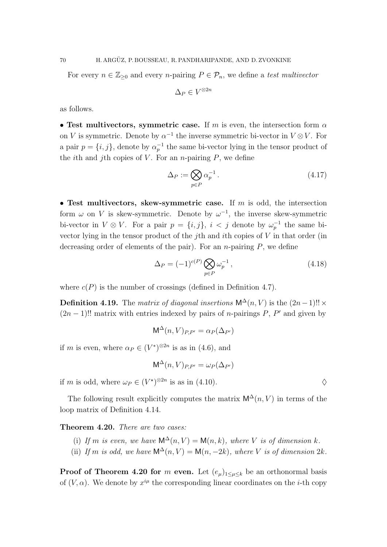For every  $n \in \mathbb{Z}_{\geq 0}$  and every n-pairing  $P \in \mathcal{P}_n$ , we define a test multivector

$$
\Delta_P \in V^{\otimes 2n}
$$

as follows.

• Test multivectors, symmetric case. If m is even, the intersection form  $\alpha$ on V is symmetric. Denote by  $\alpha^{-1}$  the inverse symmetric bi-vector in  $V \otimes V$ . For a pair  $p = \{i, j\}$ , denote by  $\alpha_p^{-1}$  the same bi-vector lying in the tensor product of the *i*th and *j*th copies of V. For an *n*-pairing  $P$ , we define

$$
\Delta_P := \bigotimes_{p \in P} \alpha_p^{-1} \,. \tag{4.17}
$$

• Test multivectors, skew-symmetric case. If  $m$  is odd, the intersection form  $\omega$  on V is skew-symmetric. Denote by  $\omega^{-1}$ , the inverse skew-symmetric bi-vector in  $V \otimes V$ . For a pair  $p = \{i, j\}$ ,  $i < j$  denote by  $\omega_p^{-1}$  the same bivector lying in the tensor product of the jth and ith copies of V in that order (in decreasing order of elements of the pair). For an *n*-pairing  $P$ , we define

$$
\Delta_P = (-1)^{c(P)} \bigotimes_{p \in P} \omega_p^{-1},\tag{4.18}
$$

where  $c(P)$  is the number of crossings (defined in Definition [4.7\)](#page-61-2).

**Definition 4.19.** The matrix of diagonal insertions  $\mathsf{M}^\Delta(n, V)$  is the  $(2n-1)!! \times$  $(2n-1)!!$  matrix with entries indexed by pairs of *n*-pairings P, P' and given by

$$
\mathsf{M}^\Delta(n,V)_{P,P'}=\alpha_P(\Delta_{P'})
$$

if m is even, where  $\alpha_P \in (V^*)^{\otimes 2n}$  is as in [\(4.6\)](#page-62-4), and

$$
\mathsf{M}^\Delta(n,V)_{P,P'}=\omega_P(\Delta_{P'})
$$

if m is odd, where  $\omega_P \in (V^*)^{\otimes 2n}$  is as in [\(4.10\)](#page-63-1).

The following result explicitly computes the matrix  $\mathsf{M}^\Delta(n, V)$  in terms of the loop matrix of Definition [4.14.](#page-65-1)

<span id="page-69-0"></span>Theorem 4.20. There are two cases:

- (i) If m is even, we have  $\mathsf{M}^{\Delta}(n, V) = \mathsf{M}(n, k)$ , where V is of dimension k.
- (ii) If m is odd, we have  $\mathsf{M}^{\Delta}(n, V) = \mathsf{M}(n, -2k)$ , where V is of dimension  $2k$ .

**Proof of Theorem [4.20](#page-69-0) for m even.** Let  $(e_{\mu})_{1\leq \mu \leq k}$  be an orthonormal basis of  $(V, \alpha)$ . We denote by  $x^{i\mu}$  the corresponding linear coordinates on the *i*-th copy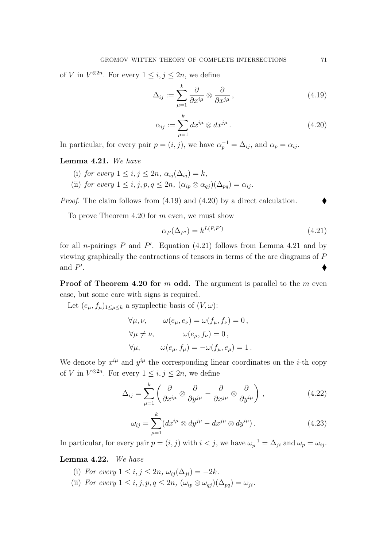of V in  $V^{\otimes 2n}$ . For every  $1 \leq i, j \leq 2n$ , we define

<span id="page-70-0"></span>
$$
\Delta_{ij} := \sum_{\mu=1}^{k} \frac{\partial}{\partial x^{i\mu}} \otimes \frac{\partial}{\partial x^{j\mu}},
$$
\n(4.19)

<span id="page-70-1"></span>
$$
\alpha_{ij} := \sum_{\mu=1}^{k} dx^{i\mu} \otimes dx^{j\mu}.
$$
\n(4.20)

In particular, for every pair  $p = (i, j)$ , we have  $\alpha_p^{-1} = \Delta_{ij}$ , and  $\alpha_p = \alpha_{ij}$ .

<span id="page-70-3"></span>Lemma 4.21. We have

- (i) for every  $1 \leq i, j \leq 2n$ ,  $\alpha_{ii}(\Delta_{ii}) = k$ ,
- (ii) for every  $1 \leq i, j, p, q \leq 2n$ ,  $(\alpha_{ip} \otimes \alpha_{qi})(\Delta_{pq}) = \alpha_{ij}$ .

Proof. The claim follows from [\(4.19\)](#page-70-0) and [\(4.20\)](#page-70-1) by a direct calculation.

To prove Theorem [4.20](#page-69-0) for m even, we must show

<span id="page-70-2"></span>
$$
\alpha_P(\Delta_{P'}) = k^{L(P,P')} \tag{4.21}
$$

for all *n*-pairings  $P$  and  $P'$ . Equation [\(4.21\)](#page-70-2) follows from Lemma [4.21](#page-70-3) and by viewing graphically the contractions of tensors in terms of the arc diagrams of P and  $P'$ . In the contract of the contract of the contract of the contract of the contract of the contract of the contract of

**Proof of Theorem [4.20](#page-69-0) for m odd.** The argument is parallel to the m even case, but some care with signs is required.

Let  $(e_{\mu}, f_{\mu})_{1 \leq \mu \leq k}$  a symplectic basis of  $(V, \omega)$ :

$$
\forall \mu, \nu, \qquad \omega(e_{\mu}, e_{\nu}) = \omega(f_{\mu}, f_{\nu}) = 0,
$$
  

$$
\forall \mu \neq \nu, \qquad \omega(e_{\mu}, f_{\nu}) = 0,
$$
  

$$
\forall \mu, \qquad \omega(e_{\mu}, f_{\mu}) = -\omega(f_{\mu}, e_{\mu}) = 1.
$$

We denote by  $x^{i\mu}$  and  $y^{i\mu}$  the corresponding linear coordinates on the *i*-th copy of V in  $V^{\otimes 2n}$ . For every  $1 \leq i, j \leq 2n$ , we define

<span id="page-70-4"></span>
$$
\Delta_{ij} = \sum_{\mu=1}^{k} \left( \frac{\partial}{\partial x^{i\mu}} \otimes \frac{\partial}{\partial y^{j\mu}} - \frac{\partial}{\partial x^{j\mu}} \otimes \frac{\partial}{\partial y^{i\mu}} \right), \qquad (4.22)
$$

<span id="page-70-5"></span>
$$
\omega_{ij} = \sum_{\mu=1}^{k} (dx^{i\mu} \otimes dy^{j\mu} - dx^{j\mu} \otimes dy^{i\mu}). \qquad (4.23)
$$

In particular, for every pair  $p = (i, j)$  with  $i < j$ , we have  $\omega_p^{-1} = \Delta_{ji}$  and  $\omega_p = \omega_{ij}$ .

## <span id="page-70-6"></span>Lemma 4.22. We have

- (i) For every  $1 \leq i, j \leq 2n$ ,  $\omega_{ii}(\Delta_{ii}) = -2k$ .
- (ii) For every  $1 \leq i, j, p, q \leq 2n$ ,  $(\omega_{ip} \otimes \omega_{qj})(\Delta_{pq}) = \omega_{ji}$ .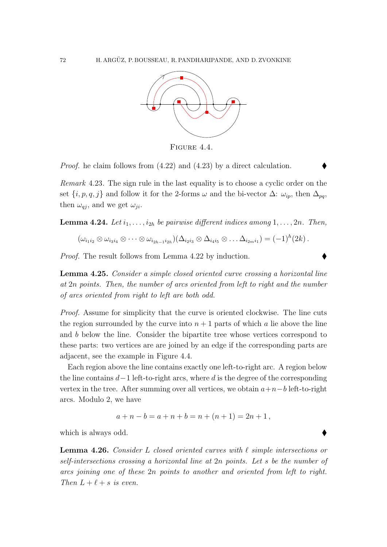

<span id="page-71-0"></span>Figure 4.4.

Proof. he claim follows from [\(4.22\)](#page-70-4) and [\(4.23\)](#page-70-5) by a direct calculation.

Remark 4.23. The sign rule in the last equality is to choose a cyclic order on the set  $\{i, p, q, j\}$  and follow it for the 2-forms  $\omega$  and the bi-vector  $\Delta: \omega_{ip}$ , then  $\Delta_{pq}$ , then  $\omega_{qj}$ , and we get  $\omega_{ji}$ .

**Lemma 4.24.** Let  $i_1, \ldots, i_{2h}$  be pairwise different indices among  $1, \ldots, 2n$ . Then,

$$
(\omega_{i_1i_2} \otimes \omega_{i_3i_4} \otimes \cdots \otimes \omega_{i_{2h-1}i_{2h}})(\Delta_{i_2i_3} \otimes \Delta_{i_4i_5} \otimes \ldots \Delta_{i_{2m}i_1}) = (-1)^h (2k).
$$

Proof. The result follows from Lemma [4.22](#page-70-6) by induction.

Lemma 4.25. Consider a simple closed oriented curve crossing a horizontal line at 2n points. Then, the number of arcs oriented from left to right and the number of arcs oriented from right to left are both odd.

Proof. Assume for simplicity that the curve is oriented clockwise. The line cuts the region surrounded by the curve into  $n + 1$  parts of which a lie above the line and b below the line. Consider the bipartite tree whose vertices correspond to these parts: two vertices are are joined by an edge if the corresponding parts are adjacent, see the example in Figure [4.4.](#page-71-0)

Each region above the line contains exactly one left-to-right arc. A region below the line contains  $d-1$  left-to-right arcs, where d is the degree of the corresponding vertex in the tree. After summing over all vertices, we obtain  $a+n-b$  left-to-right arcs. Modulo 2, we have

$$
a + n - b = a + n + b = n + (n + 1) = 2n + 1,
$$

which is always odd.

**Lemma 4.26.** Consider L closed oriented curves with  $\ell$  simple intersections or self-intersections crossing a horizontal line at 2n points. Let s be the number of arcs joining one of these 2n points to another and oriented from left to right. Then  $L + \ell + s$  is even.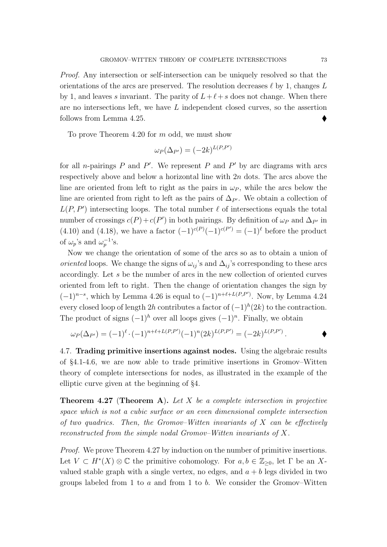Proof. Any intersection or self-intersection can be uniquely resolved so that the orientations of the arcs are preserved. The resolution decreases  $\ell$  by 1, changes L by 1, and leaves s invariant. The parity of  $L+\ell+s$  does not change. When there are no intersections left, we have L independent closed curves, so the assertion follows from Lemma [4.25.](#page-71-0)

To prove Theorem [4.20](#page-69-0) for m odd, we must show

$$
\omega_P(\Delta_{P'}) = (-2k)^{L(P,P')}
$$

for all *n*-pairings  $P$  and  $P'$ . We represent  $P$  and  $P'$  by arc diagrams with arcs respectively above and below a horizontal line with 2n dots. The arcs above the line are oriented from left to right as the pairs in  $\omega_P$ , while the arcs below the line are oriented from right to left as the pairs of  $\Delta_{P}$ . We obtain a collection of  $L(P, P')$  intersecting loops. The total number  $\ell$  of intersections equals the total number of crossings  $c(P) + c(P')$  in both pairings. By definition of  $\omega_P$  and  $\Delta_{P'}$  in [\(4.10\)](#page-63-0) and [\(4.18\)](#page-69-1), we have a factor  $(-1)^{c(P)}(-1)^{c(P')} = (-1)^{\ell}$  before the product of  $\omega_p$ 's and  $\omega_p^{-1}$ 's.

Now we change the orientation of some of the arcs so as to obtain a union of oriented loops. We change the signs of  $\omega_{ij}$ 's and  $\Delta_{ij}$ 's corresponding to these arcs accordingly. Let s be the number of arcs in the new collection of oriented curves oriented from left to right. Then the change of orientation changes the sign by  $(-1)^{n-s}$ , which by Lemma [4.26](#page-71-1) is equal to  $(-1)^{n+\ell+L(P,P')}$ . Now, by Lemma [4.24](#page-71-2) every closed loop of length 2h contributes a factor of  $(-1)^h(2k)$  to the contraction. The product of signs  $(-1)^h$  over all loops gives  $(-1)^n$ . Finally, we obtain

$$
\omega_P(\Delta_{P'}) = (-1)^{\ell} \cdot (-1)^{n+\ell+L(P,P')} (-1)^n (2k)^{L(P,P')} = (-2k)^{L(P,P')}.
$$

4.7. Trading primitive insertions against nodes. Using the algebraic results of §[4.1-](#page-57-0)[4.6,](#page-68-0) we are now able to trade primitive insertions in Gromov–Witten theory of complete intersections for nodes, as illustrated in the example of the elliptic curve given at the beginning of §[4.](#page-56-0)

<span id="page-72-0"></span>**Theorem 4.27 (Theorem [A](#page-6-0)).** Let  $X$  be a complete intersection in projective space which is not a cubic surface or an even dimensional complete intersection of two quadrics. Then, the Gromov–Witten invariants of  $X$  can be effectively reconstructed from the simple nodal Gromov–Witten invariants of X.

Proof. We prove Theorem [4.27](#page-72-0) by induction on the number of primitive insertions. Let  $V \subset H^*(X) \otimes \mathbb{C}$  the primitive cohomology. For  $a, b \in \mathbb{Z}_{\geq 0}$ , let  $\Gamma$  be an Xvalued stable graph with a single vertex, no edges, and  $a + b$  legs divided in two groups labeled from 1 to  $a$  and from 1 to  $b$ . We consider the Gromov–Witten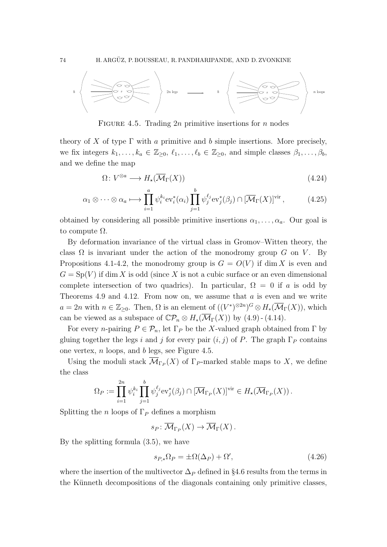

<span id="page-73-0"></span>FIGURE 4.5. Trading 2n primitive insertions for n nodes

theory of X of type  $\Gamma$  with a primitive and b simple insertions. More precisely, we fix integers  $k_1, \ldots, k_a \in \mathbb{Z}_{\geq 0}, \ell_1, \ldots, \ell_b \in \mathbb{Z}_{\geq 0}$ , and simple classes  $\beta_1, \ldots, \beta_b$ , and we define the map

$$
\Omega \colon V^{\otimes a} \longrightarrow H_{\star}(\overline{\mathcal{M}}_{\Gamma}(X)) \tag{4.24}
$$

$$
\alpha_1 \otimes \cdots \otimes \alpha_a \longmapsto \prod_{i=1}^a \psi_i^{k_i} \text{ev}_i^*(\alpha_i) \prod_{j=1}^b \psi_j^{\ell_j} \text{ev}_j^*(\beta_j) \cap [\overline{\mathcal{M}}_{\Gamma}(X)]^{\text{vir}},\tag{4.25}
$$

obtained by considering all possible primitive insertions  $\alpha_1, \ldots, \alpha_a$ . Our goal is to compute  $\Omega$ .

By deformation invariance of the virtual class in Gromov–Witten theory, the class  $\Omega$  is invariant under the action of the monodromy group G on V. By Propositions [4.1](#page-58-0)[-4.2,](#page-58-1) the monodromy group is  $G = O(V)$  if dim X is even and  $G = Sp(V)$  if dim X is odd (since X is not a cubic surface or an even dimensional complete intersection of two quadrics). In particular,  $\Omega = 0$  if a is odd by Theorems [4.9](#page-62-0) and [4.12.](#page-64-0) From now on, we assume that a is even and we write  $a = 2n$  with  $n \in \mathbb{Z}_{\geq 0}$ . Then,  $\Omega$  is an element of  $((V^*)^{\otimes 2n})^G \otimes H_*(\overline{\mathcal{M}}_{\Gamma}(X))$ , which can be viewed as a subspace of  $\mathbb{C}\mathcal{P}_n \otimes H_*(\overline{\mathcal{M}}_{\Gamma}(X))$  by [\(4.9\)](#page-62-1) - [\(4.14\)](#page-64-1).

For every *n*-pairing  $P \in \mathcal{P}_n$ , let  $\Gamma_P$  be the X-valued graph obtained from  $\Gamma$  by gluing together the legs i and j for every pair  $(i, j)$  of P. The graph  $\Gamma_P$  contains one vertex, n loops, and b legs, see Figure [4.5.](#page-73-0)

Using the moduli stack  $\mathcal{M}_{\Gamma_P}(X)$  of  $\Gamma_P$ -marked stable maps to X, we define the class

$$
\Omega_P := \prod_{i=1}^{2n} \psi_i^{k_i} \prod_{j=1}^b \psi_j^{\ell_j} \mathrm{ev}_j^*(\beta_j) \cap [\overline{\mathcal{M}}_{\Gamma_P}(X)]^{\mathrm{vir}} \in H_\star(\overline{\mathcal{M}}_{\Gamma_P}(X)).
$$

Splitting the n loops of  $\Gamma_P$  defines a morphism

 $s_P \colon \mathcal{M}_{\Gamma_P}(X) \to \mathcal{M}_{\Gamma}(X)$ .

By the splitting formula [\(3.5\)](#page-39-0), we have

<span id="page-73-1"></span>
$$
s_{P,*}\Omega_P = \pm \Omega(\Delta_P) + \Omega',\tag{4.26}
$$

where the insertion of the multivector  $\Delta_P$  defined in §[4.6](#page-68-0) results from the terms in the Künneth decompositions of the diagonals containing only primitive classes,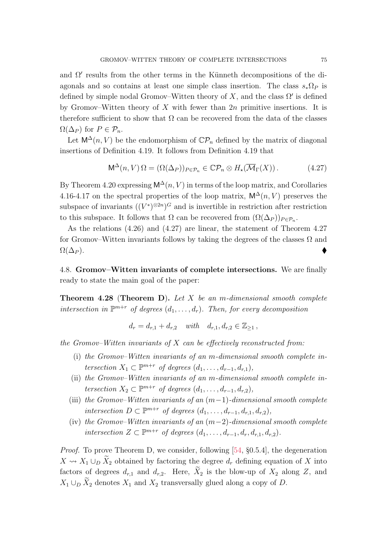and  $\Omega'$  results from the other terms in the Künneth decompositions of the diagonals and so contains at least one simple class insertion. The class  $s_*\Omega_P$  is defined by simple nodal Gromov–Witten theory of X, and the class  $\Omega'$  is defined by Gromov–Witten theory of X with fewer than  $2n$  primitive insertions. It is therefore sufficient to show that  $\Omega$  can be recovered from the data of the classes  $\Omega(\Delta_P)$  for  $P \in \mathcal{P}_n$ .

Let  $\mathsf{M}^{\Delta}(n, V)$  be the endomorphism of  $\mathbb{C}\mathcal{P}_n$  defined by the matrix of diagonal insertions of Definition [4.19.](#page-69-2) It follows from Definition [4.19](#page-69-2) that

<span id="page-74-0"></span>
$$
\mathsf{M}^{\Delta}(n,V)\,\Omega = (\Omega(\Delta_P))_{P \in \mathcal{P}_n} \in \mathbb{C} \mathcal{P}_n \otimes H_*(\overline{\mathcal{M}}_{\Gamma}(X)). \tag{4.27}
$$

By Theorem [4.20](#page-69-0) expressing  $\mathsf{M}^\Delta(n, V)$  in terms of the loop matrix, and Corollaries [4.16-](#page-67-0)[4.17](#page-67-1) on the spectral properties of the loop matrix,  $\mathsf{M}^\Delta(n, V)$  preserves the subspace of invariants  $((V^*)^{\otimes 2n})^G$  and is invertible in restriction after restriction to this subspace. It follows that  $\Omega$  can be recovered from  $(\Omega(\Delta_P))_{P \in \mathcal{P}_n}$ .

As the relations [\(4.26\)](#page-73-1) and [\(4.27\)](#page-74-0) are linear, the statement of Theorem [4.27](#page-72-0) for Gromov–Witten invariants follows by taking the degrees of the classes  $\Omega$  and  $\Omega(\Delta_P)$ .

<span id="page-74-2"></span>4.8. Gromov–Witten invariants of complete intersections. We are finally ready to state the main goal of the paper:

<span id="page-74-1"></span>**Theorem 4.28 (Theorem [D](#page-9-0)).** Let  $X$  be an m-dimensional smooth complete intersection in  $\mathbb{P}^{m+r}$  of degrees  $(d_1, \ldots, d_r)$ . Then, for every decomposition

$$
d_r = d_{r,1} + d_{r,2} \quad \text{with} \quad d_{r,1}, d_{r,2} \in \mathbb{Z}_{\geq 1} \,,
$$

the Gromov–Witten invariants of  $X$  can be effectively reconstructed from:

- (i) the Gromov–Witten invariants of an m-dimensional smooth complete intersection  $X_1 \subset \mathbb{P}^{m+r}$  of degrees  $(d_1, \ldots, d_{r-1}, d_{r,1}),$
- (ii) the Gromov–Witten invariants of an m-dimensional smooth complete intersection  $X_2 \subset \mathbb{P}^{m+r}$  of degrees  $(d_1, \ldots, d_{r-1}, d_{r,2}),$
- (iii) the Gromov–Witten invariants of an  $(m-1)$ -dimensional smooth complete intersection  $D \subset \mathbb{P}^{m+r}$  of degrees  $(d_1, \ldots, d_{r-1}, d_{r,1}, d_{r,2}),$
- (iv) the Gromov–Witten invariants of an  $(m-2)$ -dimensional smooth complete intersection  $Z \subset \mathbb{P}^{m+r}$  of degrees  $(d_1, \ldots, d_{r-1}, d_r, d_{r,1}, d_{r,2})$ .

Proof. To prove Theorem [D,](#page-9-0) we consider, following [\[54,](#page-88-0) §0.5.4], the degeneration  $X \rightsquigarrow X_1 \cup_D \widetilde{X}_2$  obtained by factoring the degree  $d_r$  defining equation of X into factors of degrees  $d_{r,1}$  and  $d_{r,2}$ . Here,  $\widetilde{X}_2$  is the blow-up of  $X_2$  along Z, and  $X_1 \cup_D \widetilde{X}_2$  denotes  $X_1$  and  $X_2$  transversally glued along a copy of D.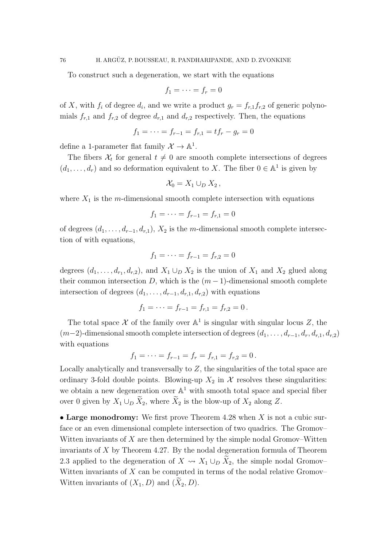To construct such a degeneration, we start with the equations

$$
f_1=\cdots=f_r=0
$$

of X, with  $f_i$  of degree  $d_i$ , and we write a product  $g_r = f_{r,1}f_{r,2}$  of generic polynomials  $f_{r,1}$  and  $f_{r,2}$  of degree  $d_{r,1}$  and  $d_{r,2}$  respectively. Then, the equations

$$
f_1 = \cdots = f_{r-1} = f_{r,1} = tf_r - g_r = 0
$$

define a 1-parameter flat family  $\mathcal{X} \to \mathbb{A}^1$ .

The fibers  $\mathcal{X}_t$  for general  $t \neq 0$  are smooth complete intersections of degrees  $(d_1, \ldots, d_r)$  and so deformation equivalent to X. The fiber  $0 \in \mathbb{A}^1$  is given by

$$
\mathcal{X}_0=X_1\cup_D X_2\,,
$$

where  $X_1$  is the m-dimensional smooth complete intersection with equations

$$
f_1 = \cdots = f_{r-1} = f_{r,1} = 0
$$

of degrees  $(d_1, \ldots, d_{r-1}, d_{r,1}), X_2$  is the m-dimensional smooth complete intersection of with equations,

$$
f_1 = \cdots = f_{r-1} = f_{r,2} = 0
$$

degrees  $(d_1, \ldots, d_{r_1}, d_{r,2})$ , and  $X_1 \cup_D X_2$  is the union of  $X_1$  and  $X_2$  glued along their common intersection D, which is the  $(m-1)$ -dimensional smooth complete intersection of degrees  $(d_1, \ldots, d_{r-1}, d_{r,1}, d_{r,2})$  with equations

$$
f_1 = \cdots = f_{r-1} = f_{r,1} = f_{r,2} = 0.
$$

The total space  $\mathcal X$  of the family over  $\mathbb A^1$  is singular with singular locus Z, the  $(m-2)$ -dimensional smooth complete intersection of degrees  $(d_1, \ldots, d_{r-1}, d_r, d_{r,1}, d_{r,2})$ with equations

$$
f_1 = \cdots = f_{r-1} = f_r = f_{r,1} = f_{r,2} = 0.
$$

Locally analytically and transversally to  $Z$ , the singularities of the total space are ordinary 3-fold double points. Blowing-up  $X_2$  in X resolves these singularities: we obtain a new degeneration over  $\mathbb{A}^1$  with smooth total space and special fiber over 0 given by  $X_1 \cup_D \widetilde{X}_2$ , where  $\widetilde{X}_2$  is the blow-up of  $X_2$  along Z.

• Large monodromy: We first prove Theorem [4.28](#page-74-1) when  $X$  is not a cubic surface or an even dimensional complete intersection of two quadrics. The Gromov– Witten invariants of  $X$  are then determined by the simple nodal Gromov–Witten invariants of X by Theorem [4.27.](#page-72-0) By the nodal degeneration formula of Theorem [2.3](#page-31-0) applied to the degeneration of  $X \rightsquigarrow X_1 \cup_D X_2$ , the simple nodal Gromov– Witten invariants of  $X$  can be computed in terms of the nodal relative Gromov– Witten invariants of  $(X_1, D)$  and  $(X_2, D)$ .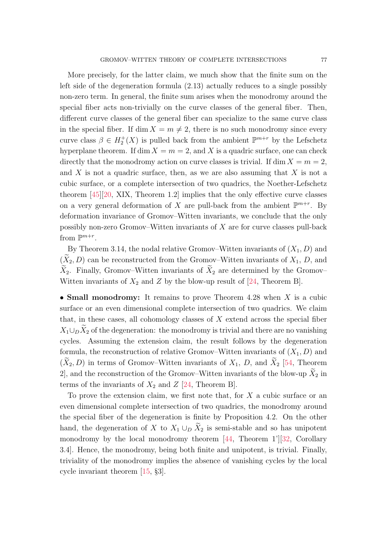More precisely, for the latter claim, we much show that the finite sum on the left side of the degeneration formula [\(2.13\)](#page-32-0) actually reduces to a single possibly non-zero term. In general, the finite sum arises when the monodromy around the special fiber acts non-trivially on the curve classes of the general fiber. Then, different curve classes of the general fiber can specialize to the same curve class in the special fiber. If dim  $X = m \neq 2$ , there is no such monodromy since every curve class  $\beta \in H_2^+(X)$  is pulled back from the ambient  $\mathbb{P}^{m+r}$  by the Lefschetz hyperplane theorem. If dim  $X = m = 2$ , and X is a quadric surface, one can check directly that the monodromy action on curve classes is trivial. If dim  $X = m = 2$ , and  $X$  is not a quadric surface, then, as we are also assuming that  $X$  is not a cubic surface, or a complete intersection of two quadrics, the Noether-Lefschetz theorem [\[45\]](#page-88-1)[\[20,](#page-86-0) XIX, Theorem 1.2] implies that the only effective curve classes on a very general deformation of X are pull-back from the ambient  $\mathbb{P}^{m+r}$ . By deformation invariance of Gromov–Witten invariants, we conclude that the only possibly non-zero Gromov–Witten invariants of  $X$  are for curve classes pull-back from  $\mathbb{P}^{m+r}$ .

By Theorem [3.14,](#page-55-0) the nodal relative Gromov–Witten invariants of  $(X_1, D)$  and  $(X_2, D)$  can be reconstructed from the Gromov–Witten invariants of  $X_1, D$ , and  $\widetilde{X}_2$ . Finally, Gromov–Witten invariants of  $\widetilde{X}_2$  are determined by the Gromov– Witten invariants of  $X_2$  and Z by the blow-up result of [\[24,](#page-87-0) Theorem B].

• Small monodromy: It remains to prove Theorem [4.28](#page-74-1) when  $X$  is a cubic surface or an even dimensional complete intersection of two quadrics. We claim that, in these cases, all cohomology classes of  $X$  extend across the special fiber  $X_1\cup_D X_2$  of the degeneration: the monodromy is trivial and there are no vanishing cycles. Assuming the extension claim, the result follows by the degeneration formula, the reconstruction of relative Gromov–Witten invariants of  $(X_1, D)$  and  $(\tilde{X}_2, D)$  in terms of Gromov–Witten invariants of  $X_1$ , D, and  $\tilde{X}_2$  [\[54,](#page-88-0) Theorem 2, and the reconstruction of the Gromov–Witten invariants of the blow-up  $\widetilde{X}_2$  in terms of the invariants of  $X_2$  and  $Z$  [\[24,](#page-87-0) Theorem B].

To prove the extension claim, we first note that, for  $X$  a cubic surface or an even dimensional complete intersection of two quadrics, the monodromy around the special fiber of the degeneration is finite by Proposition [4.2.](#page-58-1) On the other hand, the degeneration of X to  $X_1 \cup_D \widetilde{X}_2$  is semi-stable and so has unipotent monodromy by the local monodromy theorem [\[44,](#page-87-1) Theorem 1'][\[32,](#page-87-2) Corollary 3.4]. Hence, the monodromy, being both finite and unipotent, is trivial. Finally, triviality of the monodromy implies the absence of vanishing cycles by the local cycle invariant theorem [\[15,](#page-86-1) §3].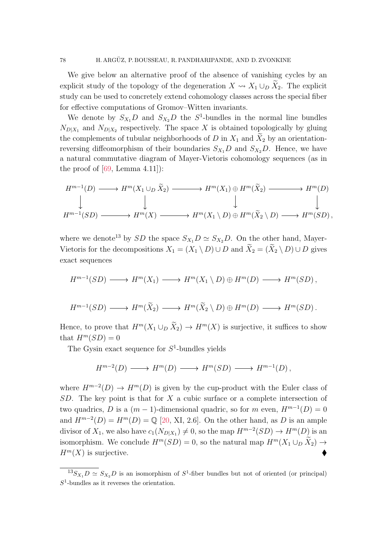We give below an alternative proof of the absence of vanishing cycles by an explicit study of the topology of the degeneration  $X \rightsquigarrow X_1 \cup_D X_2$ . The explicit study can be used to concretely extend cohomology classes across the special fiber for effective computations of Gromov–Witten invariants.

We denote by  $S_{X_1}D$  and  $S_{X_2}D$  the  $S^1$ -bundles in the normal line bundles  $N_{D|X_1}$  and  $N_{D|X_2}$  respectively. The space X is obtained topologically by gluing the complements of tubular neighborhoods of D in  $X_1$  and  $X_2$  by an orientationreversing diffeomorphism of their boundaries  $S_{X_1}D$  and  $S_{X_2}D$ . Hence, we have a natural commutative diagram of Mayer-Vietoris cohomology sequences (as in the proof of  $[69, \text{Lemma } 4.11]$ :

$$
H^{m-1}(D) \longrightarrow H^m(X_1 \cup_D \widetilde{X}_2) \longrightarrow H^m(X_1) \oplus H^m(\widetilde{X}_2) \longrightarrow H^m(D)
$$
  
\n
$$
\downarrow \qquad \qquad \downarrow \qquad \qquad \downarrow
$$
  
\n
$$
H^{m-1}(SD) \longrightarrow H^m(X) \longrightarrow H^m(X_1 \setminus D) \oplus H^m(\widetilde{X}_2 \setminus D) \longrightarrow H^m(SD),
$$

where we denote<sup>[13](#page-77-0)</sup> by SD the space  $S_{X_1}D \simeq S_{X_2}D$ . On the other hand, Mayer-Vietoris for the decompositions  $X_1 = (X_1 \setminus D) \cup D$  and  $\widetilde{X}_2 = (\widetilde{X}_2 \setminus D) \cup D$  gives exact sequences

$$
H^{m-1}(SD) \longrightarrow H^m(X_1) \longrightarrow H^m(X_1 \setminus D) \oplus H^m(D) \longrightarrow H^m(SD),
$$

$$
H^{m-1}(SD) \longrightarrow H^m(\widetilde{X}_2) \longrightarrow H^m(\widetilde{X}_2 \setminus D) \oplus H^m(D) \longrightarrow H^m(SD).
$$

Hence, to prove that  $H^m(X_1 \cup_D \tilde{X}_2) \to H^m(X)$  is surjective, it suffices to show that  $H^m(SD) = 0$ 

The Gysin exact sequence for  $S^1$ -bundles yields

$$
H^{m-2}(D) \longrightarrow H^m(D) \longrightarrow H^m(SD) \longrightarrow H^{m-1}(D),
$$

where  $H^{m-2}(D) \to H^m(D)$  is given by the cup-product with the Euler class of  $SD$ . The key point is that for X a cubic surface or a complete intersection of two quadrics, D is a  $(m-1)$ -dimensional quadric, so for m even,  $H^{m-1}(D) = 0$ and  $H^{m-2}(D) = H^m(D) = \mathbb{Q}$  [\[20,](#page-86-0) XI, 2.6]. On the other hand, as D is an ample divisor of  $X_1$ , we also have  $c_1(N_{D|X_1}) \neq 0$ , so the map  $H^{m-2}(SD) \to H^m(D)$  is an isomorphism. We conclude  $H^m(SD) = 0$ , so the natural map  $H^m(X_1 \cup_D X_2) \rightarrow$  $H^m(X)$  is surjective.

<span id="page-77-0"></span> $^{13}S_{X_1}D \simeq S_{X_2}D$  is an isomorphism of  $S^1$ -fiber bundles but not of oriented (or principal)  $S<sup>1</sup>$ -bundles as it reverses the orientation.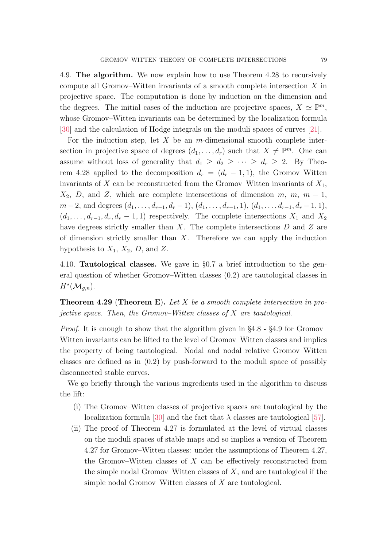<span id="page-78-0"></span>4.9. The algorithm. We now explain how to use Theorem [4.28](#page-74-1) to recursively compute all Gromov–Witten invariants of a smooth complete intersection X in projective space. The computation is done by induction on the dimension and the degrees. The initial cases of the induction are projective spaces,  $X \simeq \mathbb{P}^m$ , whose Gromov–Witten invariants can be determined by the localization formula [\[30\]](#page-87-3) and the calculation of Hodge integrals on the moduli spaces of curves [\[21\]](#page-86-2).

For the induction step, let  $X$  be an m-dimensional smooth complete intersection in projective space of degrees  $(d_1, \ldots, d_r)$  such that  $X \neq \mathbb{P}^m$ . One can assume without loss of generality that  $d_1 \geq d_2 \geq \cdots \geq d_r \geq 2$ . By Theo-rem [4.28](#page-74-1) applied to the decomposition  $d_r = (d_r - 1, 1)$ , the Gromov–Witten invariants of X can be reconstructed from the Gromov–Witten invariants of  $X_1$ ,  $X_2$ , D, and Z, which are complete intersections of dimension m, m, m – 1,  $m-2$ , and degrees  $(d_1, \ldots, d_{r-1}, d_r-1)$ ,  $(d_1, \ldots, d_{r-1}, 1)$ ,  $(d_1, \ldots, d_{r-1}, d_r-1, 1)$ ,  $(d_1, \ldots, d_{r-1}, d_r, d_r - 1, 1)$  respectively. The complete intersections  $X_1$  and  $X_2$ have degrees strictly smaller than  $X$ . The complete intersections  $D$  and  $Z$  are of dimension strictly smaller than  $X$ . Therefore we can apply the induction hypothesis to  $X_1$ ,  $X_2$ ,  $D$ , and  $Z$ .

4.10. Tautological classes. We gave in §[0.7](#page-10-0) a brief introduction to the general question of whether Gromov–Witten classes [\(0.2\)](#page-2-0) are tautological classes in  $H^{\star}(\overline{\mathcal{M}}_{g,n}).$ 

<span id="page-78-1"></span>**Theorem 4.29 (Theorem [E](#page-11-0)).** Let X be a smooth complete intersection in projective space. Then, the Gromov–Witten classes of X are tautological.

*Proof.* It is enough to show that the algorithm given in  $\S 4.8 - \S 4.9$  $\S 4.8 - \S 4.9$  $\S 4.8 - \S 4.9$  $\S 4.8 - \S 4.9$  for Gromov– Witten invariants can be lifted to the level of Gromov–Witten classes and implies the property of being tautological. Nodal and nodal relative Gromov–Witten classes are defined as in [\(0.2\)](#page-2-0) by push-forward to the moduli space of possibly disconnected stable curves.

We go briefly through the various ingredients used in the algorithm to discuss the lift:

- (i) The Gromov–Witten classes of projective spaces are tautological by the localization formula [\[30\]](#page-87-3) and the fact that  $\lambda$  classes are tautological [\[57\]](#page-88-2).
- (ii) The proof of Theorem [4.27](#page-72-0) is formulated at the level of virtual classes on the moduli spaces of stable maps and so implies a version of Theorem [4.27](#page-72-0) for Gromov–Witten classes: under the assumptions of Theorem [4.27,](#page-72-0) the Gromov–Witten classes of  $X$  can be effectively reconstructed from the simple nodal Gromov–Witten classes of  $X$ , and are tautological if the simple nodal Gromov–Witten classes of X are tautological.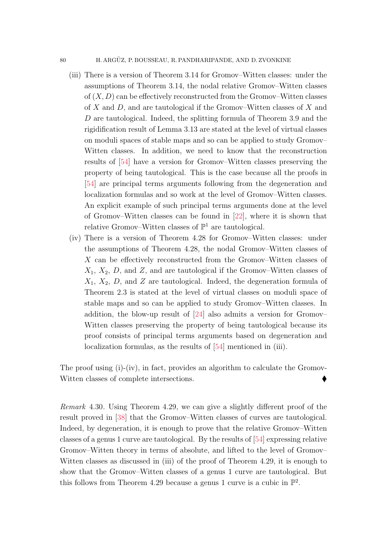## 80 H. ARGÜZ, P. BOUSSEAU, R. PANDHARIPANDE, AND D. ZVONKINE

- (iii) There is a version of Theorem [3.14](#page-55-0) for Gromov–Witten classes: under the assumptions of Theorem [3.14,](#page-55-0) the nodal relative Gromov–Witten classes of  $(X, D)$  can be effectively reconstructed from the Gromov–Witten classes of X and D, and are tautological if the Gromov–Witten classes of X and D are tautological. Indeed, the splitting formula of Theorem [3.9](#page-49-0) and the rigidification result of Lemma [3.13](#page-53-0) are stated at the level of virtual classes on moduli spaces of stable maps and so can be applied to study Gromov– Witten classes. In addition, we need to know that the reconstruction results of [\[54\]](#page-88-0) have a version for Gromov–Witten classes preserving the property of being tautological. This is the case because all the proofs in [\[54\]](#page-88-0) are principal terms arguments following from the degeneration and localization formulas and so work at the level of Gromov–Witten classes. An explicit example of such principal terms arguments done at the level of Gromov–Witten classes can be found in [\[22\]](#page-86-3), where it is shown that relative Gromov–Witten classes of  $\mathbb{P}^1$  are tautological.
- (iv) There is a version of Theorem [4.28](#page-74-1) for Gromov–Witten classes: under the assumptions of Theorem [4.28,](#page-74-1) the nodal Gromov–Witten classes of X can be effectively reconstructed from the Gromov–Witten classes of  $X_1, X_2, D$ , and  $Z$ , and are tautological if the Gromov–Witten classes of  $X_1, X_2, D$ , and Z are tautological. Indeed, the degeneration formula of Theorem [2.3](#page-31-0) is stated at the level of virtual classes on moduli space of stable maps and so can be applied to study Gromov–Witten classes. In addition, the blow-up result of [\[24\]](#page-87-0) also admits a version for Gromov– Witten classes preserving the property of being tautological because its proof consists of principal terms arguments based on degeneration and localization formulas, as the results of [\[54\]](#page-88-0) mentioned in (iii).

The proof using  $(i)-(iv)$ , in fact, provides an algorithm to calculate the Gromov-Witten classes of complete intersections.

Remark 4.30. Using Theorem [4.29,](#page-78-1) we can give a slightly different proof of the result proved in [\[38\]](#page-87-4) that the Gromov–Witten classes of curves are tautological. Indeed, by degeneration, it is enough to prove that the relative Gromov–Witten classes of a genus 1 curve are tautological. By the results of [\[54\]](#page-88-0) expressing relative Gromov–Witten theory in terms of absolute, and lifted to the level of Gromov– Witten classes as discussed in (iii) of the proof of Theorem [4.29,](#page-78-1) it is enough to show that the Gromov–Witten classes of a genus 1 curve are tautological. But this follows from Theorem [4.29](#page-78-1) because a genus 1 curve is a cubic in  $\mathbb{P}^2$ .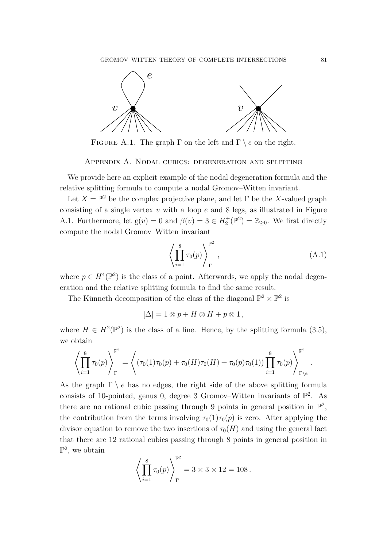

<span id="page-80-0"></span>FIGURE A.1. The graph  $\Gamma$  on the left and  $\Gamma \setminus e$  on the right.

Appendix A. Nodal cubics: degeneration and splitting

We provide here an explicit example of the nodal degeneration formula and the relative splitting formula to compute a nodal Gromov–Witten invariant.

Let  $X = \mathbb{P}^2$  be the complex projective plane, and let  $\Gamma$  be the X-valued graph consisting of a single vertex  $v$  with a loop  $e$  and 8 legs, as illustrated in Figure [A.1.](#page-80-0) Furthermore, let  $g(v) = 0$  and  $\beta(v) = 3 \in H_2^+(\mathbb{P}^2) = \mathbb{Z}_{\geq 0}$ . We first directly compute the nodal Gromov–Witten invariant

<span id="page-80-1"></span>
$$
\left\langle \prod_{i=1}^{8} \tau_0(p) \right\rangle_{\Gamma}^{\mathbb{P}^2},\tag{A.1}
$$

where  $p \in H^4(\mathbb{P}^2)$  is the class of a point. Afterwards, we apply the nodal degeneration and the relative splitting formula to find the same result.

The Künneth decomposition of the class of the diagonal  $\mathbb{P}^2 \times \mathbb{P}^2$  is

$$
[\Delta] = 1 \otimes p + H \otimes H + p \otimes 1,
$$

where  $H \in H^2(\mathbb{P}^2)$  is the class of a line. Hence, by the splitting formula [\(3.5\)](#page-39-0), we obtain

$$
\left\langle \prod_{i=1}^{8} \tau_0(p) \right\rangle_{\Gamma}^{\mathbb{P}^2} = \left\langle (\tau_0(1)\tau_0(p) + \tau_0(H)\tau_0(H) + \tau_0(p)\tau_0(1)) \prod_{i=1}^{8} \tau_0(p) \right\rangle_{\Gamma \backslash e}^{\mathbb{P}^2}.
$$

As the graph  $\Gamma \setminus e$  has no edges, the right side of the above splitting formula consists of 10-pointed, genus 0, degree 3 Gromov–Witten invariants of  $\mathbb{P}^2$ . As there are no rational cubic passing through 9 points in general position in  $\mathbb{P}^2$ , the contribution from the terms involving  $\tau_0(1)\tau_0(p)$  is zero. After applying the divisor equation to remove the two insertions of  $\tau_0(H)$  and using the general fact that there are 12 rational cubics passing through 8 points in general position in  $\mathbb{P}^2$ , we obtain

$$
\left\langle \prod_{i=1}^{8} \tau_0(p) \right\rangle_{\Gamma}^{\mathbb{P}^2} = 3 \times 3 \times 12 = 108.
$$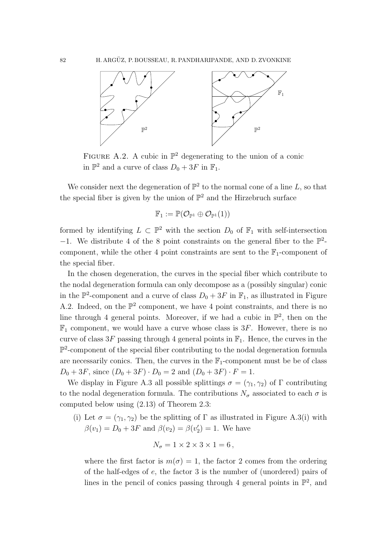

<span id="page-81-0"></span>FIGURE A.2. A cubic in  $\mathbb{P}^2$  degenerating to the union of a conic in  $\mathbb{P}^2$  and a curve of class  $D_0 + 3F$  in  $\mathbb{F}_1$ .

We consider next the degeneration of  $\mathbb{P}^2$  to the normal cone of a line L, so that the special fiber is given by the union of  $\mathbb{P}^2$  and the Hirzebruch surface

$$
\mathbb{F}_1:=\mathbb{P}(\mathcal{O}_{\mathbb{P}^1}\oplus \mathcal{O}_{\mathbb{P}^1}(1))
$$

formed by identifying  $L \subset \mathbb{P}^2$  with the section  $D_0$  of  $\mathbb{F}_1$  with self-intersection  $-1$ . We distribute 4 of the 8 point constraints on the general fiber to the  $\mathbb{P}^2$ component, while the other 4 point constraints are sent to the  $\mathbb{F}_1$ -component of the special fiber.

In the chosen degeneration, the curves in the special fiber which contribute to the nodal degeneration formula can only decompose as a (possibly singular) conic in the  $\mathbb{P}^2$ -component and a curve of class  $D_0 + 3F$  in  $\mathbb{F}_1$ , as illustrated in Figure [A.2.](#page-81-0) Indeed, on the  $\mathbb{P}^2$  component, we have 4 point constraints, and there is no line through 4 general points. Moreover, if we had a cubic in  $\mathbb{P}^2$ , then on the  $\mathbb{F}_1$  component, we would have a curve whose class is 3F. However, there is no curve of class  $3F$  passing through 4 general points in  $\mathbb{F}_1$ . Hence, the curves in the  $\mathbb{P}^2$ -component of the special fiber contributing to the nodal degeneration formula are necessarily conics. Then, the curves in the  $\mathbb{F}_1$ -component must be be of class  $D_0 + 3F$ , since  $(D_0 + 3F) \cdot D_0 = 2$  and  $(D_0 + 3F) \cdot F = 1$ .

We display in Figure [A.3](#page-82-0) all possible splittings  $\sigma = (\gamma_1, \gamma_2)$  of  $\Gamma$  contributing to the nodal degeneration formula. The contributions  $N_{\sigma}$  associated to each  $\sigma$  is computed below using [\(2.13\)](#page-32-0) of Theorem [2.3:](#page-31-0)

(i) Let  $\sigma = (\gamma_1, \gamma_2)$  be the splitting of  $\Gamma$  as illustrated in Figure [A.3\(](#page-82-0)i) with  $\beta(v_1) = D_0 + 3F$  and  $\beta(v_2) = \beta(v_2') = 1$ . We have

$$
N_{\sigma}=1\times 2\times 3\times 1=6\,,
$$

where the first factor is  $m(\sigma) = 1$ , the factor 2 comes from the ordering of the half-edges of e, the factor 3 is the number of (unordered) pairs of lines in the pencil of conics passing through 4 general points in  $\mathbb{P}^2$ , and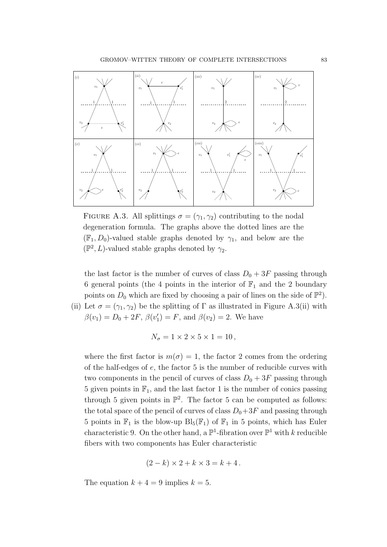

<span id="page-82-0"></span>FIGURE A.3. All splittings  $\sigma = (\gamma_1, \gamma_2)$  contributing to the nodal degeneration formula. The graphs above the dotted lines are the  $(\mathbb{F}_1, D_0)$ -valued stable graphs denoted by  $\gamma_1$ , and below are the  $(\mathbb{P}^2, L)$ -valued stable graphs denoted by  $\gamma_2$ .

the last factor is the number of curves of class  $D_0 + 3F$  passing through 6 general points (the 4 points in the interior of  $\mathbb{F}_1$  and the 2 boundary points on  $D_0$  which are fixed by choosing a pair of lines on the side of  $\mathbb{P}^2$ .

(ii) Let 
$$
\sigma = (\gamma_1, \gamma_2)
$$
 be the splitting of  $\Gamma$  as illustrated in Figure A.3(ii) with  $\beta(v_1) = D_0 + 2F$ ,  $\beta(v'_1) = F$ , and  $\beta(v_2) = 2$ . We have

$$
N_{\sigma}=1\times 2\times 5\times 1=10\,,
$$

where the first factor is  $m(\sigma) = 1$ , the factor 2 comes from the ordering of the half-edges of e, the factor 5 is the number of reducible curves with two components in the pencil of curves of class  $D_0 + 3F$  passing through 5 given points in  $\mathbb{F}_1$ , and the last factor 1 is the number of conics passing through 5 given points in  $\mathbb{P}^2$ . The factor 5 can be computed as follows: the total space of the pencil of curves of class  $D_0+3F$  and passing through 5 points in  $\mathbb{F}_1$  is the blow-up  $Bl_5(\mathbb{F}_1)$  of  $\mathbb{F}_1$  in 5 points, which has Euler characteristic 9. On the other hand, a  $\mathbb{P}^1$ -fibration over  $\mathbb{P}^1$  with k reducible fibers with two components has Euler characteristic

$$
(2-k)\times 2+k\times 3=k+4.
$$

The equation  $k + 4 = 9$  implies  $k = 5$ .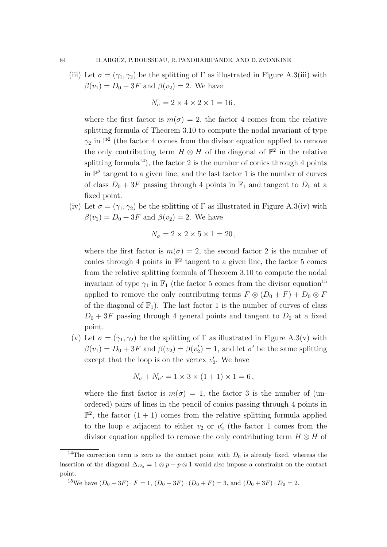(iii) Let  $\sigma = (\gamma_1, \gamma_2)$  be the splitting of  $\Gamma$  as illustrated in Figure [A.3\(](#page-82-0)iii) with  $\beta(v_1) = D_0 + 3F$  and  $\beta(v_2) = 2$ . We have

$$
N_{\sigma} = 2 \times 4 \times 2 \times 1 = 16,
$$

where the first factor is  $m(\sigma) = 2$ , the factor 4 comes from the relative splitting formula of Theorem [3.10](#page-51-0) to compute the nodal invariant of type  $\gamma_2$  in  $\mathbb{P}^2$  (the factor 4 comes from the divisor equation applied to remove the only contributing term  $H \otimes H$  of the diagonal of  $\mathbb{P}^2$  in the relative splitting formula<sup>[14](#page-83-0)</sup>), the factor 2 is the number of conics through 4 points in  $\mathbb{P}^2$  tangent to a given line, and the last factor 1 is the number of curves of class  $D_0 + 3F$  passing through 4 points in  $\mathbb{F}_1$  and tangent to  $D_0$  at a fixed point.

(iv) Let  $\sigma = (\gamma_1, \gamma_2)$  be the splitting of  $\Gamma$  as illustrated in Figure [A.3\(](#page-82-0)iv) with  $\beta(v_1) = D_0 + 3F$  and  $\beta(v_2) = 2$ . We have

$$
N_{\sigma}=2\times 2\times 5\times 1=20\,,
$$

where the first factor is  $m(\sigma) = 2$ , the second factor 2 is the number of conics through 4 points in  $\mathbb{P}^2$  tangent to a given line, the factor 5 comes from the relative splitting formula of Theorem [3.10](#page-51-0) to compute the nodal invariant of type  $\gamma_1$  in  $\mathbb{F}_1$  (the factor 5 comes from the divisor equation<sup>[15](#page-83-1)</sup> applied to remove the only contributing terms  $F \otimes (D_0 + F) + D_0 \otimes F$ of the diagonal of  $\mathbb{F}_1$ ). The last factor 1 is the number of curves of class  $D_0 + 3F$  passing through 4 general points and tangent to  $D_0$  at a fixed point.

(v) Let  $\sigma = (\gamma_1, \gamma_2)$  be the splitting of  $\Gamma$  as illustrated in Figure [A.3\(](#page-82-0)v) with  $\beta(v_1) = D_0 + 3F$  and  $\beta(v_2) = \beta(v_2') = 1$ , and let  $\sigma'$  be the same splitting except that the loop is on the vertex  $v_2'$ . We have

$$
N_{\sigma} + N_{\sigma'} = 1 \times 3 \times (1 + 1) \times 1 = 6,
$$

where the first factor is  $m(\sigma) = 1$ , the factor 3 is the number of (unordered) pairs of lines in the pencil of conics passing through 4 points in  $\mathbb{P}^2$ , the factor  $(1 + 1)$  comes from the relative splitting formula applied to the loop  $e$  adjacent to either  $v_2$  or  $v_2'$  (the factor 1 comes from the divisor equation applied to remove the only contributing term  $H \otimes H$  of

<span id="page-83-0"></span><sup>&</sup>lt;sup>14</sup>The correction term is zero as the contact point with  $D_0$  is already fixed, whereas the insertion of the diagonal  $\Delta_{D_0} = 1 \otimes p + p \otimes 1$  would also impose a constraint on the contact point.

<span id="page-83-1"></span><sup>&</sup>lt;sup>15</sup>We have  $(D_0 + 3F) \cdot F = 1$ ,  $(D_0 + 3F) \cdot (D_0 + F) = 3$ , and  $(D_0 + 3F) \cdot D_0 = 2$ .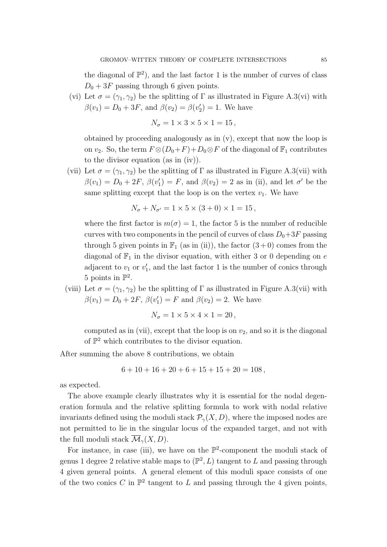the diagonal of  $\mathbb{P}^2$ , and the last factor 1 is the number of curves of class  $D_0 + 3F$  passing through 6 given points.

(vi) Let  $\sigma = (\gamma_1, \gamma_2)$  be the splitting of  $\Gamma$  as illustrated in Figure [A.3\(](#page-82-0)vi) with  $\beta(v_1) = D_0 + 3F$ , and  $\beta(v_2) = \beta(v_2') = 1$ . We have

$$
N_{\sigma}=1\times 3\times 5\times 1=15\,,
$$

obtained by proceeding analogously as in (v), except that now the loop is on  $v_2$ . So, the term  $F \otimes (D_0 + F) + D_0 \otimes F$  of the diagonal of  $\mathbb{F}_1$  contributes to the divisor equation (as in (iv)).

(vii) Let  $\sigma = (\gamma_1, \gamma_2)$  be the splitting of  $\Gamma$  as illustrated in Figure [A.3\(](#page-82-0)vii) with  $\beta(v_1) = D_0 + 2F$ ,  $\beta(v_1') = F$ , and  $\beta(v_2) = 2$  as in (ii), and let  $\sigma'$  be the same splitting except that the loop is on the vertex  $v_1$ . We have

$$
N_{\sigma} + N_{\sigma'} = 1 \times 5 \times (3 + 0) \times 1 = 15,
$$

where the first factor is  $m(\sigma) = 1$ , the factor 5 is the number of reducible curves with two components in the pencil of curves of class  $D_0+3F$  passing through 5 given points in  $\mathbb{F}_1$  (as in (ii)), the factor  $(3+0)$  comes from the diagonal of  $\mathbb{F}_1$  in the divisor equation, with either 3 or 0 depending on e adjacent to  $v_1$  or  $v'_1$ , and the last factor 1 is the number of conics through 5 points in  $\mathbb{P}^2$ .

(viii) Let  $\sigma = (\gamma_1, \gamma_2)$  be the splitting of  $\Gamma$  as illustrated in Figure [A.3\(](#page-82-0)vii) with  $\beta(v_1) = D_0 + 2F$ ,  $\beta(v'_1) = F$  and  $\beta(v_2) = 2$ . We have

$$
N_{\sigma}=1\times 5\times 4\times 1=20\,,
$$

computed as in (vii), except that the loop is on  $v_2$ , and so it is the diagonal of  $\mathbb{P}^2$  which contributes to the divisor equation.

After summing the above 8 contributions, we obtain

$$
6 + 10 + 16 + 20 + 6 + 15 + 15 + 20 = 108
$$

as expected.

The above example clearly illustrates why it is essential for the nodal degeneration formula and the relative splitting formula to work with nodal relative invariants defined using the moduli stack  $\mathcal{P}_{\gamma}(X, D)$ , where the imposed nodes are not permitted to lie in the singular locus of the expanded target, and not with the full moduli stack  $\overline{\mathcal{M}}_{\gamma}(X,D)$ .

For instance, in case (iii), we have on the  $\mathbb{P}^2$ -component the moduli stack of genus 1 degree 2 relative stable maps to  $(\mathbb{P}^2, L)$  tangent to L and passing through 4 given general points. A general element of this moduli space consists of one of the two conics C in  $\mathbb{P}^2$  tangent to L and passing through the 4 given points,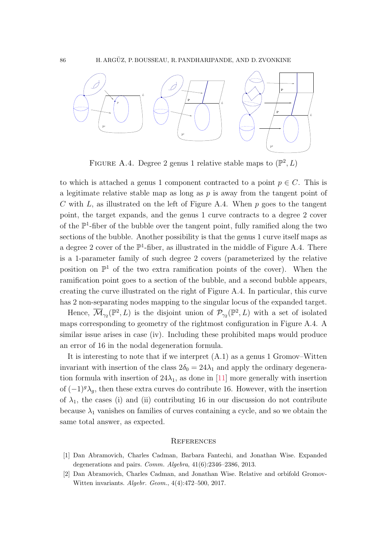

<span id="page-85-0"></span>FIGURE A.4. Degree 2 genus 1 relative stable maps to  $(\mathbb{P}^2, L)$ 

to which is attached a genus 1 component contracted to a point  $p \in C$ . This is a legitimate relative stable map as long as  $p$  is away from the tangent point of C with L, as illustrated on the left of Figure [A.4.](#page-85-0) When  $p$  goes to the tangent point, the target expands, and the genus 1 curve contracts to a degree 2 cover of the  $\mathbb{P}^1$ -fiber of the bubble over the tangent point, fully ramified along the two sections of the bubble. Another possibility is that the genus 1 curve itself maps as a degree 2 cover of the  $\mathbb{P}^1$ -fiber, as illustrated in the middle of Figure [A.4.](#page-85-0) There is a 1-parameter family of such degree 2 covers (parameterized by the relative position on  $\mathbb{P}^1$  of the two extra ramification points of the cover). When the ramification point goes to a section of the bubble, and a second bubble appears, creating the curve illustrated on the right of Figure [A.4.](#page-85-0) In particular, this curve has 2 non-separating nodes mapping to the singular locus of the expanded target.

Hence,  $\overline{\mathcal{M}}_{\gamma_2}(\mathbb{P}^2, L)$  is the disjoint union of  $\mathcal{P}_{\gamma_2}(\mathbb{P}^2, L)$  with a set of isolated maps corresponding to geometry of the rightmost configuration in Figure [A.4.](#page-85-0) A similar issue arises in case (iv). Including these prohibited maps would produce an error of 16 in the nodal degeneration formula.

It is interesting to note that if we interpret [\(A.1\)](#page-80-1) as a genus 1 Gromov–Witten invariant with insertion of the class  $2\delta_0 = 24\lambda_1$  and apply the ordinary degeneration formula with insertion of  $24\lambda_1$ , as done in [\[11\]](#page-86-4) more generally with insertion of  $(-1)^{g} \lambda_{g}$ , then these extra curves do contribute 16. However, with the insertion of  $\lambda_1$ , the cases (i) and (ii) contributing 16 in our discussion do not contribute because  $\lambda_1$  vanishes on families of curves containing a cycle, and so we obtain the same total answer, as expected.

## **REFERENCES**

- [1] Dan Abramovich, Charles Cadman, Barbara Fantechi, and Jonathan Wise. Expanded degenerations and pairs. Comm. Algebra, 41(6):2346–2386, 2013.
- [2] Dan Abramovich, Charles Cadman, and Jonathan Wise. Relative and orbifold Gromov-Witten invariants. Algebr. Geom., 4(4):472–500, 2017.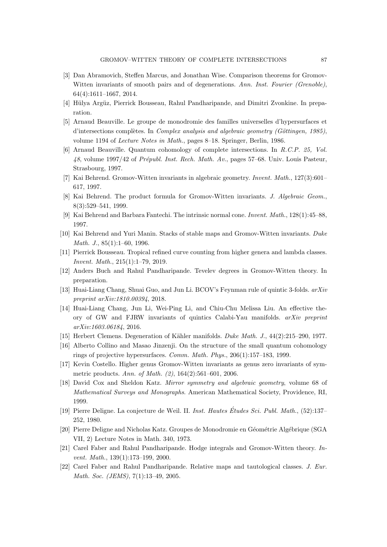- [3] Dan Abramovich, Steffen Marcus, and Jonathan Wise. Comparison theorems for Gromov-Witten invariants of smooth pairs and of degenerations. Ann. Inst. Fourier (Grenoble), 64(4):1611–1667, 2014.
- [4] Hülya Argüz, Pierrick Bousseau, Rahul Pandharipande, and Dimitri Zvonkine. In preparation.
- [5] Arnaud Beauville. Le groupe de monodromie des familles universelles d'hypersurfaces et d'intersections complètes. In Complex analysis and algebraic geometry (Göttingen, 1985), volume 1194 of Lecture Notes in Math., pages 8–18. Springer, Berlin, 1986.
- [6] Arnaud Beauville. Quantum cohomology of complete intersections. In R.C.P. 25, Vol.  $48$ , volume 1997/42 of Prépubl. Inst. Rech. Math. Av., pages 57–68. Univ. Louis Pasteur, Strasbourg, 1997.
- [7] Kai Behrend. Gromov-Witten invariants in algebraic geometry. Invent. Math., 127(3):601– 617, 1997.
- [8] Kai Behrend. The product formula for Gromov-Witten invariants. J. Algebraic Geom., 8(3):529–541, 1999.
- [9] Kai Behrend and Barbara Fantechi. The intrinsic normal cone. Invent. Math., 128(1):45–88, 1997.
- [10] Kai Behrend and Yuri Manin. Stacks of stable maps and Gromov-Witten invariants. Duke Math. J., 85(1):1–60, 1996.
- <span id="page-86-4"></span>[11] Pierrick Bousseau. Tropical refined curve counting from higher genera and lambda classes. Invent. Math., 215(1):1–79, 2019.
- [12] Anders Buch and Rahul Pandharipande. Tevelev degrees in Gromov-Witten theory. In preparation.
- [13] Huai-Liang Chang, Shuai Guo, and Jun Li. BCOV's Feynman rule of quintic 3-folds.  $arXiv$ preprint arXiv:1810.00394, 2018.
- [14] Huai-Liang Chang, Jun Li, Wei-Ping Li, and Chiu-Chu Melissa Liu. An effective theory of GW and FJRW invariants of quintics Calabi-Yau manifolds. arXiv preprint arXiv:1603.06184, 2016.
- <span id="page-86-1"></span>[15] Herbert Clemens. Degeneration of Kähler manifolds. *Duke Math. J.*, 44(2):215–290, 1977.
- [16] Alberto Collino and Masao Jinzenji. On the structure of the small quantum cohomology rings of projective hypersurfaces. Comm. Math. Phys., 206(1):157–183, 1999.
- [17] Kevin Costello. Higher genus Gromov-Witten invariants as genus zero invariants of symmetric products. Ann. of Math. (2), 164(2):561–601, 2006.
- [18] David Cox and Sheldon Katz. *Mirror symmetry and algebraic geometry*, volume 68 of Mathematical Surveys and Monographs. American Mathematical Society, Providence, RI, 1999.
- [19] Pierre Deligne. La conjecture de Weil. II. Inst. Hautes Études Sci. Publ. Math., (52):137– 252, 1980.
- <span id="page-86-0"></span>[20] Pierre Deligne and Nicholas Katz. Groupes de Monodromie en Géométrie Algébrique (SGA VII, 2) Lecture Notes in Math. 340, 1973.
- <span id="page-86-2"></span>[21] Carel Faber and Rahul Pandharipande. Hodge integrals and Gromov-Witten theory. Invent. Math., 139(1):173–199, 2000.
- <span id="page-86-3"></span>[22] Carel Faber and Rahul Pandharipande. Relative maps and tautological classes. J. Eur. Math. Soc. (JEMS), 7(1):13–49, 2005.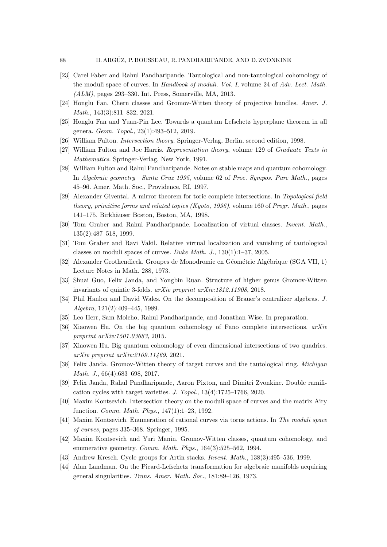- [23] Carel Faber and Rahul Pandharipande. Tautological and non-tautological cohomology of the moduli space of curves. In Handbook of moduli. Vol. I, volume 24 of Adv. Lect. Math. (ALM), pages 293–330. Int. Press, Somerville, MA, 2013.
- <span id="page-87-0"></span>[24] Honglu Fan. Chern classes and Gromov-Witten theory of projective bundles. Amer. J. Math., 143(3):811–832, 2021.
- [25] Honglu Fan and Yuan-Pin Lee. Towards a quantum Lefschetz hyperplane theorem in all genera. Geom. Topol., 23(1):493–512, 2019.
- [26] William Fulton. Intersection theory. Springer-Verlag, Berlin, second edition, 1998.
- [27] William Fulton and Joe Harris. Representation theory, volume 129 of Graduate Texts in Mathematics. Springer-Verlag, New York, 1991.
- [28] William Fulton and Rahul Pandharipande. Notes on stable maps and quantum cohomology. In Algebraic geometry—Santa Cruz 1995, volume 62 of Proc. Sympos. Pure Math., pages 45–96. Amer. Math. Soc., Providence, RI, 1997.
- [29] Alexander Givental. A mirror theorem for toric complete intersections. In Topological field theory, primitive forms and related topics (Kyoto, 1996), volume 160 of Progr. Math., pages 141–175. Birkh¨auser Boston, Boston, MA, 1998.
- <span id="page-87-3"></span>[30] Tom Graber and Rahul Pandharipande. Localization of virtual classes. Invent. Math., 135(2):487–518, 1999.
- [31] Tom Graber and Ravi Vakil. Relative virtual localization and vanishing of tautological classes on moduli spaces of curves. Duke Math. J., 130(1):1–37, 2005.
- <span id="page-87-2"></span>[32] Alexander Grothendieck. Groupes de Monodromie en Géométrie Algébrique (SGA VII, 1) Lecture Notes in Math. 288, 1973.
- [33] Shuai Guo, Felix Janda, and Yongbin Ruan. Structure of higher genus Gromov-Witten invariants of quintic 3-folds. arXiv preprint arXiv:1812.11908, 2018.
- [34] Phil Hanlon and David Wales. On the decomposition of Brauer's centralizer algebras. J. Algebra, 121(2):409–445, 1989.
- [35] Leo Herr, Sam Molcho, Rahul Pandharipande, and Jonathan Wise. In preparation.
- [36] Xiaowen Hu. On the big quantum cohomology of Fano complete intersections.  $arXiv$ preprint arXiv:1501.03683, 2015.
- [37] Xiaowen Hu. Big quantum cohomology of even dimensional intersections of two quadrics. arXiv preprint arXiv:2109.11469, 2021.
- <span id="page-87-4"></span>[38] Felix Janda. Gromov-Witten theory of target curves and the tautological ring. Michigan Math. J., 66(4):683–698, 2017.
- [39] Felix Janda, Rahul Pandharipande, Aaron Pixton, and Dimitri Zvonkine. Double ramification cycles with target varieties. J. Topol., 13(4):1725–1766, 2020.
- [40] Maxim Kontsevich. Intersection theory on the moduli space of curves and the matrix Airy function. Comm. Math. Phys., 147(1):1–23, 1992.
- [41] Maxim Kontsevich. Enumeration of rational curves via torus actions. In The moduli space of curves, pages 335–368. Springer, 1995.
- [42] Maxim Kontsevich and Yuri Manin. Gromov-Witten classes, quantum cohomology, and enumerative geometry. Comm. Math. Phys., 164(3):525-562, 1994.
- [43] Andrew Kresch. Cycle groups for Artin stacks. Invent. Math., 138(3):495–536, 1999.
- <span id="page-87-1"></span>[44] Alan Landman. On the Picard-Lefschetz transformation for algebraic manifolds acquiring general singularities. Trans. Amer. Math. Soc., 181:89–126, 1973.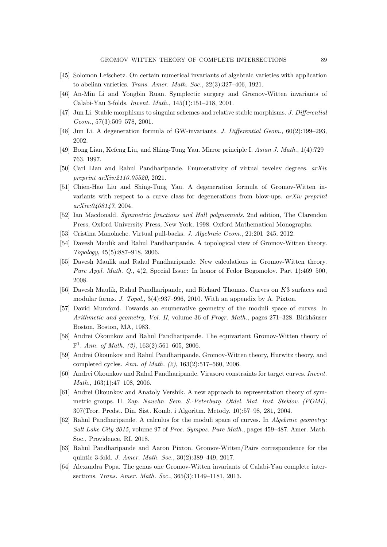- <span id="page-88-1"></span>[45] Solomon Lefschetz. On certain numerical invariants of algebraic varieties with application to abelian varieties. Trans. Amer. Math. Soc., 22(3):327–406, 1921.
- [46] An-Min Li and Yongbin Ruan. Symplectic surgery and Gromov-Witten invariants of Calabi-Yau 3-folds. Invent. Math., 145(1):151–218, 2001.
- [47] Jun Li. Stable morphisms to singular schemes and relative stable morphisms. J. Differential Geom., 57(3):509–578, 2001.
- [48] Jun Li. A degeneration formula of GW-invariants. J. Differential Geom., 60(2):199-293, 2002.
- [49] Bong Lian, Kefeng Liu, and Shing-Tung Yau. Mirror principle I. Asian J. Math., 1(4):729– 763, 1997.
- [50] Carl Lian and Rahul Pandharipande. Enumerativity of virtual tevelev degrees. arXiv preprint arXiv:2110.05520, 2021.
- [51] Chien-Hao Liu and Shing-Tung Yau. A degeneration formula of Gromov-Witten invariants with respect to a curve class for degenerations from blow-ups.  $arXiv$  preprint arXiv:0408147, 2004.
- [52] Ian Macdonald. Symmetric functions and Hall polynomials. 2nd edition, The Clarendon Press, Oxford University Press, New York, 1998. Oxford Mathematical Monographs.
- [53] Cristina Manolache. Virtual pull-backs. J. Algebraic Geom., 21:201–245, 2012.
- <span id="page-88-0"></span>[54] Davesh Maulik and Rahul Pandharipande. A topological view of Gromov-Witten theory. Topology, 45(5):887–918, 2006.
- [55] Davesh Maulik and Rahul Pandharipande. New calculations in Gromov-Witten theory. Pure Appl. Math. Q., 4(2, Special Issue: In honor of Fedor Bogomolov. Part 1):469–500, 2008.
- [56] Davesh Maulik, Rahul Pandharipande, and Richard Thomas. Curves on K3 surfaces and modular forms. J. Topol., 3(4):937–996, 2010. With an appendix by A. Pixton.
- <span id="page-88-2"></span>[57] David Mumford. Towards an enumerative geometry of the moduli space of curves. In Arithmetic and geometry, Vol. II, volume 36 of Progr. Math., pages  $271-328$ . Birkhäuser Boston, Boston, MA, 1983.
- [58] Andrei Okounkov and Rahul Pandharipande. The equivariant Gromov-Witten theory of  $\mathbb{P}^1$ . Ann. of Math. (2), 163(2):561-605, 2006.
- [59] Andrei Okounkov and Rahul Pandharipande. Gromov-Witten theory, Hurwitz theory, and completed cycles. Ann. of Math. (2), 163(2):517–560, 2006.
- [60] Andrei Okounkov and Rahul Pandharipande. Virasoro constraints for target curves. Invent. Math., 163(1):47–108, 2006.
- [61] Andrei Okounkov and Anatoly Vershik. A new approach to representation theory of symmetric groups. II. Zap. Nauchn. Sem. S.-Peterburg. Otdel. Mat. Inst. Steklov. (POMI), 307(Teor. Predst. Din. Sist. Komb. i Algoritm. Metody. 10):57–98, 281, 2004.
- [62] Rahul Pandharipande. A calculus for the moduli space of curves. In Algebraic geometry: Salt Lake City 2015, volume 97 of Proc. Sympos. Pure Math., pages 459–487. Amer. Math. Soc., Providence, RI, 2018.
- [63] Rahul Pandharipande and Aaron Pixton. Gromov-Witten/Pairs correspondence for the quintic 3-fold. J. Amer. Math. Soc., 30(2):389–449, 2017.
- [64] Alexandra Popa. The genus one Gromov-Witten invariants of Calabi-Yau complete intersections. Trans. Amer. Math. Soc., 365(3):1149–1181, 2013.